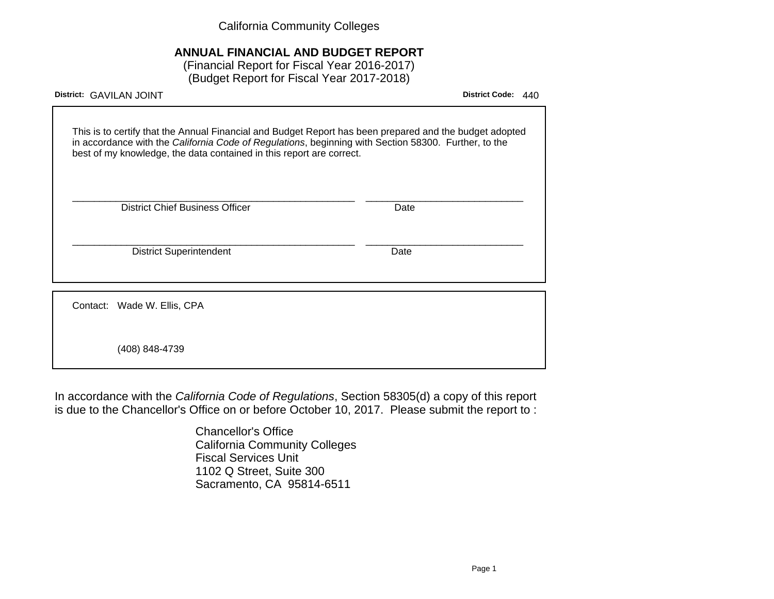California Community Colleges

# **ANNUAL FINANCIAL AND BUDGET REPORT**

(Financial Report for Fiscal Year 2016-2017) (Budget Report for Fiscal Year 2017-2018)

| District: GAVILAN JOINT                                                                                                                                                                                                                                                                 | <b>District Code:</b><br>440 |
|-----------------------------------------------------------------------------------------------------------------------------------------------------------------------------------------------------------------------------------------------------------------------------------------|------------------------------|
| This is to certify that the Annual Financial and Budget Report has been prepared and the budget adopted<br>in accordance with the California Code of Regulations, beginning with Section 58300. Further, to the<br>best of my knowledge, the data contained in this report are correct. |                              |
| <b>District Chief Business Officer</b><br>Date                                                                                                                                                                                                                                          |                              |
| <b>District Superintendent</b><br>Date                                                                                                                                                                                                                                                  |                              |
| Contact: Wade W. Ellis, CPA                                                                                                                                                                                                                                                             |                              |
| (408) 848-4739                                                                                                                                                                                                                                                                          |                              |

In accordance with the California Code of Regulations, Section 58305(d) a copy of this report is due to the Chancellor's Office on or before October 10, 2017. Please submit the report to :

> Chancellor's Office California Community Colleges Fiscal Services Unit 1102 Q Street, Suite 300 Sacramento, CA 95814-6511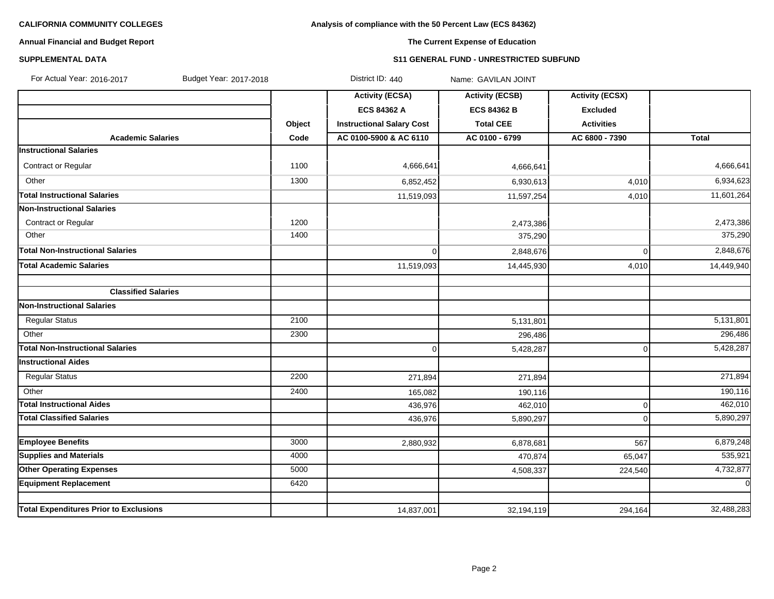# **Analysis of compliance with the 50 Percent Law (ECS 84362)**

# **Annual Financial and Budget Report**

# **The Current Expense of Education**

### **SUPPLEMENTAL DATA S11 GENERAL FUND - UNRESTRICTED SUBFUND**

| Budget Year: 2017-2018<br>For Actual Year: 2016-2017 |        | District ID: 440                 | Name: GAVILAN JOINT    |                        |             |
|------------------------------------------------------|--------|----------------------------------|------------------------|------------------------|-------------|
|                                                      |        | <b>Activity (ECSA)</b>           | <b>Activity (ECSB)</b> | <b>Activity (ECSX)</b> |             |
|                                                      |        | <b>ECS 84362 A</b>               | <b>ECS 84362 B</b>     | <b>Excluded</b>        |             |
|                                                      | Object | <b>Instructional Salary Cost</b> | <b>Total CEE</b>       | <b>Activities</b>      |             |
| <b>Academic Salaries</b>                             | Code   | AC 0100-5900 & AC 6110           | AC 0100 - 6799         | AC 6800 - 7390         | Total       |
| <b>Instructional Salaries</b>                        |        |                                  |                        |                        |             |
| Contract or Regular                                  | 1100   | 4,666,641                        | 4,666,641              |                        | 4,666,641   |
| Other                                                | 1300   | 6,852,452                        | 6,930,613              | 4,010                  | 6,934,623   |
| <b>Total Instructional Salaries</b>                  |        | 11,519,093                       | 11,597,254             | 4,010                  | 11,601,264  |
| Non-Instructional Salaries                           |        |                                  |                        |                        |             |
| <b>Contract or Regular</b>                           | 1200   |                                  | 2,473,386              |                        | 2,473,386   |
| Other                                                | 1400   |                                  | 375,290                |                        | 375,290     |
| <b>Total Non-Instructional Salaries</b>              |        | $\mathbf 0$                      | 2,848,676              | $\mathbf 0$            | 2,848,676   |
| <b>Total Academic Salaries</b>                       |        | 11,519,093                       | 14,445,930             | 4,010                  | 14,449,940  |
| <b>Classified Salaries</b>                           |        |                                  |                        |                        |             |
| Non-Instructional Salaries                           |        |                                  |                        |                        |             |
| <b>Regular Status</b>                                | 2100   |                                  | 5,131,801              |                        | 5,131,801   |
| Other                                                | 2300   |                                  | 296,486                |                        | 296,486     |
| <b>Total Non-Instructional Salaries</b>              |        | $\Omega$                         | 5,428,287              | $\mathbf 0$            | 5,428,287   |
| <b>Instructional Aides</b>                           |        |                                  |                        |                        |             |
| <b>Regular Status</b>                                | 2200   | 271,894                          | 271,894                |                        | 271,894     |
| Other                                                | 2400   | 165,082                          | 190,116                |                        | 190,116     |
| <b>Total Instructional Aides</b>                     |        | 436,976                          | 462,010                | $\mathbf 0$            | 462,010     |
| <b>Total Classified Salaries</b>                     |        | 436,976                          | 5,890,297              | $\overline{0}$         | 5,890,297   |
|                                                      |        |                                  |                        |                        |             |
| <b>Employee Benefits</b>                             | 3000   | 2,880,932                        | 6,878,681              | 567                    | 6,879,248   |
| <b>Supplies and Materials</b>                        | 4000   |                                  | 470,874                | 65,047                 | 535,921     |
| <b>Other Operating Expenses</b>                      | 5000   |                                  | 4,508,337              | 224,540                | 4,732,877   |
| <b>Equipment Replacement</b>                         | 6420   |                                  |                        |                        | $\mathbf 0$ |
| <b>Total Expenditures Prior to Exclusions</b>        |        | 14,837,001                       | 32,194,119             | 294,164                | 32,488,283  |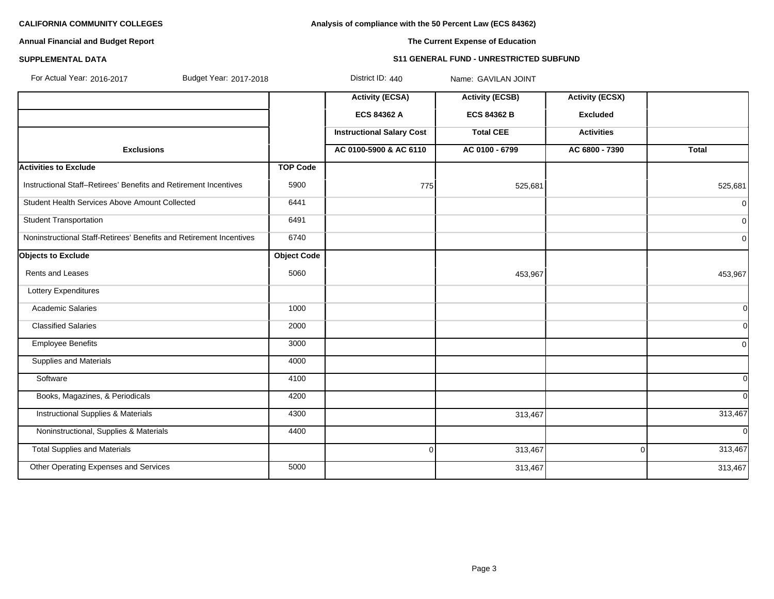**Analysis of compliance with the 50 Percent Law (ECS 84362)**

# **Annual Financial and Budget Report**

# **The Current Expense of Education**

#### **SUPPLEMENTAL DATA S11 GENERAL FUND - UNRESTRICTED SUBFUND**

| For Actual Year: 2016-2017<br>Budget Year: 2017-2018                |                    | District ID: 440                 | Name: GAVILAN JOINT    |                        |                |
|---------------------------------------------------------------------|--------------------|----------------------------------|------------------------|------------------------|----------------|
|                                                                     |                    | <b>Activity (ECSA)</b>           | <b>Activity (ECSB)</b> | <b>Activity (ECSX)</b> |                |
|                                                                     |                    | ECS 84362 A                      | <b>ECS 84362 B</b>     | <b>Excluded</b>        |                |
|                                                                     |                    | <b>Instructional Salary Cost</b> | <b>Total CEE</b>       | <b>Activities</b>      |                |
| <b>Exclusions</b>                                                   |                    | AC 0100-5900 & AC 6110           | AC 0100 - 6799         | AC 6800 - 7390         | <b>Total</b>   |
| <b>Activities to Exclude</b>                                        | <b>TOP Code</b>    |                                  |                        |                        |                |
| Instructional Staff-Retirees' Benefits and Retirement Incentives    | 5900               | 775                              | 525,681                |                        | 525,681        |
| Student Health Services Above Amount Collected                      | 6441               |                                  |                        |                        | $\overline{0}$ |
| <b>Student Transportation</b>                                       | 6491               |                                  |                        |                        | $\overline{0}$ |
| Noninstructional Staff-Retirees' Benefits and Retirement Incentives | 6740               |                                  |                        |                        | $\overline{0}$ |
| <b>Objects to Exclude</b>                                           | <b>Object Code</b> |                                  |                        |                        |                |
| <b>Rents and Leases</b>                                             | 5060               |                                  | 453,967                |                        | 453,967        |
| Lottery Expenditures                                                |                    |                                  |                        |                        |                |
| <b>Academic Salaries</b>                                            | 1000               |                                  |                        |                        | 0l             |
| <b>Classified Salaries</b>                                          | 2000               |                                  |                        |                        | 0l             |
| <b>Employee Benefits</b>                                            | 3000               |                                  |                        |                        | $\Omega$       |
| <b>Supplies and Materials</b>                                       | 4000               |                                  |                        |                        |                |
| Software                                                            | 4100               |                                  |                        |                        | $\overline{0}$ |
| Books, Magazines, & Periodicals                                     | 4200               |                                  |                        |                        | $\Omega$       |
| <b>Instructional Supplies &amp; Materials</b>                       | 4300               |                                  | 313,467                |                        | 313,467        |
| Noninstructional, Supplies & Materials                              | 4400               |                                  |                        |                        | <sup>ol</sup>  |
| <b>Total Supplies and Materials</b>                                 |                    | $\overline{0}$                   | 313,467                | $\Omega$               | 313,467        |
| Other Operating Expenses and Services                               | 5000               |                                  | 313,467                |                        | 313,467        |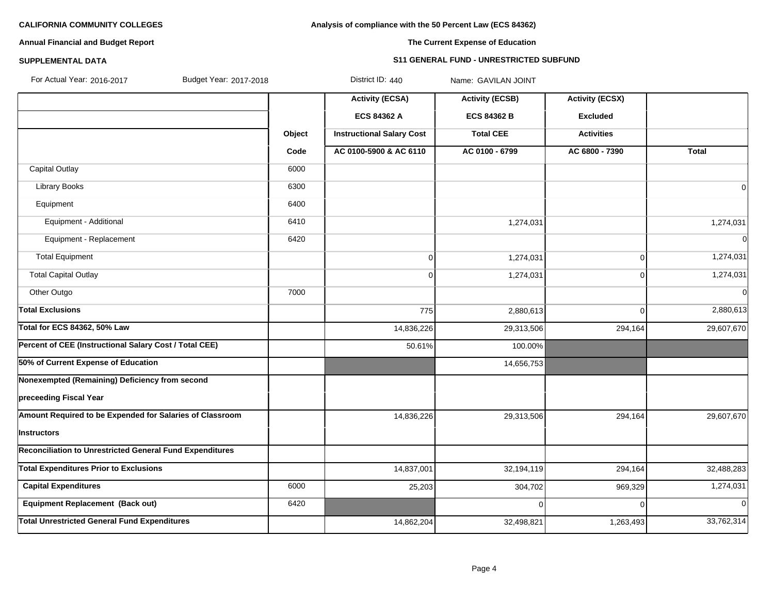# **Analysis of compliance with the 50 Percent Law (ECS 84362)**

# **Annual Financial and Budget Report**

# **The Current Expense of Education**

# **SUPPLEMENTAL DATA S11 GENERAL FUND - UNRESTRICTED SUBFUND**

Budget Year: 2017-2018 **District ID: 440** Name: GAVILAN JOINT

|                                                                 |        | <b>Activity (ECSA)</b>           | <b>Activity (ECSB)</b> | <b>Activity (ECSX)</b> |              |
|-----------------------------------------------------------------|--------|----------------------------------|------------------------|------------------------|--------------|
|                                                                 |        | ECS 84362 A                      | <b>ECS 84362 B</b>     | <b>Excluded</b>        |              |
|                                                                 | Object | <b>Instructional Salary Cost</b> | <b>Total CEE</b>       | <b>Activities</b>      |              |
|                                                                 | Code   | AC 0100-5900 & AC 6110           | AC 0100 - 6799         | AC 6800 - 7390         | <b>Total</b> |
| Capital Outlay                                                  | 6000   |                                  |                        |                        |              |
| <b>Library Books</b>                                            | 6300   |                                  |                        |                        | 0            |
| Equipment                                                       | 6400   |                                  |                        |                        |              |
| Equipment - Additional                                          | 6410   |                                  | 1,274,031              |                        | 1,274,031    |
| Equipment - Replacement                                         | 6420   |                                  |                        |                        | $\Omega$     |
| <b>Total Equipment</b>                                          |        | $\mathbf 0$                      | 1,274,031              | 0                      | 1,274,031    |
| <b>Total Capital Outlay</b>                                     |        | $\Omega$                         | 1,274,031              | 0                      | 1,274,031    |
| Other Outgo                                                     | 7000   |                                  |                        |                        | $\mathbf 0$  |
| <b>Total Exclusions</b>                                         |        | 775                              | 2,880,613              | 0                      | 2,880,613    |
| <b>Total for ECS 84362, 50% Law</b>                             |        | 14,836,226                       | 29,313,506             | 294,164                | 29,607,670   |
| Percent of CEE (Instructional Salary Cost / Total CEE)          |        | 50.61%                           | 100.00%                |                        |              |
| 50% of Current Expense of Education                             |        |                                  | 14,656,753             |                        |              |
| Nonexempted (Remaining) Deficiency from second                  |        |                                  |                        |                        |              |
| preceeding Fiscal Year                                          |        |                                  |                        |                        |              |
| Amount Required to be Expended for Salaries of Classroom        |        | 14,836,226                       | 29,313,506             | 294,164                | 29,607,670   |
| Instructors                                                     |        |                                  |                        |                        |              |
| <b>Reconciliation to Unrestricted General Fund Expenditures</b> |        |                                  |                        |                        |              |
| <b>Total Expenditures Prior to Exclusions</b>                   |        | 14,837,001                       | 32,194,119             | 294,164                | 32,488,283   |
| <b>Capital Expenditures</b>                                     | 6000   | 25,203                           | 304,702                | 969,329                | 1,274,031    |
| <b>Equipment Replacement (Back out)</b>                         | 6420   |                                  | $\Omega$               | 0                      | $\mathbf 0$  |
| <b>Total Unrestricted General Fund Expenditures</b>             |        | 14,862,204                       | 32,498,821             | 1,263,493              | 33,762,314   |
|                                                                 |        |                                  |                        |                        |              |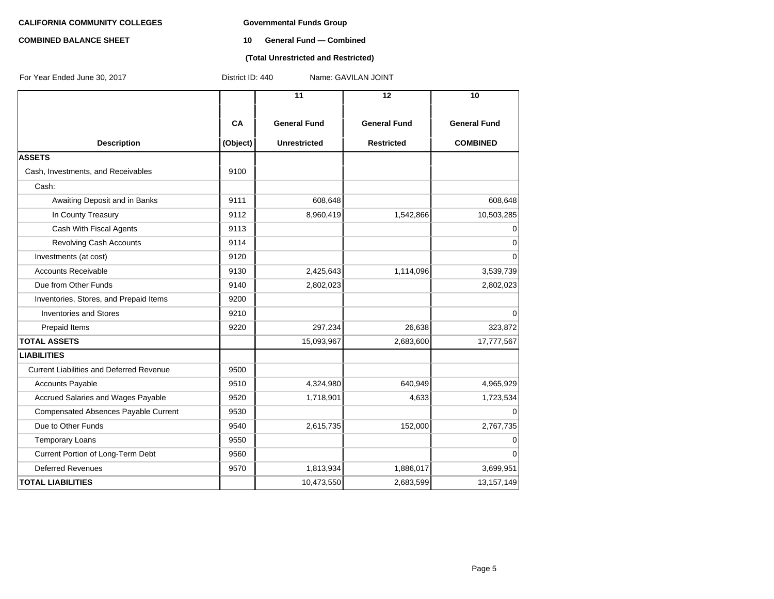#### **COMBINED BALANCE SHEET 10 General Fund — Combined**

### **(Total Unrestricted and Restricted)**

| For Year Ended June 30, 2017                | District ID: 440<br>Name: GAVILAN JOINT |                     |                     |                     |  |  |
|---------------------------------------------|-----------------------------------------|---------------------|---------------------|---------------------|--|--|
|                                             |                                         | 11                  | 12                  | 10                  |  |  |
|                                             | CA                                      | <b>General Fund</b> | <b>General Fund</b> | <b>General Fund</b> |  |  |
| <b>Description</b><br><b>ASSETS</b>         | (Object)                                | <b>Unrestricted</b> | <b>Restricted</b>   | <b>COMBINED</b>     |  |  |
|                                             | 9100                                    |                     |                     |                     |  |  |
| Cash, Investments, and Receivables          |                                         |                     |                     |                     |  |  |
| Cash:                                       |                                         |                     |                     |                     |  |  |
| Awaiting Deposit and in Banks               | 9111                                    | 608,648             |                     | 608,648             |  |  |
| In County Treasury                          | 9112                                    | 8,960,419           | 1,542,866           | 10,503,285          |  |  |
| Cash With Fiscal Agents                     | 9113                                    |                     |                     | 0                   |  |  |
| <b>Revolving Cash Accounts</b>              | 9114                                    |                     |                     | $\mathbf 0$         |  |  |
| Investments (at cost)                       | 9120                                    |                     |                     | $\Omega$            |  |  |
| <b>Accounts Receivable</b>                  | 9130                                    | 2,425,643           | 1,114,096           | 3,539,739           |  |  |
| Due from Other Funds                        | 9140                                    | 2,802,023           |                     | 2,802,023           |  |  |
| Inventories, Stores, and Prepaid Items      | 9200                                    |                     |                     |                     |  |  |
| <b>Inventories and Stores</b>               | 9210                                    |                     |                     | 0                   |  |  |
| Prepaid Items                               | 9220                                    | 297,234             | 26,638              | 323,872             |  |  |
| <b>TOTAL ASSETS</b>                         |                                         | 15,093,967          | 2,683,600           | 17,777,567          |  |  |
| <b>LIABILITIES</b>                          |                                         |                     |                     |                     |  |  |
| Current Liabilities and Deferred Revenue    | 9500                                    |                     |                     |                     |  |  |
| <b>Accounts Payable</b>                     | 9510                                    | 4,324,980           | 640,949             | 4,965,929           |  |  |
| Accrued Salaries and Wages Payable          | 9520                                    | 1,718,901           | 4,633               | 1,723,534           |  |  |
| <b>Compensated Absences Payable Current</b> | 9530                                    |                     |                     | O                   |  |  |
| Due to Other Funds                          | 9540                                    | 2,615,735           | 152,000             | 2,767,735           |  |  |
| <b>Temporary Loans</b>                      | 9550                                    |                     |                     | 0                   |  |  |
| Current Portion of Long-Term Debt           | 9560                                    |                     |                     | $\overline{0}$      |  |  |
| <b>Deferred Revenues</b>                    | 9570                                    | 1,813,934           | 1,886,017           | 3,699,951           |  |  |
| <b>TOTAL LIABILITIES</b>                    |                                         | 10,473,550          | 2,683,599           | 13,157,149          |  |  |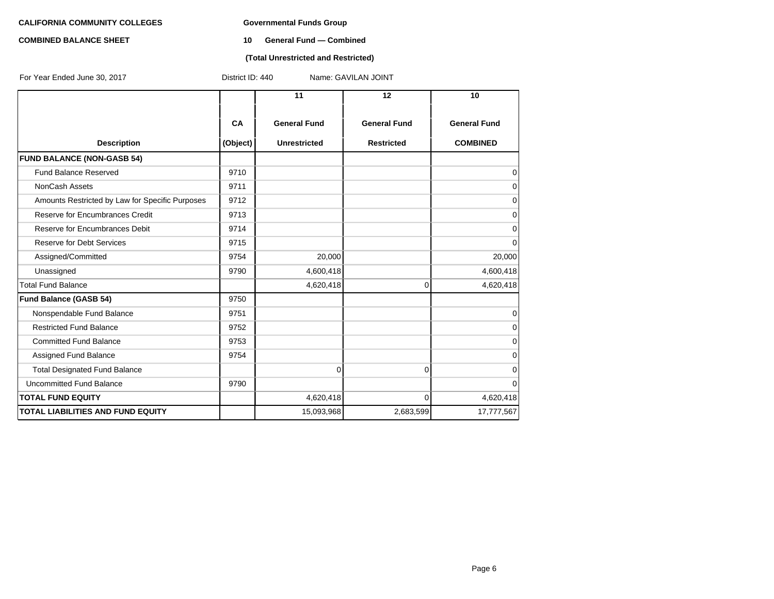#### **COMBINED BALANCE SHEET 10 General Fund — Combined**

### **(Total Unrestricted and Restricted)**

| For Year Ended June 30, 2017                    | District ID: 440 |                     | Name: GAVILAN JOINT |                     |
|-------------------------------------------------|------------------|---------------------|---------------------|---------------------|
|                                                 |                  | 11                  | 12                  | 10                  |
|                                                 | <b>CA</b>        | <b>General Fund</b> | <b>General Fund</b> | <b>General Fund</b> |
| <b>Description</b>                              | (Object)         | <b>Unrestricted</b> | <b>Restricted</b>   | <b>COMBINED</b>     |
| <b>FUND BALANCE (NON-GASB 54)</b>               |                  |                     |                     |                     |
| <b>Fund Balance Reserved</b>                    | 9710             |                     |                     | 0                   |
| <b>NonCash Assets</b>                           | 9711             |                     |                     | 0                   |
| Amounts Restricted by Law for Specific Purposes | 9712             |                     |                     | 0                   |
| Reserve for Encumbrances Credit                 | 9713             |                     |                     | 0                   |
| Reserve for Encumbrances Debit                  | 9714             |                     |                     | $\mathbf 0$         |
| <b>Reserve for Debt Services</b>                | 9715             |                     |                     | $\mathbf 0$         |
| Assigned/Committed                              | 9754             | 20,000              |                     | 20,000              |
| Unassigned                                      | 9790             | 4,600,418           |                     | 4,600,418           |
| <b>Total Fund Balance</b>                       |                  | 4,620,418           | $\overline{0}$      | 4,620,418           |
| Fund Balance (GASB 54)                          | 9750             |                     |                     |                     |
| Nonspendable Fund Balance                       | 9751             |                     |                     | $\mathbf 0$         |
| <b>Restricted Fund Balance</b>                  | 9752             |                     |                     | $\Omega$            |
| <b>Committed Fund Balance</b>                   | 9753             |                     |                     | $\mathbf 0$         |
| Assigned Fund Balance                           | 9754             |                     |                     | $\Omega$            |
| <b>Total Designated Fund Balance</b>            |                  | $\overline{0}$      | $\overline{0}$      | $\mathbf 0$         |
| <b>Uncommitted Fund Balance</b>                 | 9790             |                     |                     | $\Omega$            |
| <b>TOTAL FUND EQUITY</b>                        |                  | 4,620,418           | $\Omega$            | 4,620,418           |
| <b>TOTAL LIABILITIES AND FUND EQUITY</b>        |                  | 15,093,968          | 2,683,599           | 17,777,567          |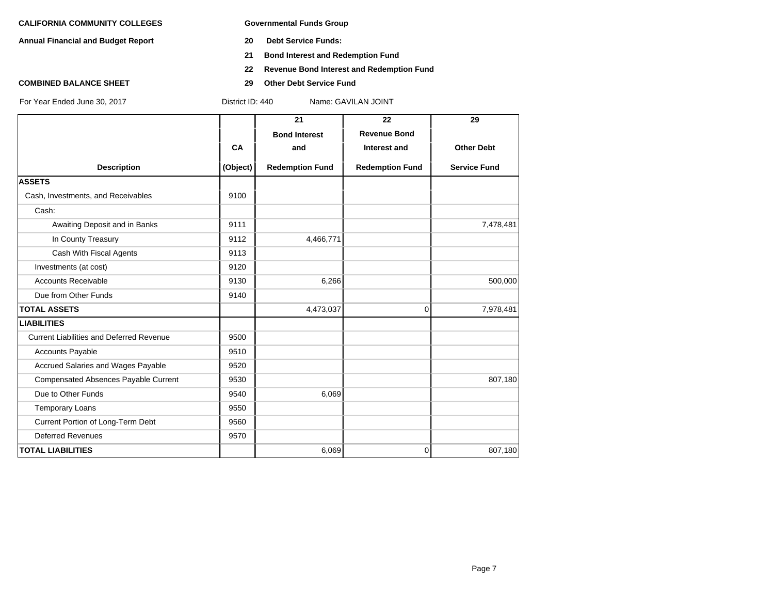**Annual Financial and Budget Report 20 Debt Service Funds:**

- 
- **21 Bond Interest and Redemption Fund**
- **22 Revenue Bond Interest and Redemption Fund**
- **COMBINED BALANCE SHEET 29 Other Debt Service Fund**

|                                                 |           | 21                     | 22                     | 29                  |
|-------------------------------------------------|-----------|------------------------|------------------------|---------------------|
|                                                 |           | <b>Bond Interest</b>   | <b>Revenue Bond</b>    |                     |
|                                                 | <b>CA</b> | and                    | Interest and           | <b>Other Debt</b>   |
| <b>Description</b>                              | (Object)  | <b>Redemption Fund</b> | <b>Redemption Fund</b> | <b>Service Fund</b> |
| <b>ASSETS</b>                                   |           |                        |                        |                     |
| Cash, Investments, and Receivables              | 9100      |                        |                        |                     |
| Cash:                                           |           |                        |                        |                     |
| Awaiting Deposit and in Banks                   | 9111      |                        |                        | 7,478,481           |
| In County Treasury                              | 9112      | 4,466,771              |                        |                     |
| Cash With Fiscal Agents                         | 9113      |                        |                        |                     |
| Investments (at cost)                           | 9120      |                        |                        |                     |
| <b>Accounts Receivable</b>                      | 9130      | 6,266                  |                        | 500,000             |
| Due from Other Funds                            | 9140      |                        |                        |                     |
| <b>TOTAL ASSETS</b>                             |           | 4,473,037              | $\Omega$               | 7,978,481           |
| <b>LIABILITIES</b>                              |           |                        |                        |                     |
| <b>Current Liabilities and Deferred Revenue</b> | 9500      |                        |                        |                     |
| <b>Accounts Payable</b>                         | 9510      |                        |                        |                     |
| Accrued Salaries and Wages Payable              | 9520      |                        |                        |                     |
| Compensated Absences Payable Current            | 9530      |                        |                        | 807,180             |
| Due to Other Funds                              | 9540      | 6,069                  |                        |                     |
| <b>Temporary Loans</b>                          | 9550      |                        |                        |                     |
| Current Portion of Long-Term Debt               | 9560      |                        |                        |                     |
| <b>Deferred Revenues</b>                        | 9570      |                        |                        |                     |
| <b>TOTAL LIABILITIES</b>                        |           | 6,069                  | $\overline{0}$         | 807,180             |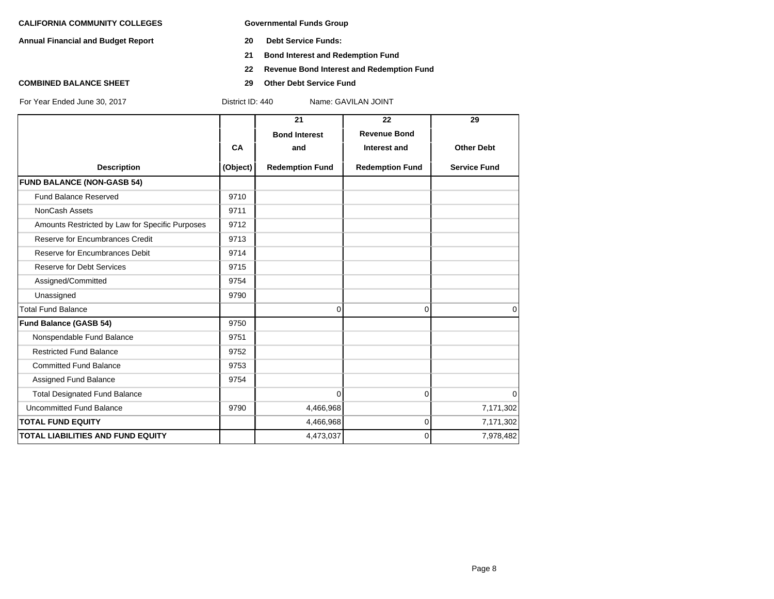**Annual Financial and Budget Report 20 Debt Service Funds:**

- 
- **21 Bond Interest and Redemption Fund**
- **22 Revenue Bond Interest and Redemption Fund**
- **COMBINED BALANCE SHEET 29 Other Debt Service Fund**

|                                                 |          | 21                     | 22                     | 29                  |
|-------------------------------------------------|----------|------------------------|------------------------|---------------------|
|                                                 |          | <b>Bond Interest</b>   | <b>Revenue Bond</b>    |                     |
|                                                 | CA       | and                    | Interest and           | <b>Other Debt</b>   |
| <b>Description</b>                              | (Object) | <b>Redemption Fund</b> | <b>Redemption Fund</b> | <b>Service Fund</b> |
| <b>FUND BALANCE (NON-GASB 54)</b>               |          |                        |                        |                     |
| <b>Fund Balance Reserved</b>                    | 9710     |                        |                        |                     |
| NonCash Assets                                  | 9711     |                        |                        |                     |
| Amounts Restricted by Law for Specific Purposes | 9712     |                        |                        |                     |
| Reserve for Encumbrances Credit                 | 9713     |                        |                        |                     |
| Reserve for Encumbrances Debit                  | 9714     |                        |                        |                     |
| <b>Reserve for Debt Services</b>                | 9715     |                        |                        |                     |
| Assigned/Committed                              | 9754     |                        |                        |                     |
| Unassigned                                      | 9790     |                        |                        |                     |
| <b>Total Fund Balance</b>                       |          | 0                      | $\Omega$               | 0                   |
| Fund Balance (GASB 54)                          | 9750     |                        |                        |                     |
| Nonspendable Fund Balance                       | 9751     |                        |                        |                     |
| <b>Restricted Fund Balance</b>                  | 9752     |                        |                        |                     |
| <b>Committed Fund Balance</b>                   | 9753     |                        |                        |                     |
| Assigned Fund Balance                           | 9754     |                        |                        |                     |
| <b>Total Designated Fund Balance</b>            |          | $\Omega$               | $\Omega$               | $\Omega$            |
| <b>Uncommitted Fund Balance</b>                 | 9790     | 4,466,968              |                        | 7,171,302           |
| <b>TOTAL FUND EQUITY</b>                        |          | 4,466,968              | 0                      | 7,171,302           |
| <b>TOTAL LIABILITIES AND FUND EQUITY</b>        |          | 4,473,037              | $\Omega$               | 7,978,482           |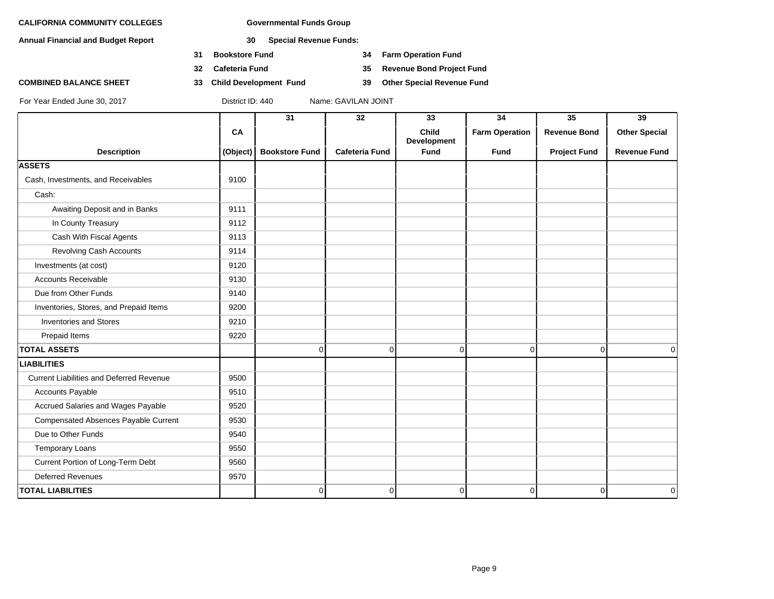**Annual Financial and Budget Report 30 Special Revenue Funds:**

- **31 Bookstore Fund 34 Farm Operation Fund**
- 
- **COMBINED BALANCE SHEET 33 Child Development Fund 39 Other Special Revenue Fund**

**32 Cafeteria Fund 35 Revenue Bond Project Fund**

|                                                 |           | 31                    | 32                    | 33                                 | 34                    | $\overline{35}$     | 39                   |
|-------------------------------------------------|-----------|-----------------------|-----------------------|------------------------------------|-----------------------|---------------------|----------------------|
|                                                 | <b>CA</b> |                       |                       | <b>Child</b><br><b>Development</b> | <b>Farm Operation</b> | <b>Revenue Bond</b> | <b>Other Special</b> |
| <b>Description</b>                              | (Object)  | <b>Bookstore Fund</b> | <b>Cafeteria Fund</b> | Fund                               | <b>Fund</b>           | <b>Project Fund</b> | <b>Revenue Fund</b>  |
| <b>ASSETS</b>                                   |           |                       |                       |                                    |                       |                     |                      |
| Cash, Investments, and Receivables              | 9100      |                       |                       |                                    |                       |                     |                      |
| Cash:                                           |           |                       |                       |                                    |                       |                     |                      |
| Awaiting Deposit and in Banks                   | 9111      |                       |                       |                                    |                       |                     |                      |
| In County Treasury                              | 9112      |                       |                       |                                    |                       |                     |                      |
| Cash With Fiscal Agents                         | 9113      |                       |                       |                                    |                       |                     |                      |
| Revolving Cash Accounts                         | 9114      |                       |                       |                                    |                       |                     |                      |
| Investments (at cost)                           | 9120      |                       |                       |                                    |                       |                     |                      |
| <b>Accounts Receivable</b>                      | 9130      |                       |                       |                                    |                       |                     |                      |
| Due from Other Funds                            | 9140      |                       |                       |                                    |                       |                     |                      |
| Inventories, Stores, and Prepaid Items          | 9200      |                       |                       |                                    |                       |                     |                      |
| <b>Inventories and Stores</b>                   | 9210      |                       |                       |                                    |                       |                     |                      |
| Prepaid Items                                   | 9220      |                       |                       |                                    |                       |                     |                      |
| <b>TOTAL ASSETS</b>                             |           | 0                     | $\overline{0}$        | $\overline{0}$                     | $\overline{0}$        | $\overline{0}$      | 0                    |
| <b>LIABILITIES</b>                              |           |                       |                       |                                    |                       |                     |                      |
| <b>Current Liabilities and Deferred Revenue</b> | 9500      |                       |                       |                                    |                       |                     |                      |
| <b>Accounts Payable</b>                         | 9510      |                       |                       |                                    |                       |                     |                      |
| Accrued Salaries and Wages Payable              | 9520      |                       |                       |                                    |                       |                     |                      |
| Compensated Absences Payable Current            | 9530      |                       |                       |                                    |                       |                     |                      |
| Due to Other Funds                              | 9540      |                       |                       |                                    |                       |                     |                      |
| <b>Temporary Loans</b>                          | 9550      |                       |                       |                                    |                       |                     |                      |
| Current Portion of Long-Term Debt               | 9560      |                       |                       |                                    |                       |                     |                      |
| <b>Deferred Revenues</b>                        | 9570      |                       |                       |                                    |                       |                     |                      |
| <b>TOTAL LIABILITIES</b>                        |           | 0                     | $\overline{0}$        | $\overline{0}$                     | 0                     | 0                   | 0                    |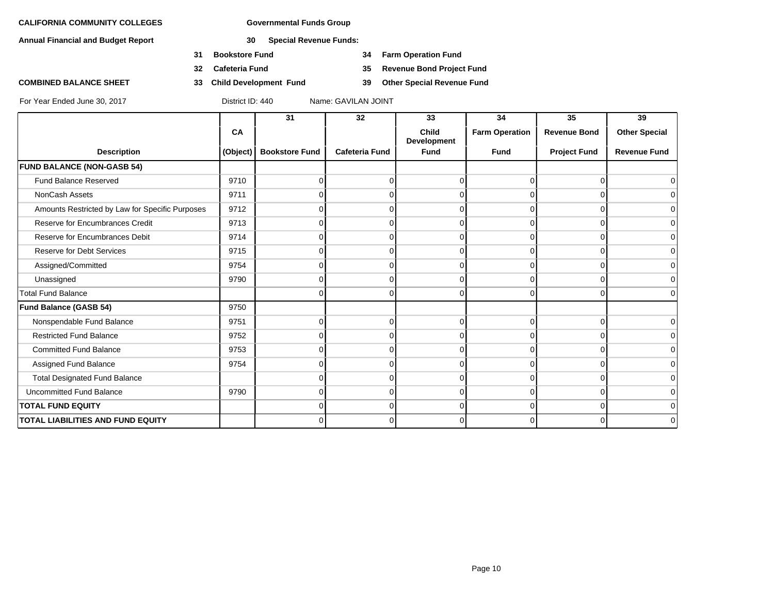**Annual Financial and Budget Report 30 Special Revenue Funds:**

- **31 Bookstore Fund 34 Farm Operation Fund**
- 
- **COMBINED BALANCE SHEET 33 Child Development Fund 39 Other Special Revenue Fund**

**32 Cafeteria Fund 35 Revenue Bond Project Fund**

|                                                 |          | 31                    | 32                    | 33                   | 34                    | 35                  | 39                   |
|-------------------------------------------------|----------|-----------------------|-----------------------|----------------------|-----------------------|---------------------|----------------------|
|                                                 | CA       |                       |                       | Child<br>Development | <b>Farm Operation</b> | <b>Revenue Bond</b> | <b>Other Special</b> |
| <b>Description</b>                              | (Object) | <b>Bookstore Fund</b> | <b>Cafeteria Fund</b> | <b>Fund</b>          | <b>Fund</b>           | <b>Project Fund</b> | <b>Revenue Fund</b>  |
| <b>FUND BALANCE (NON-GASB 54)</b>               |          |                       |                       |                      |                       |                     |                      |
| <b>Fund Balance Reserved</b>                    | 9710     | $\Omega$              | 0                     | $\Omega$             | $\Omega$              | 0                   | $\Omega$             |
| NonCash Assets                                  | 9711     | ∩                     |                       | $\Omega$             | 0                     | $\Omega$            | $\overline{0}$       |
| Amounts Restricted by Law for Specific Purposes | 9712     |                       |                       | U                    |                       |                     | $\overline{0}$       |
| Reserve for Encumbrances Credit                 | 9713     | O                     | <sup>n</sup>          | $\Omega$             | $\Omega$              | $\Omega$            | $\overline{0}$       |
| Reserve for Encumbrances Debit                  | 9714     | O                     |                       | $\Omega$             | $\Omega$              | $\Omega$            | $\overline{0}$       |
| <b>Reserve for Debt Services</b>                | 9715     |                       |                       | $\Omega$             | 0                     | O                   | $\overline{0}$       |
| Assigned/Committed                              | 9754     | U                     |                       | $\Omega$             | $\Omega$              | $\Omega$            | $\overline{0}$       |
| Unassigned                                      | 9790     | $\Omega$              | <sup>0</sup>          | $\Omega$             | $\Omega$              | 0                   | $\overline{0}$       |
| <b>Total Fund Balance</b>                       |          | 0                     | 0                     | $\Omega$             | 0                     | 0                   | $\Omega$             |
| Fund Balance (GASB 54)                          | 9750     |                       |                       |                      |                       |                     |                      |
| Nonspendable Fund Balance                       | 9751     | $\Omega$              | $\Omega$              | $\Omega$             | $\Omega$              | $\Omega$            | $\overline{0}$       |
| <b>Restricted Fund Balance</b>                  | 9752     | ∩                     |                       | $\Omega$             | <sup>0</sup>          | $\Omega$            | $\overline{0}$       |
| <b>Committed Fund Balance</b>                   | 9753     | ∩                     |                       | $\Omega$             | $\Omega$              | $\Omega$            | $\overline{0}$       |
| Assigned Fund Balance                           | 9754     | 0                     | 0                     | $\Omega$             | $\Omega$              | $\Omega$            | $\overline{0}$       |
| <b>Total Designated Fund Balance</b>            |          |                       |                       | $\Omega$             | $\Omega$              | O                   | $\overline{0}$       |
| <b>Uncommitted Fund Balance</b>                 | 9790     | $\Omega$              | <sup>0</sup>          | $\Omega$             | $\Omega$              | $\Omega$            | $\overline{0}$       |
| <b>TOTAL FUND EQUITY</b>                        |          | 0                     | 0                     | $\overline{0}$       | $\overline{0}$        | $\Omega$            | $\overline{0}$       |
| <b>TOTAL LIABILITIES AND FUND EQUITY</b>        |          | O                     | <sup>0</sup>          | $\Omega$             | $\Omega$              | U                   | $\overline{0}$       |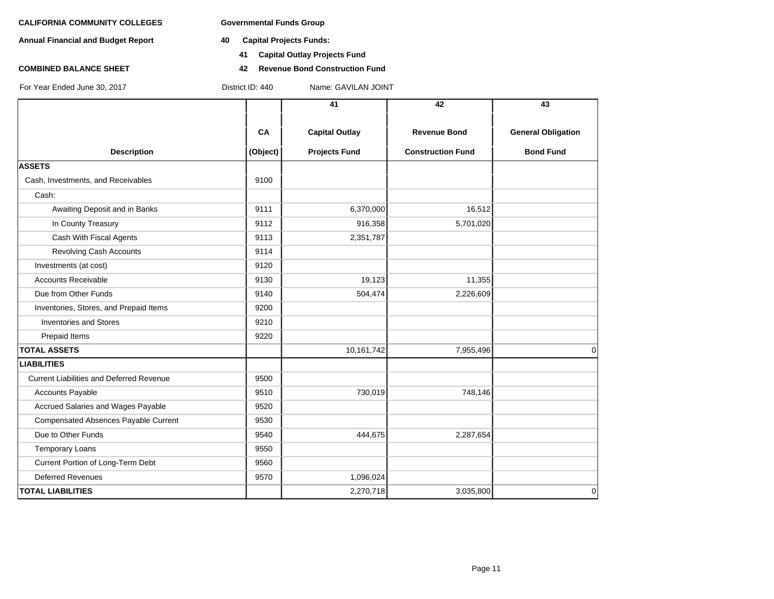- **Annual Financial and Budget Report 40 Capital Projects Funds:**
	- **41 Capital Outlay Projects Fund**
- **COMBINED BALANCE SHEET 42 Revenue Bond Construction Fund**

|                                                 |          | 41                    | 42                       | 43                        |
|-------------------------------------------------|----------|-----------------------|--------------------------|---------------------------|
|                                                 | CA       | <b>Capital Outlay</b> | <b>Revenue Bond</b>      | <b>General Obligation</b> |
| <b>Description</b>                              | (Object) | <b>Projects Fund</b>  | <b>Construction Fund</b> | <b>Bond Fund</b>          |
| <b>ASSETS</b>                                   |          |                       |                          |                           |
| Cash, Investments, and Receivables              | 9100     |                       |                          |                           |
| Cash:                                           |          |                       |                          |                           |
| Awaiting Deposit and in Banks                   | 9111     | 6,370,000             | 16,512                   |                           |
| In County Treasury                              | 9112     | 916,358               | 5,701,020                |                           |
| Cash With Fiscal Agents                         | 9113     | 2,351,787             |                          |                           |
| Revolving Cash Accounts                         | 9114     |                       |                          |                           |
| Investments (at cost)                           | 9120     |                       |                          |                           |
| <b>Accounts Receivable</b>                      | 9130     | 19,123                | 11,355                   |                           |
| Due from Other Funds                            | 9140     | 504,474               | 2,226,609                |                           |
| Inventories, Stores, and Prepaid Items          | 9200     |                       |                          |                           |
| <b>Inventories and Stores</b>                   | 9210     |                       |                          |                           |
| Prepaid Items                                   | 9220     |                       |                          |                           |
| <b>TOTAL ASSETS</b>                             |          | 10,161,742            | 7,955,496                | $\Omega$                  |
| <b>LIABILITIES</b>                              |          |                       |                          |                           |
| <b>Current Liabilities and Deferred Revenue</b> | 9500     |                       |                          |                           |
| <b>Accounts Payable</b>                         | 9510     | 730,019               | 748,146                  |                           |
| Accrued Salaries and Wages Payable              | 9520     |                       |                          |                           |
| Compensated Absences Payable Current            | 9530     |                       |                          |                           |
| Due to Other Funds                              | 9540     | 444,675               | 2,287,654                |                           |
| <b>Temporary Loans</b>                          | 9550     |                       |                          |                           |
| Current Portion of Long-Term Debt               | 9560     |                       |                          |                           |
| <b>Deferred Revenues</b>                        | 9570     | 1,096,024             |                          |                           |
| <b>TOTAL LIABILITIES</b>                        |          | 2,270,718             | 3,035,800                | 0                         |
|                                                 |          |                       |                          |                           |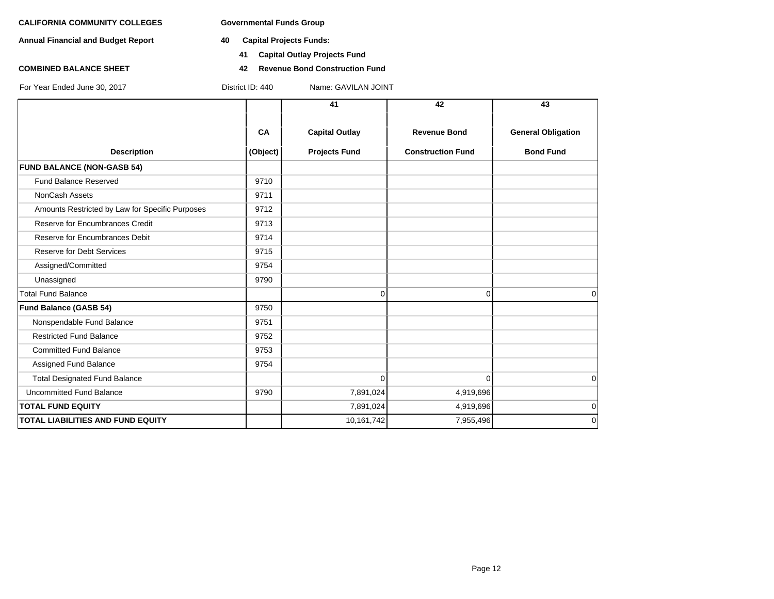**Annual Financial and Budget Report 40 Capital Projects Funds:**

- - **41 Capital Outlay Projects Fund**
- **COMBINED BALANCE SHEET 42 Revenue Bond Construction Fund**

|                                                 |          | 41                    | 42                       | 43                        |
|-------------------------------------------------|----------|-----------------------|--------------------------|---------------------------|
|                                                 | CA       | <b>Capital Outlay</b> | <b>Revenue Bond</b>      | <b>General Obligation</b> |
| <b>Description</b>                              | (Object) | <b>Projects Fund</b>  | <b>Construction Fund</b> | <b>Bond Fund</b>          |
| <b>FUND BALANCE (NON-GASB 54)</b>               |          |                       |                          |                           |
| <b>Fund Balance Reserved</b>                    | 9710     |                       |                          |                           |
| NonCash Assets                                  | 9711     |                       |                          |                           |
| Amounts Restricted by Law for Specific Purposes | 9712     |                       |                          |                           |
| Reserve for Encumbrances Credit                 | 9713     |                       |                          |                           |
| Reserve for Encumbrances Debit                  | 9714     |                       |                          |                           |
| <b>Reserve for Debt Services</b>                | 9715     |                       |                          |                           |
| Assigned/Committed                              | 9754     |                       |                          |                           |
| Unassigned                                      | 9790     |                       |                          |                           |
| <b>Total Fund Balance</b>                       |          | 0                     | $\Omega$                 | $\Omega$                  |
| Fund Balance (GASB 54)                          | 9750     |                       |                          |                           |
| Nonspendable Fund Balance                       | 9751     |                       |                          |                           |
| <b>Restricted Fund Balance</b>                  | 9752     |                       |                          |                           |
| <b>Committed Fund Balance</b>                   | 9753     |                       |                          |                           |
| Assigned Fund Balance                           | 9754     |                       |                          |                           |
| <b>Total Designated Fund Balance</b>            |          | $\Omega$              | $\Omega$                 | 0                         |
| <b>Uncommitted Fund Balance</b>                 | 9790     | 7,891,024             | 4,919,696                |                           |
| <b>TOTAL FUND EQUITY</b>                        |          | 7,891,024             | 4,919,696                | 0                         |
| <b>TOTAL LIABILITIES AND FUND EQUITY</b>        |          | 10,161,742            | 7,955,496                | $\Omega$                  |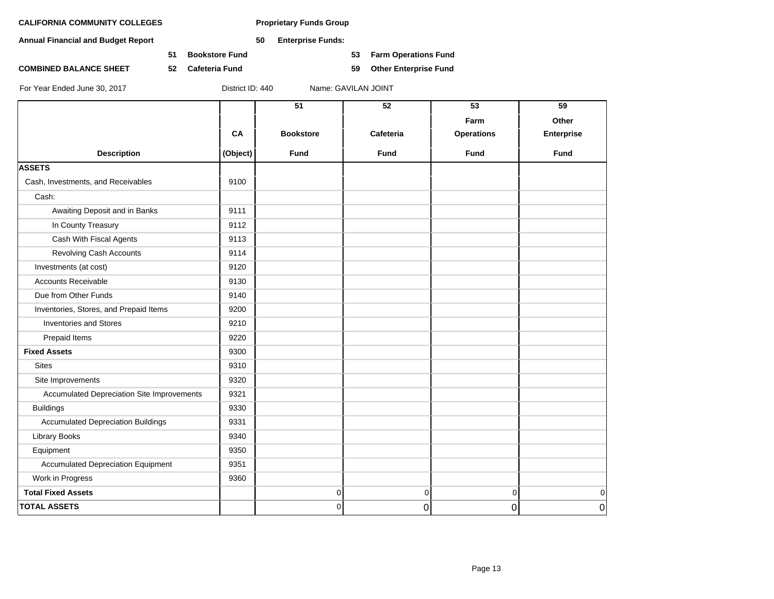**Annual Financial and Budget Report 50 Enterprise Funds:**

**51 Bookstore Fund 53 Farm Operations Fund**

**COMBINED BALANCE SHEET 52 Cafeteria Fund 59 Other Enterprise Fund**

| ame: GAVILAN JOINT |  |
|--------------------|--|
|                    |  |

|                                            |          | $\overline{51}$  | 52        | 53                | 59                |
|--------------------------------------------|----------|------------------|-----------|-------------------|-------------------|
|                                            |          |                  |           | Farm              | Other             |
|                                            | CA       | <b>Bookstore</b> | Cafeteria | <b>Operations</b> | <b>Enterprise</b> |
| <b>Description</b>                         | (Object) | <b>Fund</b>      | Fund      | <b>Fund</b>       | Fund              |
| <b>ASSETS</b>                              |          |                  |           |                   |                   |
| Cash, Investments, and Receivables         | 9100     |                  |           |                   |                   |
| Cash:                                      |          |                  |           |                   |                   |
| Awaiting Deposit and in Banks              | 9111     |                  |           |                   |                   |
| In County Treasury                         | 9112     |                  |           |                   |                   |
| Cash With Fiscal Agents                    | 9113     |                  |           |                   |                   |
| Revolving Cash Accounts                    | 9114     |                  |           |                   |                   |
| Investments (at cost)                      | 9120     |                  |           |                   |                   |
| <b>Accounts Receivable</b>                 | 9130     |                  |           |                   |                   |
| Due from Other Funds                       | 9140     |                  |           |                   |                   |
| Inventories, Stores, and Prepaid Items     | 9200     |                  |           |                   |                   |
| <b>Inventories and Stores</b>              | 9210     |                  |           |                   |                   |
| Prepaid Items                              | 9220     |                  |           |                   |                   |
| <b>Fixed Assets</b>                        | 9300     |                  |           |                   |                   |
| <b>Sites</b>                               | 9310     |                  |           |                   |                   |
| Site Improvements                          | 9320     |                  |           |                   |                   |
| Accumulated Depreciation Site Improvements | 9321     |                  |           |                   |                   |
| <b>Buildings</b>                           | 9330     |                  |           |                   |                   |
| <b>Accumulated Depreciation Buildings</b>  | 9331     |                  |           |                   |                   |
| Library Books                              | 9340     |                  |           |                   |                   |
| Equipment                                  | 9350     |                  |           |                   |                   |
| <b>Accumulated Depreciation Equipment</b>  | 9351     |                  |           |                   |                   |
| Work in Progress                           | 9360     |                  |           |                   |                   |
| <b>Total Fixed Assets</b>                  |          | 0                | 0         | $\overline{0}$    | 0                 |
| <b>TOTAL ASSETS</b>                        |          | 0                | 0         | $\overline{0}$    | $\overline{0}$    |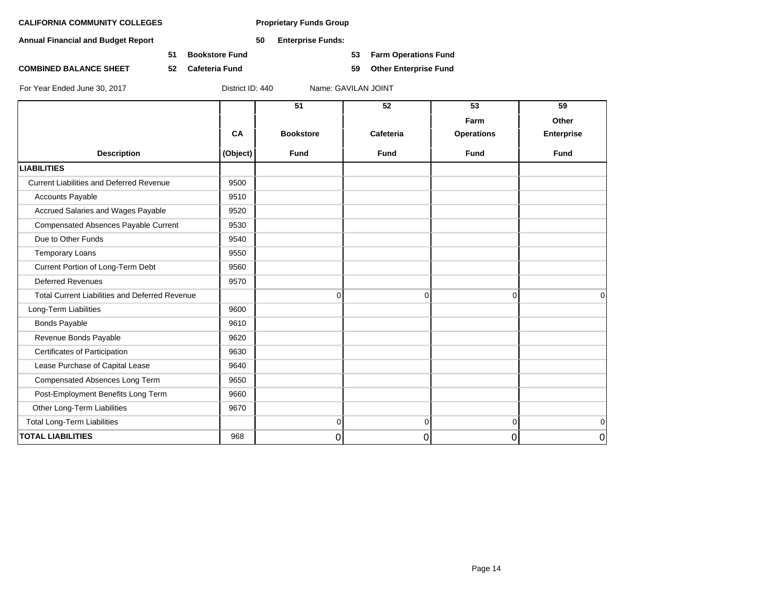**Annual Financial and Budget Report 50 Enterprise Funds:**

**51 Bookstore Fund 53 Farm Operations Fund**

**COMBINED BALANCE SHEET 52 Cafeteria Fund 59 Other Enterprise Fund**

|                                                       |          | 51               | 52             | 53                | 59                |
|-------------------------------------------------------|----------|------------------|----------------|-------------------|-------------------|
|                                                       |          |                  |                | Farm              | Other             |
|                                                       | CA       | <b>Bookstore</b> | Cafeteria      | <b>Operations</b> | <b>Enterprise</b> |
| <b>Description</b>                                    | (Object) | <b>Fund</b>      | <b>Fund</b>    | <b>Fund</b>       | <b>Fund</b>       |
| <b>LIABILITIES</b>                                    |          |                  |                |                   |                   |
| <b>Current Liabilities and Deferred Revenue</b>       | 9500     |                  |                |                   |                   |
| <b>Accounts Payable</b>                               | 9510     |                  |                |                   |                   |
| Accrued Salaries and Wages Payable                    | 9520     |                  |                |                   |                   |
| Compensated Absences Payable Current                  | 9530     |                  |                |                   |                   |
| Due to Other Funds                                    | 9540     |                  |                |                   |                   |
| Temporary Loans                                       | 9550     |                  |                |                   |                   |
| Current Portion of Long-Term Debt                     | 9560     |                  |                |                   |                   |
| <b>Deferred Revenues</b>                              | 9570     |                  |                |                   |                   |
| <b>Total Current Liabilities and Deferred Revenue</b> |          | 0                | $\mathbf 0$    | $\Omega$          | $\Omega$          |
| Long-Term Liabilities                                 | 9600     |                  |                |                   |                   |
| <b>Bonds Payable</b>                                  | 9610     |                  |                |                   |                   |
| Revenue Bonds Payable                                 | 9620     |                  |                |                   |                   |
| Certificates of Participation                         | 9630     |                  |                |                   |                   |
| Lease Purchase of Capital Lease                       | 9640     |                  |                |                   |                   |
| Compensated Absences Long Term                        | 9650     |                  |                |                   |                   |
| Post-Employment Benefits Long Term                    | 9660     |                  |                |                   |                   |
| Other Long-Term Liabilities                           | 9670     |                  |                |                   |                   |
| <b>Total Long-Term Liabilities</b>                    |          | $\overline{0}$   | $\overline{0}$ | $\overline{0}$    | 0                 |
| <b>TOTAL LIABILITIES</b>                              | 968      | 0                | 0              | $\vert$ 0         | 0                 |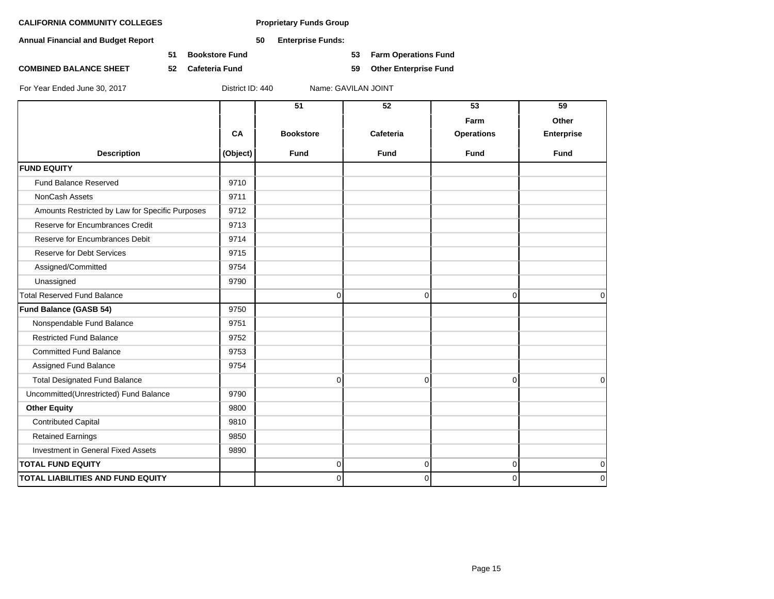**Annual Financial and Budget Report 50 Enterprise Funds:**

**51 Bookstore Fund 53 Farm Operations Fund**

**COMBINED BALANCE SHEET 52 Cafeteria Fund 59 Other Enterprise Fund**

For Year Ended June 30, 2017 District ID: 440 Name: GAVILAN JOINT

**51 52 53 59 Farm Other CA Bookstore Cafeteria Operations Enterprise Description (Object) Fund Fund Fund Fund FUND EQUITY** Fund Balance Reserved 19710 NonCash Assets 8711 Amounts Restricted by Law for Specific Purposes | 9712 Reserve for Encumbrances Credit 19713 Reserve for Encumbrances Debit 19714 Reserve for Debt Services **19715** Assigned/Committed 9754 Unassigned 9790 Total Reserved Fund Balance 0 0 0 0 **Fund Balance (GASB 54)** 9750 Nonspendable Fund Balance 19751 Restricted Fund Balance **19752** Committed Fund Balance 1 2753 Assigned Fund Balance 2008 19754 Total Designated Fund Balance 0 0 0 0 Uncommitted(Unrestricted) Fund Balance | 9790 **Other Equity** 9800 Contributed Capital 2810 Retained Earnings 19850 Investment in General Fixed Assets 19890 **TOTAL FUND EQUITY** 0 0 0 0 **TOTAL LIABILITIES AND FUND EQUITY** 0 0 0 0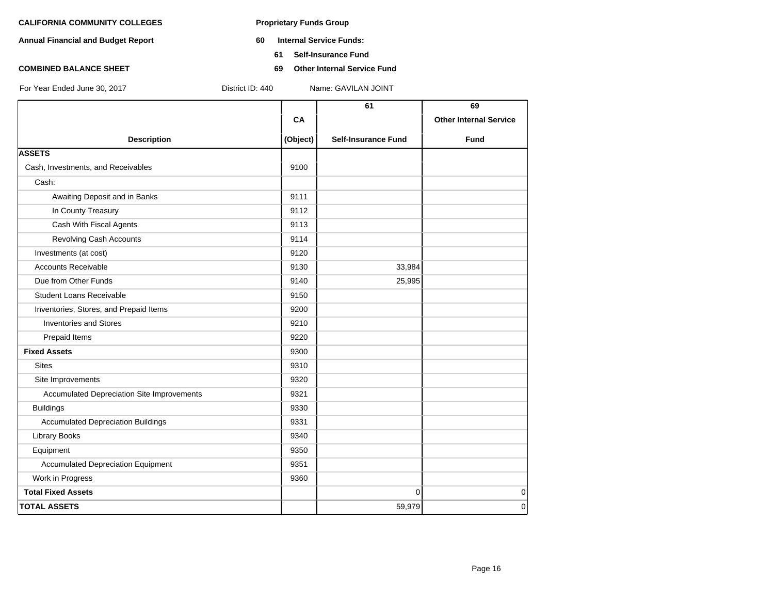- **Annual Financial and Budget Report 60 Internal Service Funds:**
	- **61 Self-Insurance Fund**
- **COMBINED BALANCE SHEET 69 Other Internal Service Fund**

|                                                   |          | 61                         | 69                            |
|---------------------------------------------------|----------|----------------------------|-------------------------------|
|                                                   | CA       |                            | <b>Other Internal Service</b> |
|                                                   |          |                            |                               |
| <b>Description</b>                                | (Object) | <b>Self-Insurance Fund</b> | <b>Fund</b>                   |
| <b>ASSETS</b>                                     |          |                            |                               |
| Cash, Investments, and Receivables                | 9100     |                            |                               |
| Cash:                                             |          |                            |                               |
| Awaiting Deposit and in Banks                     | 9111     |                            |                               |
| In County Treasury                                | 9112     |                            |                               |
| Cash With Fiscal Agents                           | 9113     |                            |                               |
| <b>Revolving Cash Accounts</b>                    | 9114     |                            |                               |
| Investments (at cost)                             | 9120     |                            |                               |
| <b>Accounts Receivable</b>                        | 9130     | 33,984                     |                               |
| Due from Other Funds                              | 9140     | 25,995                     |                               |
| <b>Student Loans Receivable</b>                   | 9150     |                            |                               |
| Inventories, Stores, and Prepaid Items            | 9200     |                            |                               |
| <b>Inventories and Stores</b>                     | 9210     |                            |                               |
| Prepaid Items                                     | 9220     |                            |                               |
| <b>Fixed Assets</b>                               | 9300     |                            |                               |
| <b>Sites</b>                                      | 9310     |                            |                               |
| Site Improvements                                 | 9320     |                            |                               |
| <b>Accumulated Depreciation Site Improvements</b> | 9321     |                            |                               |
| <b>Buildings</b>                                  | 9330     |                            |                               |
| <b>Accumulated Depreciation Buildings</b>         | 9331     |                            |                               |
| <b>Library Books</b>                              | 9340     |                            |                               |
| Equipment                                         | 9350     |                            |                               |
| <b>Accumulated Depreciation Equipment</b>         | 9351     |                            |                               |
| Work in Progress                                  | 9360     |                            |                               |
| <b>Total Fixed Assets</b>                         |          | $\mathbf 0$                | $\mathbf 0$                   |
| <b>TOTAL ASSETS</b>                               |          | 59,979                     | $\mathbf 0$                   |
|                                                   |          |                            |                               |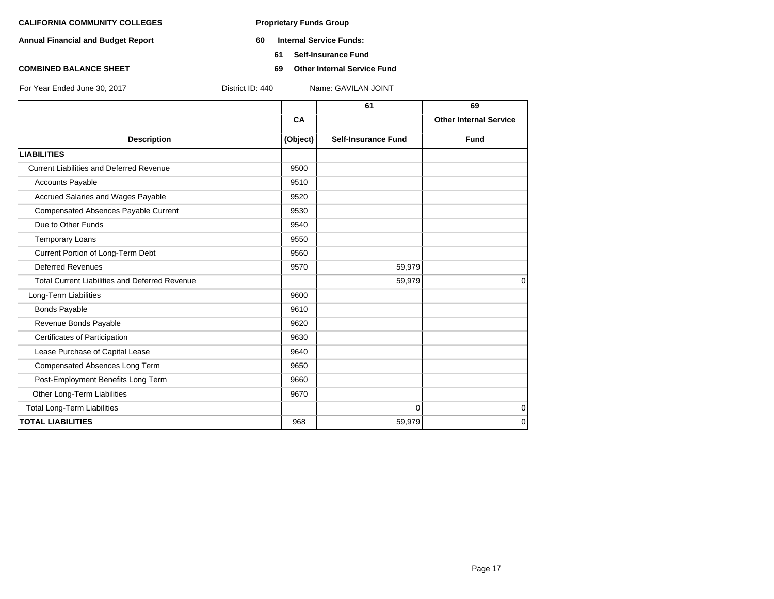- **Annual Financial and Budget Report 60 Internal Service Funds:**
	- **61 Self-Insurance Fund**
- **COMBINED BALANCE SHEET 69 Other Internal Service Fund**

|                                                       |          | 61                         | 69                            |
|-------------------------------------------------------|----------|----------------------------|-------------------------------|
|                                                       | CA       |                            | <b>Other Internal Service</b> |
| <b>Description</b>                                    | (Object) | <b>Self-Insurance Fund</b> | <b>Fund</b>                   |
| <b>LIABILITIES</b>                                    |          |                            |                               |
| <b>Current Liabilities and Deferred Revenue</b>       | 9500     |                            |                               |
| <b>Accounts Payable</b>                               | 9510     |                            |                               |
| Accrued Salaries and Wages Payable                    | 9520     |                            |                               |
| Compensated Absences Payable Current                  | 9530     |                            |                               |
| Due to Other Funds                                    | 9540     |                            |                               |
| <b>Temporary Loans</b>                                | 9550     |                            |                               |
| Current Portion of Long-Term Debt                     | 9560     |                            |                               |
| <b>Deferred Revenues</b>                              | 9570     | 59,979                     |                               |
| <b>Total Current Liabilities and Deferred Revenue</b> |          | 59,979                     | $\Omega$                      |
| Long-Term Liabilities                                 | 9600     |                            |                               |
| <b>Bonds Payable</b>                                  | 9610     |                            |                               |
| Revenue Bonds Payable                                 | 9620     |                            |                               |
| Certificates of Participation                         | 9630     |                            |                               |
| Lease Purchase of Capital Lease                       | 9640     |                            |                               |
| Compensated Absences Long Term                        | 9650     |                            |                               |
| Post-Employment Benefits Long Term                    | 9660     |                            |                               |
| Other Long-Term Liabilities                           | 9670     |                            |                               |
| <b>Total Long-Term Liabilities</b>                    |          | $\Omega$                   | $\mathbf 0$                   |
| <b>TOTAL LIABILITIES</b>                              | 968      | 59,979                     | $\mathbf 0$                   |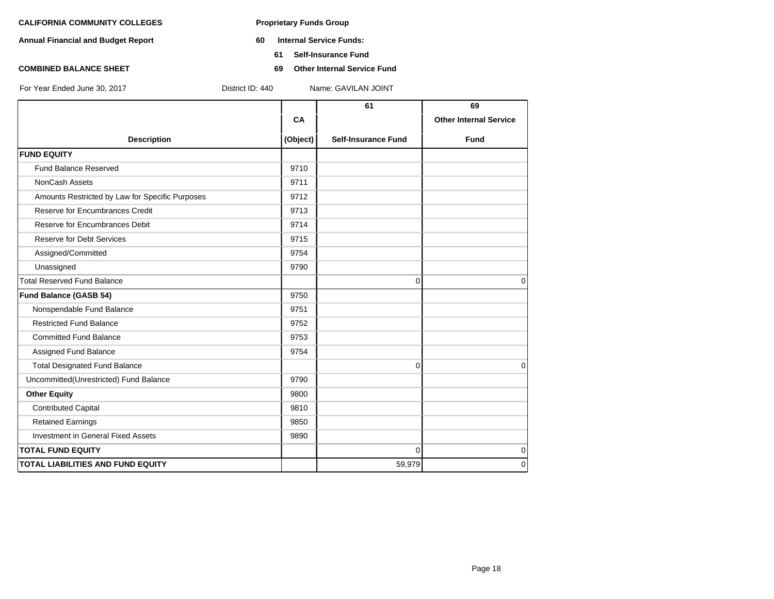- **Annual Financial and Budget Report 60 Internal Service Funds:**
	- **61 Self-Insurance Fund**
- **COMBINED BALANCE SHEET 69 Other Internal Service Fund**

|           | 61                         | 69                                     |
|-----------|----------------------------|----------------------------------------|
| <b>CA</b> |                            | <b>Other Internal Service</b>          |
| (Object)  | <b>Self-Insurance Fund</b> | <b>Fund</b>                            |
|           |                            |                                        |
| 9710      |                            |                                        |
| 9711      |                            |                                        |
| 9712      |                            |                                        |
| 9713      |                            |                                        |
| 9714      |                            |                                        |
| 9715      |                            |                                        |
| 9754      |                            |                                        |
| 9790      |                            |                                        |
|           |                            | $\Omega$                               |
| 9750      |                            |                                        |
| 9751      |                            |                                        |
| 9752      |                            |                                        |
| 9753      |                            |                                        |
| 9754      |                            |                                        |
|           |                            | 0                                      |
| 9790      |                            |                                        |
| 9800      |                            |                                        |
| 9810      |                            |                                        |
| 9850      |                            |                                        |
| 9890      |                            |                                        |
|           |                            | 0                                      |
|           |                            | $\Omega$                               |
|           |                            | $\Omega$<br>$\mathbf 0$<br>0<br>59,979 |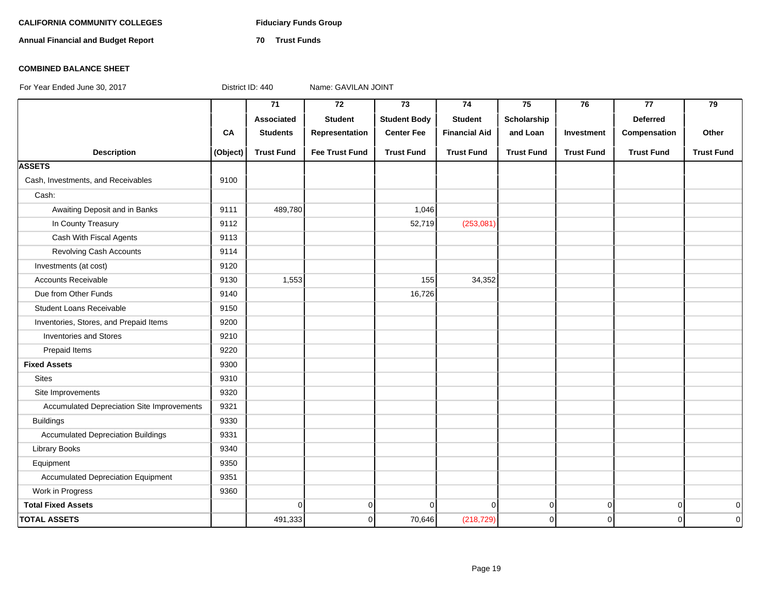# CALIFORNIA COMMUNITY COLLEGES Fiduciary Funds Group

**Annual Financial and Budget Report 70 Trust Funds**

### **COMBINED BALANCE SHEET**

|                                            |          | $\overline{71}$   | $\overline{72}$       | $\overline{73}$     | $\overline{74}$      | 75                | 76                | $\overline{77}$   | $\overline{79}$     |
|--------------------------------------------|----------|-------------------|-----------------------|---------------------|----------------------|-------------------|-------------------|-------------------|---------------------|
|                                            |          | Associated        | <b>Student</b>        | <b>Student Body</b> | <b>Student</b>       | Scholarship       |                   | Deferred          |                     |
|                                            | CA       | <b>Students</b>   | Representation        | <b>Center Fee</b>   | <b>Financial Aid</b> | and Loan          | Investment        | Compensation      | Other               |
| <b>Description</b>                         | (Object) | <b>Trust Fund</b> | <b>Fee Trust Fund</b> | <b>Trust Fund</b>   | <b>Trust Fund</b>    | <b>Trust Fund</b> | <b>Trust Fund</b> | <b>Trust Fund</b> | <b>Trust Fund</b>   |
| <b>ASSETS</b>                              |          |                   |                       |                     |                      |                   |                   |                   |                     |
| Cash, Investments, and Receivables         | 9100     |                   |                       |                     |                      |                   |                   |                   |                     |
| Cash:                                      |          |                   |                       |                     |                      |                   |                   |                   |                     |
| Awaiting Deposit and in Banks              | 9111     | 489,780           |                       | 1,046               |                      |                   |                   |                   |                     |
| In County Treasury                         | 9112     |                   |                       | 52,719              | (253,081)            |                   |                   |                   |                     |
| Cash With Fiscal Agents                    | 9113     |                   |                       |                     |                      |                   |                   |                   |                     |
| Revolving Cash Accounts                    | 9114     |                   |                       |                     |                      |                   |                   |                   |                     |
| Investments (at cost)                      | 9120     |                   |                       |                     |                      |                   |                   |                   |                     |
| Accounts Receivable                        | 9130     | 1,553             |                       | 155                 | 34,352               |                   |                   |                   |                     |
| Due from Other Funds                       | 9140     |                   |                       | 16,726              |                      |                   |                   |                   |                     |
| <b>Student Loans Receivable</b>            | 9150     |                   |                       |                     |                      |                   |                   |                   |                     |
| Inventories, Stores, and Prepaid Items     | 9200     |                   |                       |                     |                      |                   |                   |                   |                     |
| <b>Inventories and Stores</b>              | 9210     |                   |                       |                     |                      |                   |                   |                   |                     |
| Prepaid Items                              | 9220     |                   |                       |                     |                      |                   |                   |                   |                     |
| <b>Fixed Assets</b>                        | 9300     |                   |                       |                     |                      |                   |                   |                   |                     |
| <b>Sites</b>                               | 9310     |                   |                       |                     |                      |                   |                   |                   |                     |
| Site Improvements                          | 9320     |                   |                       |                     |                      |                   |                   |                   |                     |
| Accumulated Depreciation Site Improvements | 9321     |                   |                       |                     |                      |                   |                   |                   |                     |
| <b>Buildings</b>                           | 9330     |                   |                       |                     |                      |                   |                   |                   |                     |
| <b>Accumulated Depreciation Buildings</b>  | 9331     |                   |                       |                     |                      |                   |                   |                   |                     |
| <b>Library Books</b>                       | 9340     |                   |                       |                     |                      |                   |                   |                   |                     |
| Equipment                                  | 9350     |                   |                       |                     |                      |                   |                   |                   |                     |
| <b>Accumulated Depreciation Equipment</b>  | 9351     |                   |                       |                     |                      |                   |                   |                   |                     |
| Work in Progress                           | 9360     |                   |                       |                     |                      |                   |                   |                   |                     |
| <b>Total Fixed Assets</b>                  |          | $\mathbf 0$       | $\mathbf 0$           | $\Omega$            | $\overline{0}$       | 0                 | $\mathbf 0$       | $\overline{0}$    | $\overline{0}$      |
| <b>TOTAL ASSETS</b>                        |          | 491,333           | $\mathbf 0$           | 70,646              | (218, 729)           | $\pmb{0}$         | $\mathbf 0$       | $\mathbf 0$       | $\mathsf{O}\xspace$ |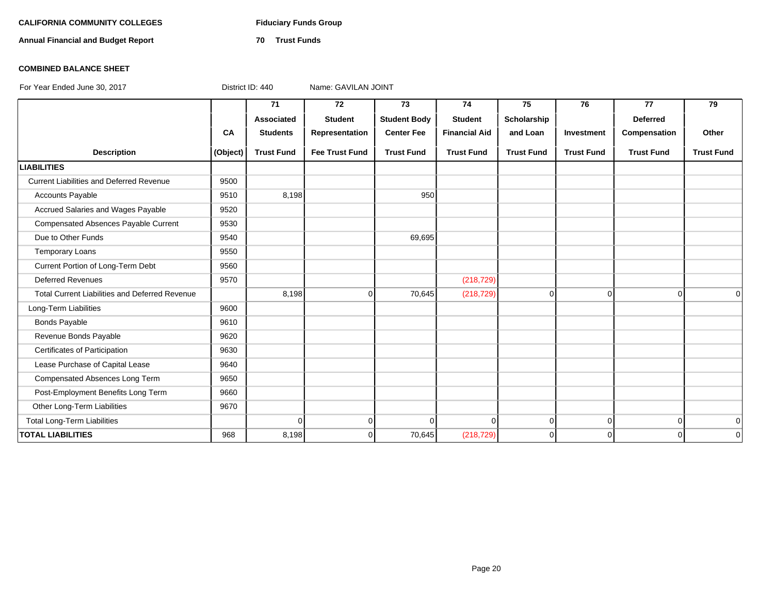# CALIFORNIA COMMUNITY COLLEGES Fiduciary Funds Group

**Annual Financial and Budget Report 70 Trust Funds**

### **COMBINED BALANCE SHEET**

|                                                       |           | 71                | 72                    | 73                  | 74                   | 75                | 76                | 77                | 79                |
|-------------------------------------------------------|-----------|-------------------|-----------------------|---------------------|----------------------|-------------------|-------------------|-------------------|-------------------|
|                                                       |           | Associated        | <b>Student</b>        | <b>Student Body</b> | <b>Student</b>       | Scholarship       |                   | <b>Deferred</b>   |                   |
|                                                       | <b>CA</b> | <b>Students</b>   | Representation        | <b>Center Fee</b>   | <b>Financial Aid</b> | and Loan          | Investment        | Compensation      | Other             |
| <b>Description</b>                                    | (Object)  | <b>Trust Fund</b> | <b>Fee Trust Fund</b> | <b>Trust Fund</b>   | <b>Trust Fund</b>    | <b>Trust Fund</b> | <b>Trust Fund</b> | <b>Trust Fund</b> | <b>Trust Fund</b> |
| <b>LIABILITIES</b>                                    |           |                   |                       |                     |                      |                   |                   |                   |                   |
| <b>Current Liabilities and Deferred Revenue</b>       | 9500      |                   |                       |                     |                      |                   |                   |                   |                   |
| <b>Accounts Payable</b>                               | 9510      | 8,198             |                       | 950                 |                      |                   |                   |                   |                   |
| Accrued Salaries and Wages Payable                    | 9520      |                   |                       |                     |                      |                   |                   |                   |                   |
| <b>Compensated Absences Payable Current</b>           | 9530      |                   |                       |                     |                      |                   |                   |                   |                   |
| Due to Other Funds                                    | 9540      |                   |                       | 69,695              |                      |                   |                   |                   |                   |
| <b>Temporary Loans</b>                                | 9550      |                   |                       |                     |                      |                   |                   |                   |                   |
| Current Portion of Long-Term Debt                     | 9560      |                   |                       |                     |                      |                   |                   |                   |                   |
| <b>Deferred Revenues</b>                              | 9570      |                   |                       |                     | (218, 729)           |                   |                   |                   |                   |
| <b>Total Current Liabilities and Deferred Revenue</b> |           | 8,198             | 0                     | 70,645              | (218, 729)           | $\mathbf 0$       | $\mathbf 0$       | $\Omega$          | $\Omega$          |
| Long-Term Liabilities                                 | 9600      |                   |                       |                     |                      |                   |                   |                   |                   |
| <b>Bonds Payable</b>                                  | 9610      |                   |                       |                     |                      |                   |                   |                   |                   |
| Revenue Bonds Payable                                 | 9620      |                   |                       |                     |                      |                   |                   |                   |                   |
| Certificates of Participation                         | 9630      |                   |                       |                     |                      |                   |                   |                   |                   |
| Lease Purchase of Capital Lease                       | 9640      |                   |                       |                     |                      |                   |                   |                   |                   |
| Compensated Absences Long Term                        | 9650      |                   |                       |                     |                      |                   |                   |                   |                   |
| Post-Employment Benefits Long Term                    | 9660      |                   |                       |                     |                      |                   |                   |                   |                   |
| Other Long-Term Liabilities                           | 9670      |                   |                       |                     |                      |                   |                   |                   |                   |
| <b>Total Long-Term Liabilities</b>                    |           | $\Omega$          | $\mathbf 0$           | $\Omega$            | $\Omega$             | $\mathbf 0$       | $\mathbf 0$       | $\overline{0}$    | 0                 |
| <b>TOTAL LIABILITIES</b>                              | 968       | 8,198             | $\mathbf 0$           | 70,645              | (218, 729)           | $\mathbf 0$       | 0                 | $\Omega$          | 0                 |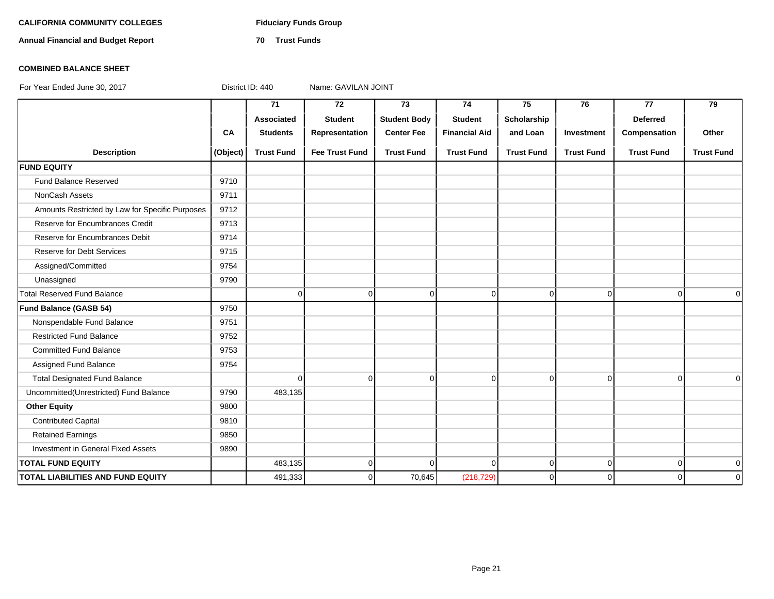# CALIFORNIA COMMUNITY COLLEGES Fiduciary Funds Group

**Annual Financial and Budget Report 70 Trust Funds**

# **COMBINED BALANCE SHEET**

|                                                 |          | $\overline{71}$   | 72                    | 73                  | 74                   | $\overline{75}$   | 76                | 77                | 79                |
|-------------------------------------------------|----------|-------------------|-----------------------|---------------------|----------------------|-------------------|-------------------|-------------------|-------------------|
|                                                 |          | <b>Associated</b> | <b>Student</b>        | <b>Student Body</b> | <b>Student</b>       | Scholarship       |                   | <b>Deferred</b>   |                   |
|                                                 | CA       | <b>Students</b>   | Representation        | <b>Center Fee</b>   | <b>Financial Aid</b> | and Loan          | Investment        | Compensation      | Other             |
| <b>Description</b>                              | (Object) | <b>Trust Fund</b> | <b>Fee Trust Fund</b> | <b>Trust Fund</b>   | <b>Trust Fund</b>    | <b>Trust Fund</b> | <b>Trust Fund</b> | <b>Trust Fund</b> | <b>Trust Fund</b> |
| <b>FUND EQUITY</b>                              |          |                   |                       |                     |                      |                   |                   |                   |                   |
| Fund Balance Reserved                           | 9710     |                   |                       |                     |                      |                   |                   |                   |                   |
| NonCash Assets                                  | 9711     |                   |                       |                     |                      |                   |                   |                   |                   |
| Amounts Restricted by Law for Specific Purposes | 9712     |                   |                       |                     |                      |                   |                   |                   |                   |
| Reserve for Encumbrances Credit                 | 9713     |                   |                       |                     |                      |                   |                   |                   |                   |
| Reserve for Encumbrances Debit                  | 9714     |                   |                       |                     |                      |                   |                   |                   |                   |
| <b>Reserve for Debt Services</b>                | 9715     |                   |                       |                     |                      |                   |                   |                   |                   |
| Assigned/Committed                              | 9754     |                   |                       |                     |                      |                   |                   |                   |                   |
| Unassigned                                      | 9790     |                   |                       |                     |                      |                   |                   |                   |                   |
| <b>Total Reserved Fund Balance</b>              |          | $\mathbf 0$       | $\overline{0}$        | $\mathbf 0$         | 0                    | $\overline{0}$    | $\overline{0}$    | $\overline{0}$    | $\mathbf 0$       |
| Fund Balance (GASB 54)                          | 9750     |                   |                       |                     |                      |                   |                   |                   |                   |
| Nonspendable Fund Balance                       | 9751     |                   |                       |                     |                      |                   |                   |                   |                   |
| <b>Restricted Fund Balance</b>                  | 9752     |                   |                       |                     |                      |                   |                   |                   |                   |
| <b>Committed Fund Balance</b>                   | 9753     |                   |                       |                     |                      |                   |                   |                   |                   |
| Assigned Fund Balance                           | 9754     |                   |                       |                     |                      |                   |                   |                   |                   |
| <b>Total Designated Fund Balance</b>            |          | $\mathbf 0$       | $\Omega$              | $\mathbf 0$         | $\Omega$             | $\overline{0}$    | $\overline{0}$    | $\overline{0}$    | $\Omega$          |
| Uncommitted(Unrestricted) Fund Balance          | 9790     | 483,135           |                       |                     |                      |                   |                   |                   |                   |
| <b>Other Equity</b>                             | 9800     |                   |                       |                     |                      |                   |                   |                   |                   |
| <b>Contributed Capital</b>                      | 9810     |                   |                       |                     |                      |                   |                   |                   |                   |
| <b>Retained Earnings</b>                        | 9850     |                   |                       |                     |                      |                   |                   |                   |                   |
| Investment in General Fixed Assets              | 9890     |                   |                       |                     |                      |                   |                   |                   |                   |
| <b>TOTAL FUND EQUITY</b>                        |          | 483,135           | $\overline{0}$        | $\Omega$            | $\Omega$             | $\overline{0}$    | $\overline{0}$    | $\overline{0}$    | 0                 |
| TOTAL LIABILITIES AND FUND EQUITY               |          | 491,333           | $\Omega$              | 70,645              | (218, 729)           | $\overline{0}$    | 0                 | $\Omega$          | $\mathbf 0$       |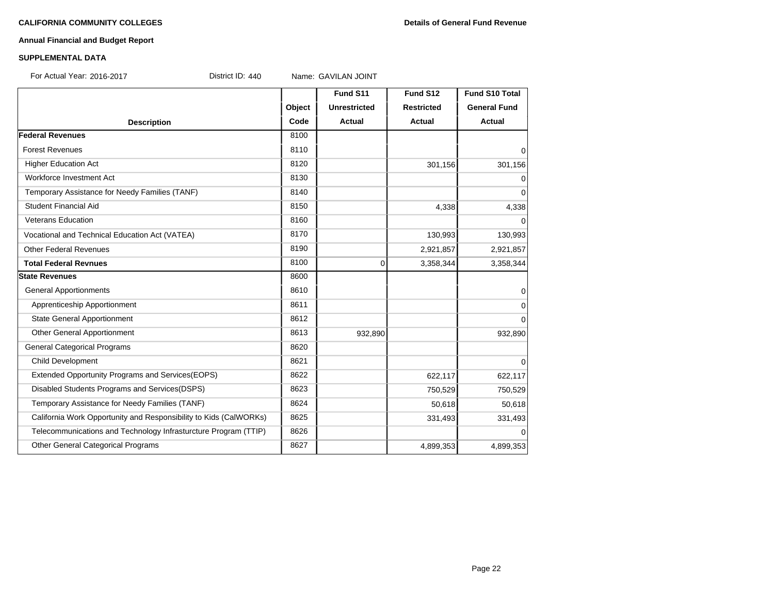# **Annual Financial and Budget Report**

### **SUPPLEMENTAL DATA**

For Actual Year: 2016-2017 **District ID: 440** Name: GAVILAN JOINT

|                                                                   |        | Fund S11            | Fund S12          | <b>Fund S10 Total</b> |
|-------------------------------------------------------------------|--------|---------------------|-------------------|-----------------------|
|                                                                   | Object | <b>Unrestricted</b> | <b>Restricted</b> | <b>General Fund</b>   |
| <b>Description</b>                                                | Code   | <b>Actual</b>       | <b>Actual</b>     | <b>Actual</b>         |
| <b>Federal Revenues</b>                                           | 8100   |                     |                   |                       |
| <b>Forest Revenues</b>                                            | 8110   |                     |                   | 0                     |
| <b>Higher Education Act</b>                                       | 8120   |                     | 301,156           | 301,156               |
| Workforce Investment Act                                          | 8130   |                     |                   | 0                     |
| Temporary Assistance for Needy Families (TANF)                    | 8140   |                     |                   | 0                     |
| <b>Student Financial Aid</b>                                      | 8150   |                     | 4,338             | 4,338                 |
| <b>Veterans Education</b>                                         | 8160   |                     |                   | 0                     |
| Vocational and Technical Education Act (VATEA)                    | 8170   |                     | 130,993           | 130,993               |
| <b>Other Federal Revenues</b>                                     | 8190   |                     | 2,921,857         | 2,921,857             |
| <b>Total Federal Revnues</b>                                      | 8100   | 0                   | 3,358,344         | 3,358,344             |
| <b>State Revenues</b>                                             | 8600   |                     |                   |                       |
| <b>General Apportionments</b>                                     | 8610   |                     |                   | 0                     |
| Apprenticeship Apportionment                                      | 8611   |                     |                   | 0                     |
| <b>State General Apportionment</b>                                | 8612   |                     |                   | $\Omega$              |
| Other General Apportionment                                       | 8613   | 932,890             |                   | 932,890               |
| <b>General Categorical Programs</b>                               | 8620   |                     |                   |                       |
| <b>Child Development</b>                                          | 8621   |                     |                   | $\Omega$              |
| Extended Opportunity Programs and Services (EOPS)                 | 8622   |                     | 622,117           | 622,117               |
| Disabled Students Programs and Services(DSPS)                     | 8623   |                     | 750,529           | 750,529               |
| Temporary Assistance for Needy Families (TANF)                    | 8624   |                     | 50,618            | 50,618                |
| California Work Opportunity and Responsibility to Kids (CalWORKs) | 8625   |                     | 331,493           | 331,493               |
| Telecommunications and Technology Infrasturcture Program (TTIP)   | 8626   |                     |                   | $\Omega$              |
| Other General Categorical Programs                                | 8627   |                     | 4,899,353         | 4,899,353             |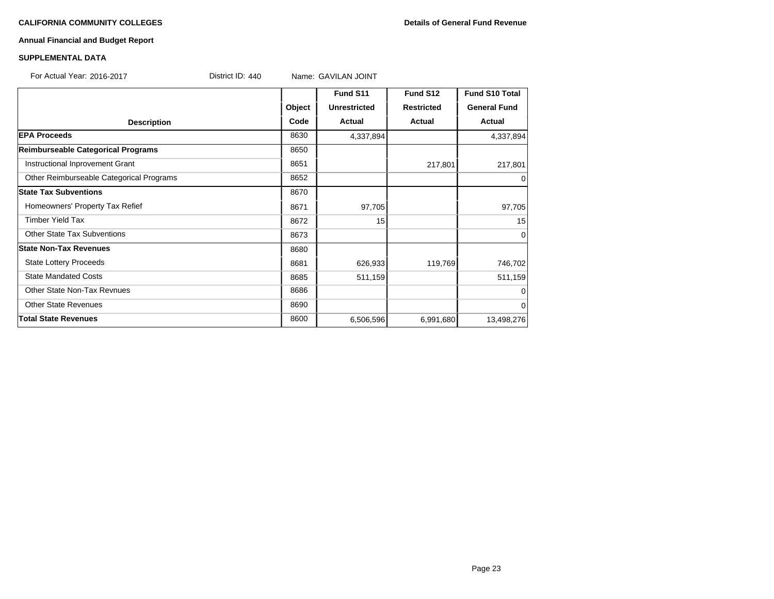# **CALIFORNIA COMMUNITY COLLEGES Details of General Fund Revenue**

# **Annual Financial and Budget Report**

### **SUPPLEMENTAL DATA**

| For Actual Year: 2016-2017 | District ID: $440$ | Name: GAVILAN JOINT |  |
|----------------------------|--------------------|---------------------|--|
|                            |                    | <b>Fund S11</b>     |  |

|                                          |        | Fund S11            | Fund S12          | <b>Fund S10 Total</b> |
|------------------------------------------|--------|---------------------|-------------------|-----------------------|
|                                          | Object | <b>Unrestricted</b> | <b>Restricted</b> | <b>General Fund</b>   |
| <b>Description</b>                       | Code   | <b>Actual</b>       | <b>Actual</b>     | Actual                |
| <b>EPA Proceeds</b>                      | 8630   | 4,337,894           |                   | 4,337,894             |
| Reimburseable Categorical Programs       | 8650   |                     |                   |                       |
| Instructional Inprovement Grant          | 8651   |                     | 217,801           | 217,801               |
| Other Reimburseable Categorical Programs | 8652   |                     |                   | 0                     |
| <b>State Tax Subventions</b>             | 8670   |                     |                   |                       |
| Homeowners' Property Tax Refief          | 8671   | 97,705              |                   | 97,705                |
| <b>Timber Yield Tax</b>                  | 8672   | 15                  |                   | 15                    |
| <b>Other State Tax Subventions</b>       | 8673   |                     |                   | $\Omega$              |
| <b>State Non-Tax Revenues</b>            | 8680   |                     |                   |                       |
| <b>State Lottery Proceeds</b>            | 8681   | 626,933             | 119,769           | 746,702               |
| <b>State Mandated Costs</b>              | 8685   | 511,159             |                   | 511,159               |
| Other State Non-Tax Revnues              | 8686   |                     |                   |                       |
| <b>Other State Revenues</b>              | 8690   |                     |                   | $\Omega$              |
| <b>Total State Revenues</b>              | 8600   | 6,506,596           | 6,991,680         | 13,498,276            |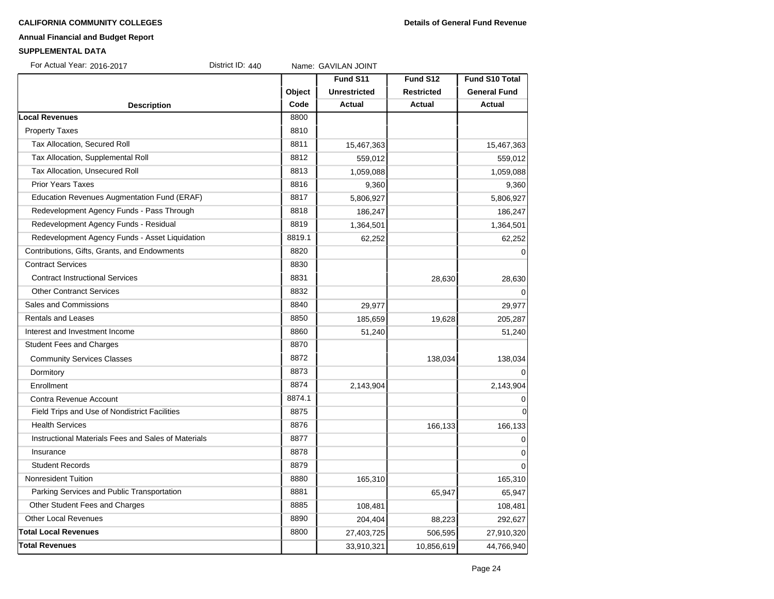#### **CALIFORNIA COMMUNITY COLLEGES Details of General Fund Revenue**

# **Annual Financial and Budget Report**

#### **SUPPLEMENTAL DATA**

For Actual Year: 2016-2017 District ID: 440 Name: GAVILAN JOINT

|                                                     |        | Fund S11            | Fund S12          | <b>Fund S10 Total</b> |
|-----------------------------------------------------|--------|---------------------|-------------------|-----------------------|
|                                                     | Object | <b>Unrestricted</b> | <b>Restricted</b> | <b>General Fund</b>   |
| <b>Description</b>                                  | Code   | <b>Actual</b>       | <b>Actual</b>     | <b>Actual</b>         |
| <b>Local Revenues</b>                               | 8800   |                     |                   |                       |
| <b>Property Taxes</b>                               | 8810   |                     |                   |                       |
| Tax Allocation, Secured Roll                        | 8811   | 15,467,363          |                   | 15,467,363            |
| Tax Allocation, Supplemental Roll                   | 8812   | 559,012             |                   | 559,012               |
| Tax Allocation, Unsecured Roll                      | 8813   | 1,059,088           |                   | 1,059,088             |
| <b>Prior Years Taxes</b>                            | 8816   | 9,360               |                   | 9,360                 |
| Education Revenues Augmentation Fund (ERAF)         | 8817   | 5,806,927           |                   | 5,806,927             |
| Redevelopment Agency Funds - Pass Through           | 8818   | 186,247             |                   | 186,247               |
| Redevelopment Agency Funds - Residual               | 8819   | 1,364,501           |                   | 1,364,501             |
| Redevelopment Agency Funds - Asset Liquidation      | 8819.1 | 62,252              |                   | 62,252                |
| Contributions, Gifts, Grants, and Endowments        | 8820   |                     |                   | 0                     |
| <b>Contract Services</b>                            | 8830   |                     |                   |                       |
| <b>Contract Instructional Services</b>              | 8831   |                     | 28,630            | 28,630                |
| <b>Other Contranct Services</b>                     | 8832   |                     |                   | 0                     |
| Sales and Commissions                               | 8840   | 29,977              |                   | 29,977                |
| <b>Rentals and Leases</b>                           | 8850   | 185,659             | 19,628            | 205,287               |
| Interest and Investment Income                      | 8860   | 51,240              |                   | 51,240                |
| <b>Student Fees and Charges</b>                     | 8870   |                     |                   |                       |
| <b>Community Services Classes</b>                   | 8872   |                     | 138,034           | 138,034               |
| Dormitory                                           | 8873   |                     |                   | $\Omega$              |
| Enrollment                                          | 8874   | 2,143,904           |                   | 2,143,904             |
| Contra Revenue Account                              | 8874.1 |                     |                   | 0                     |
| Field Trips and Use of Nondistrict Facilities       | 8875   |                     |                   | $\overline{0}$        |
| <b>Health Services</b>                              | 8876   |                     | 166,133           | 166,133               |
| Instructional Materials Fees and Sales of Materials | 8877   |                     |                   | $\Omega$              |
| Insurance                                           | 8878   |                     |                   | $\Omega$              |
| <b>Student Records</b>                              | 8879   |                     |                   | $\Omega$              |
| <b>Nonresident Tuition</b>                          | 8880   | 165,310             |                   | 165,310               |
| Parking Services and Public Transportation          | 8881   |                     | 65,947            | 65,947                |
| Other Student Fees and Charges                      | 8885   | 108,481             |                   | 108,481               |
| <b>Other Local Revenues</b>                         | 8890   | 204,404             | 88,223            | 292,627               |
| <b>Total Local Revenues</b>                         | 8800   | 27,403,725          | 506,595           | 27,910,320            |
| <b>Total Revenues</b>                               |        | 33,910,321          | 10,856,619        | 44,766,940            |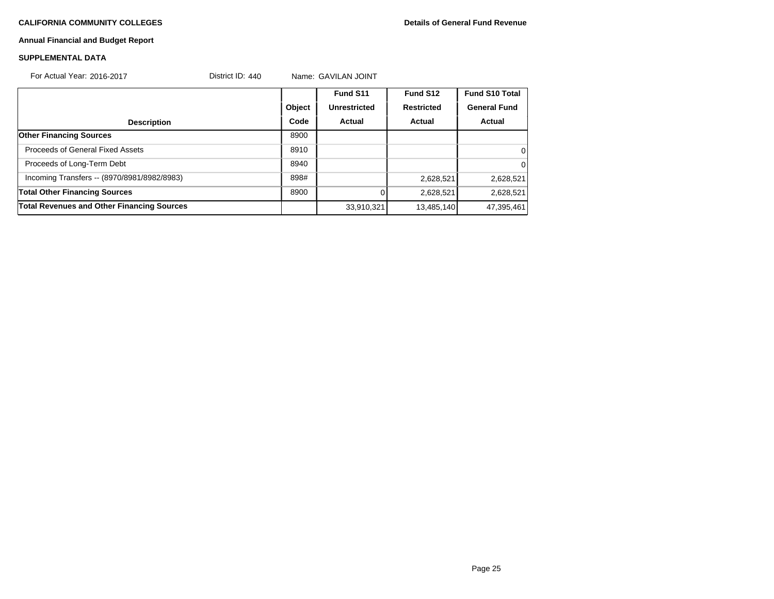# **Annual Financial and Budget Report**

### **SUPPLEMENTAL DATA**

| For Actual Year: 2016-2017                        | District ID: $440$ |        | Name: GAVILAN JOINT |                   |                       |
|---------------------------------------------------|--------------------|--------|---------------------|-------------------|-----------------------|
|                                                   |                    |        | Fund S11            | Fund S12          | <b>Fund S10 Total</b> |
|                                                   |                    | Object | <b>Unrestricted</b> | <b>Restricted</b> | <b>General Fund</b>   |
| <b>Description</b>                                |                    | Code   | Actual              | Actual            | Actual                |
| <b>Other Financing Sources</b>                    |                    | 8900   |                     |                   |                       |
| Proceeds of General Fixed Assets                  |                    | 8910   |                     |                   | 0                     |
| Proceeds of Long-Term Debt                        |                    | 8940   |                     |                   | 0                     |
| Incoming Transfers -- (8970/8981/8982/8983)       |                    | 898#   |                     | 2,628,521         | 2,628,521             |
| <b>Total Other Financing Sources</b>              |                    | 8900   |                     | 2,628,521         | 2,628,521             |
| <b>Total Revenues and Other Financing Sources</b> |                    |        | 33,910,321          | 13,485,140        | 47,395,461            |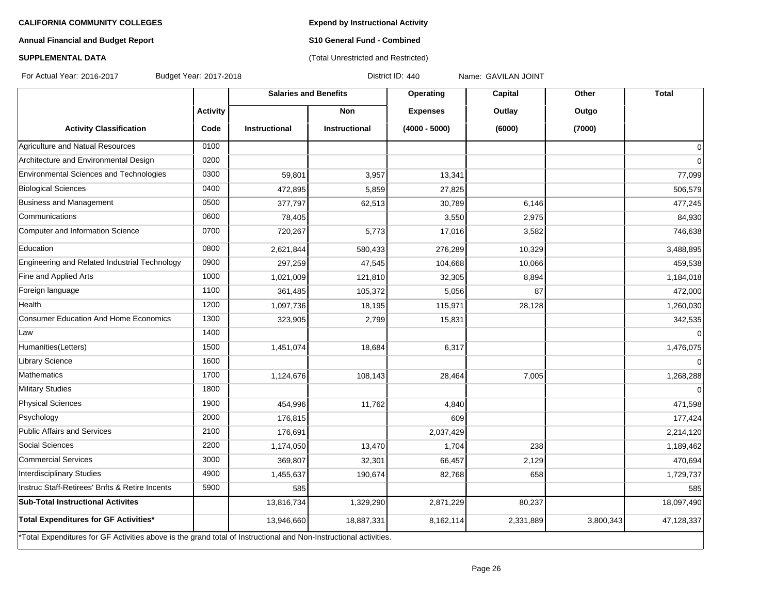**Expend by Instructional Activity**

# **Annual Financial and Budget Report**

# **S10 General Fund - Combined** (Total Unrestricted and Restricted)

# **SUPPLEMENTAL DATA**

For Actual Year: 2016-2017 Budget Year: 2017-2018 District ID: 440 Name: GAVILAN JOINT

|                                                                                                                   |                 | <b>Salaries and Benefits</b> |                      | Operating       | Capital   | Other     | <b>Total</b>   |
|-------------------------------------------------------------------------------------------------------------------|-----------------|------------------------------|----------------------|-----------------|-----------|-----------|----------------|
|                                                                                                                   | <b>Activity</b> |                              | <b>Non</b>           | <b>Expenses</b> | Outlay    | Outgo     |                |
| <b>Activity Classification</b>                                                                                    | Code            | <b>Instructional</b>         | <b>Instructional</b> | $(4000 - 5000)$ | (6000)    | (7000)    |                |
| Agriculture and Natual Resources                                                                                  | 0100            |                              |                      |                 |           |           | $\overline{0}$ |
| Architecture and Environmental Design                                                                             | 0200            |                              |                      |                 |           |           | $\overline{0}$ |
| Environmental Sciences and Technologies                                                                           | 0300            | 59,801                       | 3,957                | 13,341          |           |           | 77,099         |
| <b>Biological Sciences</b>                                                                                        | 0400            | 472,895                      | 5,859                | 27,825          |           |           | 506,579        |
| Business and Management                                                                                           | 0500            | 377,797                      | 62,513               | 30,789          | 6,146     |           | 477,245        |
| Communications                                                                                                    | 0600            | 78,405                       |                      | 3,550           | 2,975     |           | 84,930         |
| Computer and Information Science                                                                                  | 0700            | 720,267                      | 5,773                | 17,016          | 3,582     |           | 746,638        |
| Education                                                                                                         | 0800            | 2,621,844                    | 580,433              | 276,289         | 10,329    |           | 3,488,895      |
| Engineering and Related Industrial Technology                                                                     | 0900            | 297,259                      | 47,545               | 104,668         | 10,066    |           | 459,538        |
| Fine and Applied Arts                                                                                             | 1000            | 1,021,009                    | 121,810              | 32,305          | 8,894     |           | 1,184,018      |
| Foreign language                                                                                                  | 1100            | 361,485                      | 105,372              | 5,056           | 87        |           | 472,000        |
| Health                                                                                                            | 1200            | 1,097,736                    | 18,195               | 115,971         | 28,128    |           | 1,260,030      |
| Consumer Education And Home Economics                                                                             | 1300            | 323,905                      | 2,799                | 15,831          |           |           | 342,535        |
| Law                                                                                                               | 1400            |                              |                      |                 |           |           | $\overline{0}$ |
| Humanities(Letters)                                                                                               | 1500            | 1,451,074                    | 18,684               | 6,317           |           |           | 1,476,075      |
| Library Science                                                                                                   | 1600            |                              |                      |                 |           |           | $\overline{0}$ |
| Mathematics                                                                                                       | 1700            | 1,124,676                    | 108,143              | 28,464          | 7,005     |           | 1,268,288      |
| <b>Military Studies</b>                                                                                           | 1800            |                              |                      |                 |           |           | $\Omega$       |
| <b>Physical Sciences</b>                                                                                          | 1900            | 454,996                      | 11,762               | 4,840           |           |           | 471,598        |
| Psychology                                                                                                        | 2000            | 176,815                      |                      | 609             |           |           | 177,424        |
| Public Affairs and Services                                                                                       | 2100            | 176,691                      |                      | 2,037,429       |           |           | 2,214,120      |
| Social Sciences                                                                                                   | 2200            | 1,174,050                    | 13,470               | 1,704           | 238       |           | 1,189,462      |
| Commercial Services                                                                                               | 3000            | 369,807                      | 32,301               | 66,457          | 2,129     |           | 470,694        |
| Interdisciplinary Studies                                                                                         | 4900            | 1,455,637                    | 190,674              | 82,768          | 658       |           | 1,729,737      |
| Instruc Staff-Retirees' Bnfts & Retire Incents                                                                    | 5900            | 585                          |                      |                 |           |           | 585            |
| <b>Sub-Total Instructional Activites</b>                                                                          |                 | 13,816,734                   | 1,329,290            | 2,871,229       | 80,237    |           | 18,097,490     |
| Total Expenditures for GF Activities*                                                                             |                 | 13,946,660                   | 18,887,331           | 8,162,114       | 2,331,889 | 3,800,343 | 47,128,337     |
| *Total Expenditures for GF Activities above is the grand total of Instructional and Non-Instructional activities. |                 |                              |                      |                 |           |           |                |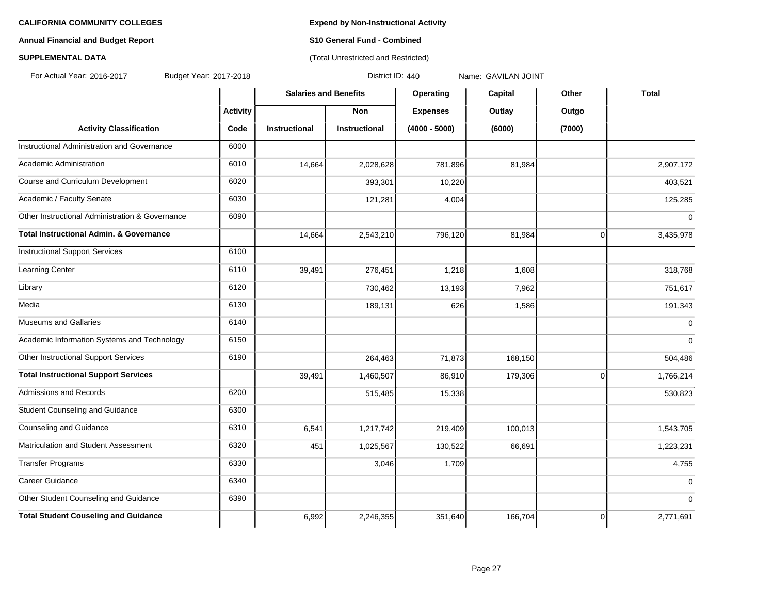# **Annual Financial and Budget Report S10 General Fund - Combined**

# **SUPPLEMENTAL DATA CONSUMPTER ACCOUNT ACCOUNT ACCOUNT ACCOUNT ACCOUNT ACCOUNT ACCOUNT ACCOUNT ACCOUNT ACCOUNT ACCOUNT ACCOUNT ACCOUNT ACCOUNT ACCOUNT ACCOUNT ACCOUNT ACCOUNT ACCOUNT ACCOUNT ACCOUNT ACCOUNT ACCOUNT ACCOUN**

For Actual Year: 2016-2017 Budget Year: 2017-2018 District ID: 440 Name: GAVILAN JOINT

|                                                    |                 | <b>Salaries and Benefits</b> |                      | Operating       | Capital | Other          | <b>Total</b>   |
|----------------------------------------------------|-----------------|------------------------------|----------------------|-----------------|---------|----------------|----------------|
|                                                    | <b>Activity</b> |                              | <b>Non</b>           | <b>Expenses</b> | Outlay  | Outgo          |                |
| <b>Activity Classification</b>                     | Code            | <b>Instructional</b>         | <b>Instructional</b> | $(4000 - 5000)$ | (6000)  | (7000)         |                |
| Instructional Administration and Governance        | 6000            |                              |                      |                 |         |                |                |
| Academic Administration                            | 6010            | 14,664                       | 2,028,628            | 781,896         | 81,984  |                | 2,907,172      |
| Course and Curriculum Development                  | 6020            |                              | 393,301              | 10,220          |         |                | 403,521        |
| Academic / Faculty Senate                          | 6030            |                              | 121,281              | 4,004           |         |                | 125,285        |
| Other Instructional Administration & Governance    | 6090            |                              |                      |                 |         |                | $\Omega$       |
| <b>Total Instructional Admin. &amp; Governance</b> |                 | 14,664                       | 2,543,210            | 796,120         | 81,984  | $\overline{0}$ | 3,435,978      |
| <b>Instructional Support Services</b>              | 6100            |                              |                      |                 |         |                |                |
| <b>Learning Center</b>                             | 6110            | 39,491                       | 276,451              | 1,218           | 1,608   |                | 318,768        |
| Library                                            | 6120            |                              | 730,462              | 13,193          | 7,962   |                | 751,617        |
| Media                                              | 6130            |                              | 189,131              | 626             | 1,586   |                | 191,343        |
| Museums and Gallaries                              | 6140            |                              |                      |                 |         |                | 0              |
| Academic Information Systems and Technology        | 6150            |                              |                      |                 |         |                | $\Omega$       |
| Other Instructional Support Services               | 6190            |                              | 264,463              | 71,873          | 168,150 |                | 504,486        |
| <b>Total Instructional Support Services</b>        |                 | 39,491                       | 1,460,507            | 86,910          | 179,306 | $\overline{0}$ | 1,766,214      |
| Admissions and Records                             | 6200            |                              | 515,485              | 15,338          |         |                | 530,823        |
| Student Counseling and Guidance                    | 6300            |                              |                      |                 |         |                |                |
| Counseling and Guidance                            | 6310            | 6,541                        | 1,217,742            | 219,409         | 100,013 |                | 1,543,705      |
| Matriculation and Student Assessment               | 6320            | 451                          | 1,025,567            | 130,522         | 66,691  |                | 1,223,231      |
| <b>Transfer Programs</b>                           | 6330            |                              | 3,046                | 1,709           |         |                | 4,755          |
| Career Guidance                                    | 6340            |                              |                      |                 |         |                | $\Omega$       |
| Other Student Counseling and Guidance              | 6390            |                              |                      |                 |         |                | $\overline{0}$ |
| <b>Total Student Couseling and Guidance</b>        |                 | 6,992                        | 2,246,355            | 351,640         | 166,704 | $\overline{0}$ | 2,771,691      |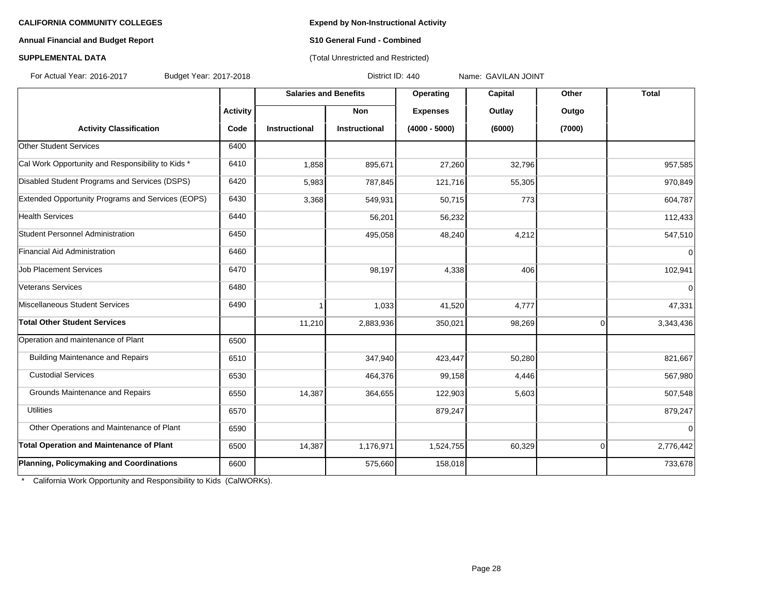### **Annual Financial and Budget Report S10 General Fund - Combined**

# **SUPPLEMENTAL DATA CONSUMPTER ACCOUNT ACCOUNT ACCOUNT ACCOUNT ACCOUNT ACCOUNT ACCOUNT ACCOUNT ACCOUNT ACCOUNT ACCOUNT ACCOUNT ACCOUNT ACCOUNT ACCOUNT ACCOUNT ACCOUNT ACCOUNT ACCOUNT ACCOUNT ACCOUNT ACCOUNT ACCOUNT ACCOUN**

For Actual Year: 2016-2017 Budget Year: 2017-2018 District ID: 440 Name: GAVILAN JOINT

|                                                   |                 | <b>Salaries and Benefits</b> |                      | Operating       | Capital | Other    | <b>Total</b>   |
|---------------------------------------------------|-----------------|------------------------------|----------------------|-----------------|---------|----------|----------------|
|                                                   | <b>Activity</b> |                              | <b>Non</b>           | <b>Expenses</b> | Outlay  | Outgo    |                |
| <b>Activity Classification</b>                    | Code            | <b>Instructional</b>         | <b>Instructional</b> | $(4000 - 5000)$ | (6000)  | (7000)   |                |
| <b>Other Student Services</b>                     | 6400            |                              |                      |                 |         |          |                |
| Cal Work Opportunity and Responsibility to Kids * | 6410            | 1,858                        | 895,671              | 27,260          | 32,796  |          | 957,585        |
| Disabled Student Programs and Services (DSPS)     | 6420            | 5,983                        | 787,845              | 121,716         | 55,305  |          | 970,849        |
| Extended Opportunity Programs and Services (EOPS) | 6430            | 3,368                        | 549,931              | 50,715          | 773     |          | 604,787        |
| <b>Health Services</b>                            | 6440            |                              | 56,201               | 56,232          |         |          | 112,433        |
| Student Personnel Administration                  | 6450            |                              | 495,058              | 48,240          | 4,212   |          | 547,510        |
| Financial Aid Administration                      | 6460            |                              |                      |                 |         |          | $\Omega$       |
| <b>Job Placement Services</b>                     | 6470            |                              | 98,197               | 4,338           | 406     |          | 102,941        |
| Veterans Services                                 | 6480            |                              |                      |                 |         |          | $\overline{0}$ |
| Miscellaneous Student Services                    | 6490            |                              | 1,033                | 41,520          | 4,777   |          | 47,331         |
| <b>Total Other Student Services</b>               |                 | 11,210                       | 2,883,936            | 350,021         | 98,269  | $\Omega$ | 3,343,436      |
| Operation and maintenance of Plant                | 6500            |                              |                      |                 |         |          |                |
| <b>Building Maintenance and Repairs</b>           | 6510            |                              | 347,940              | 423,447         | 50,280  |          | 821,667        |
| <b>Custodial Services</b>                         | 6530            |                              | 464,376              | 99,158          | 4,446   |          | 567,980        |
| Grounds Maintenance and Repairs                   | 6550            | 14,387                       | 364,655              | 122,903         | 5,603   |          | 507,548        |
| <b>Utilities</b>                                  | 6570            |                              |                      | 879,247         |         |          | 879,247        |
| Other Operations and Maintenance of Plant         | 6590            |                              |                      |                 |         |          | $\Omega$       |
| <b>Total Operation and Maintenance of Plant</b>   | 6500            | 14,387                       | 1,176,971            | 1,524,755       | 60,329  | 0        | 2,776,442      |
| Planning, Policymaking and Coordinations          | 6600            |                              | 575,660              | 158,018         |         |          | 733,678        |

\* California Work Opportunity and Responsibility to Kids (CalWORKs).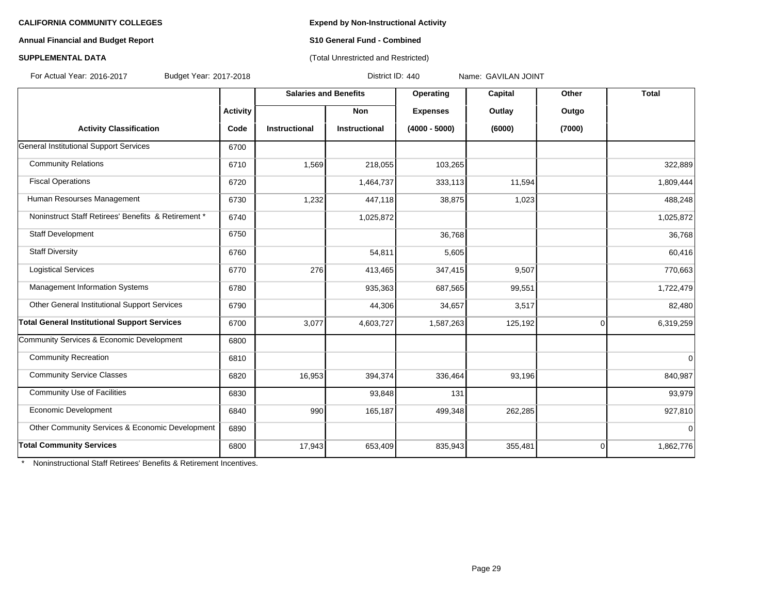### **Annual Financial and Budget Report S10 General Fund - Combined**

# **SUPPLEMENTAL DATA CONSERVATION CONSERVATION** (Total Unrestricted and Restricted)

For Actual Year: 2016-2017 Budget Year: 2017-2018 District ID: 440 Name: GAVILAN JOINT

|                                                     |                 | <b>Salaries and Benefits</b> |                      | Operating       | Capital | Other    | <b>Total</b> |
|-----------------------------------------------------|-----------------|------------------------------|----------------------|-----------------|---------|----------|--------------|
|                                                     | <b>Activity</b> |                              | Non                  | <b>Expenses</b> | Outlay  | Outgo    |              |
| <b>Activity Classification</b>                      | Code            | <b>Instructional</b>         | <b>Instructional</b> | $(4000 - 5000)$ | (6000)  | (7000)   |              |
| <b>General Institutional Support Services</b>       | 6700            |                              |                      |                 |         |          |              |
| <b>Community Relations</b>                          | 6710            | 1,569                        | 218,055              | 103,265         |         |          | 322,889      |
| <b>Fiscal Operations</b>                            | 6720            |                              | 1,464,737            | 333,113         | 11,594  |          | 1,809,444    |
| Human Resourses Management                          | 6730            | 1,232                        | 447,118              | 38,875          | 1,023   |          | 488,248      |
| Noninstruct Staff Retirees' Benefits & Retirement * | 6740            |                              | 1,025,872            |                 |         |          | 1,025,872    |
| Staff Development                                   | 6750            |                              |                      | 36,768          |         |          | 36,768       |
| <b>Staff Diversity</b>                              | 6760            |                              | 54,811               | 5,605           |         |          | 60,416       |
| <b>Logistical Services</b>                          | 6770            | 276                          | 413,465              | 347,415         | 9,507   |          | 770,663      |
| Management Information Systems                      | 6780            |                              | 935,363              | 687,565         | 99,551  |          | 1,722,479    |
| Other General Institutional Support Services        | 6790            |                              | 44,306               | 34,657          | 3,517   |          | 82,480       |
| <b>Total General Institutional Support Services</b> | 6700            | 3,077                        | 4,603,727            | 1,587,263       | 125,192 | $\Omega$ | 6,319,259    |
| Community Services & Economic Development           | 6800            |                              |                      |                 |         |          |              |
| <b>Community Recreation</b>                         | 6810            |                              |                      |                 |         |          | $\Omega$     |
| <b>Community Service Classes</b>                    | 6820            | 16,953                       | 394,374              | 336,464         | 93,196  |          | 840,987      |
| Community Use of Facilities                         | 6830            |                              | 93,848               | 131             |         |          | 93,979       |
| Economic Development                                | 6840            | 990                          | 165,187              | 499,348         | 262,285 |          | 927,810      |
| Other Community Services & Economic Development     | 6890            |                              |                      |                 |         |          | $\Omega$     |
| <b>Total Community Services</b>                     | 6800            | 17,943                       | 653,409              | 835,943         | 355,481 | $\Omega$ | 1,862,776    |

\* Noninstructional Staff Retirees' Benefits & Retirement Incentives.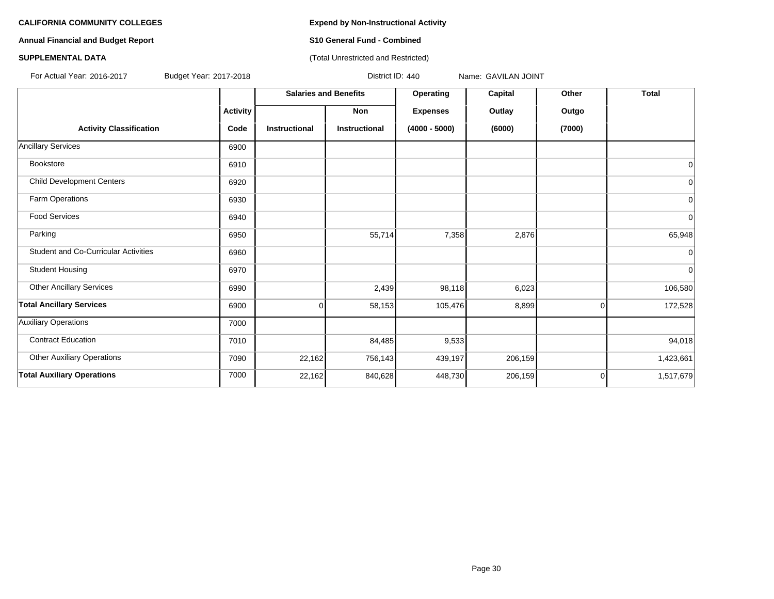**Annual Financial and Budget Report S10 General Fund - Combined**

### **SUPPLEMENTAL DATA CONSUMPTER ACCOUNT ACCOUNT ACCOUNT ACCOUNT ACCOUNT ACCOUNT ACCOUNT ACCOUNT ACCOUNT ACCOUNT ACCOUNT ACCOUNT ACCOUNT ACCOUNT ACCOUNT ACCOUNT ACCOUNT ACCOUNT ACCOUNT ACCOUNT ACCOUNT ACCOUNT ACCOUNT ACCOUN**

For Actual Year: 2016-2017 Budget Year: 2017-2018 District ID: 440 Name: GAVILAN JOINT

|                                             |                 | <b>Salaries and Benefits</b> |                      | Operating       | Capital | Other    | <b>Total</b> |
|---------------------------------------------|-----------------|------------------------------|----------------------|-----------------|---------|----------|--------------|
|                                             | <b>Activity</b> |                              | Non                  | <b>Expenses</b> | Outlay  | Outgo    |              |
| <b>Activity Classification</b>              | Code            | <b>Instructional</b>         | <b>Instructional</b> | $(4000 - 5000)$ | (6000)  | (7000)   |              |
| <b>Ancillary Services</b>                   | 6900            |                              |                      |                 |         |          |              |
| Bookstore                                   | 6910            |                              |                      |                 |         |          | 0            |
| <b>Child Development Centers</b>            | 6920            |                              |                      |                 |         |          | 0            |
| Farm Operations                             | 6930            |                              |                      |                 |         |          | 0            |
| <b>Food Services</b>                        | 6940            |                              |                      |                 |         |          | 0            |
| Parking                                     | 6950            |                              | 55,714               | 7,358           | 2,876   |          | 65,948       |
| <b>Student and Co-Curricular Activities</b> | 6960            |                              |                      |                 |         |          | $\Omega$     |
| <b>Student Housing</b>                      | 6970            |                              |                      |                 |         |          | 0            |
| <b>Other Ancillary Services</b>             | 6990            |                              | 2,439                | 98,118          | 6,023   |          | 106,580      |
| <b>Total Ancillary Services</b>             | 6900            | $\Omega$                     | 58,153               | 105,476         | 8,899   | $\Omega$ | 172,528      |
| <b>Auxiliary Operations</b>                 | 7000            |                              |                      |                 |         |          |              |
| <b>Contract Education</b>                   | 7010            |                              | 84,485               | 9,533           |         |          | 94,018       |
| <b>Other Auxiliary Operations</b>           | 7090            | 22,162                       | 756,143              | 439,197         | 206,159 |          | 1,423,661    |
| <b>Total Auxiliary Operations</b>           | 7000            | 22,162                       | 840,628              | 448,730         | 206,159 | $\Omega$ | 1,517,679    |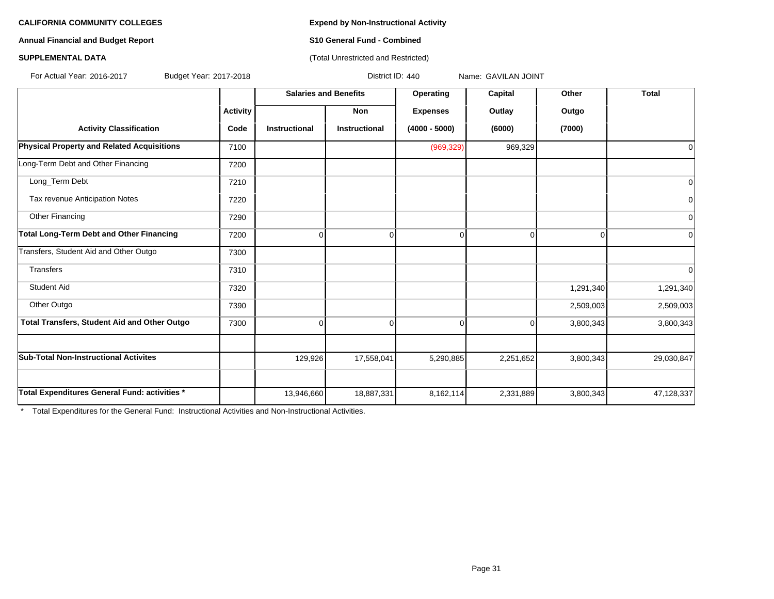### **Annual Financial and Budget Report S10 General Fund - Combined**

### **SUPPLEMENTAL DATA CONSERVATION CONSERVATION** (Total Unrestricted and Restricted)

For Actual Year: 2016-2017 Budget Year: 2017-2018 District ID: 440 Name: GAVILAN JOINT

|                                                     |                 | <b>Salaries and Benefits</b> |               | Operating<br>Capital |           | Other     | <b>Total</b>   |
|-----------------------------------------------------|-----------------|------------------------------|---------------|----------------------|-----------|-----------|----------------|
|                                                     | <b>Activity</b> |                              | Non           | <b>Expenses</b>      | Outlay    | Outgo     |                |
| <b>Activity Classification</b>                      | Code            | <b>Instructional</b>         | Instructional | $(4000 - 5000)$      | (6000)    | (7000)    |                |
| <b>Physical Property and Related Acquisitions</b>   | 7100            |                              |               | (969, 329)           | 969,329   |           | $\Omega$       |
| Long-Term Debt and Other Financing                  | 7200            |                              |               |                      |           |           |                |
| Long_Term Debt                                      | 7210            |                              |               |                      |           |           | $\Omega$       |
| Tax revenue Anticipation Notes                      | 7220            |                              |               |                      |           |           | 0              |
| Other Financing                                     | 7290            |                              |               |                      |           |           | $\overline{0}$ |
| Total Long-Term Debt and Other Financing            | 7200            | $\Omega$                     |               | O                    |           | U         | <sup>0</sup>   |
| Transfers, Student Aid and Other Outgo              | 7300            |                              |               |                      |           |           |                |
| <b>Transfers</b>                                    | 7310            |                              |               |                      |           |           | $\Omega$       |
| <b>Student Aid</b>                                  | 7320            |                              |               |                      |           | 1,291,340 | 1,291,340      |
| Other Outgo                                         | 7390            |                              |               |                      |           | 2,509,003 | 2,509,003      |
| <b>Total Transfers, Student Aid and Other Outgo</b> | 7300            | 0                            | 0             | 0                    | 0         | 3,800,343 | 3,800,343      |
| <b>Sub-Total Non-Instructional Activites</b>        |                 | 129,926                      | 17,558,041    | 5,290,885            | 2,251,652 | 3,800,343 | 29,030,847     |
|                                                     |                 |                              |               |                      |           |           |                |
| Total Expenditures General Fund: activities *       |                 | 13,946,660                   | 18,887,331    | 8,162,114            | 2,331,889 | 3,800,343 | 47,128,337     |

\* Total Expenditures for the General Fund: Instructional Activities and Non-Instructional Activities.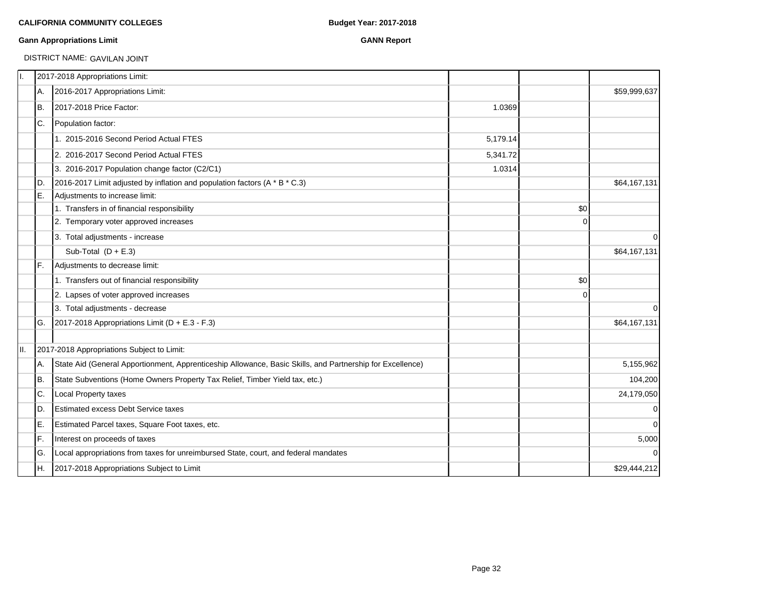### **Gann Appropriations Limit GANN Report**

# DISTRICT NAME: GAVILAN JOINT

|     | 2017-2018 Appropriations Limit:                                                                           |          |          |              |
|-----|-----------------------------------------------------------------------------------------------------------|----------|----------|--------------|
| IA. | 2016-2017 Appropriations Limit:                                                                           |          |          | \$59,999,637 |
| IB. | 2017-2018 Price Factor:                                                                                   | 1.0369   |          |              |
| IC. | Population factor:                                                                                        |          |          |              |
|     | 1. 2015-2016 Second Period Actual FTES                                                                    | 5,179.14 |          |              |
|     | 2. 2016-2017 Second Period Actual FTES                                                                    | 5,341.72 |          |              |
|     | 3. 2016-2017 Population change factor (C2/C1)                                                             | 1.0314   |          |              |
| ID. | 2016-2017 Limit adjusted by inflation and population factors (A * B * C.3)                                |          |          | \$64,167,131 |
| IE. | Adjustments to increase limit:                                                                            |          |          |              |
|     | 1. Transfers in of financial responsibility                                                               |          | \$0      |              |
|     | 2. Temporary voter approved increases                                                                     |          | $\Omega$ |              |
|     | 3. Total adjustments - increase                                                                           |          |          | $\mathbf 0$  |
|     | Sub-Total $(D + E.3)$                                                                                     |          |          | \$64,167,131 |
| IF. | Adjustments to decrease limit:                                                                            |          |          |              |
|     | 1. Transfers out of financial responsibility                                                              |          | \$0      |              |
|     | 2. Lapses of voter approved increases                                                                     |          | 0        |              |
|     | 3. Total adjustments - decrease                                                                           |          |          | $\Omega$     |
| G.  | 2017-2018 Appropriations Limit ( $D + E.3 - F.3$ )                                                        |          |          | \$64,167,131 |
|     | 2017-2018 Appropriations Subject to Limit:                                                                |          |          |              |
| IA. | State Aid (General Apportionment, Apprenticeship Allowance, Basic Skills, and Partnership for Excellence) |          |          | 5,155,962    |
| Iв. | State Subventions (Home Owners Property Tax Relief, Timber Yield tax, etc.)                               |          |          | 104,200      |
| IC. | <b>Local Property taxes</b>                                                                               |          |          | 24,179,050   |
| ID. | <b>Estimated excess Debt Service taxes</b>                                                                |          |          | $\mathbf 0$  |
| IE. | Estimated Parcel taxes, Square Foot taxes, etc.                                                           |          |          | $\mathbf 0$  |
| IF. | Interest on proceeds of taxes                                                                             |          |          | 5,000        |
| lG. | Local appropriations from taxes for unreimbursed State, court, and federal mandates                       |          |          | $\Omega$     |
| IH. | 2017-2018 Appropriations Subject to Limit                                                                 |          |          | \$29,444,212 |
|     |                                                                                                           |          |          |              |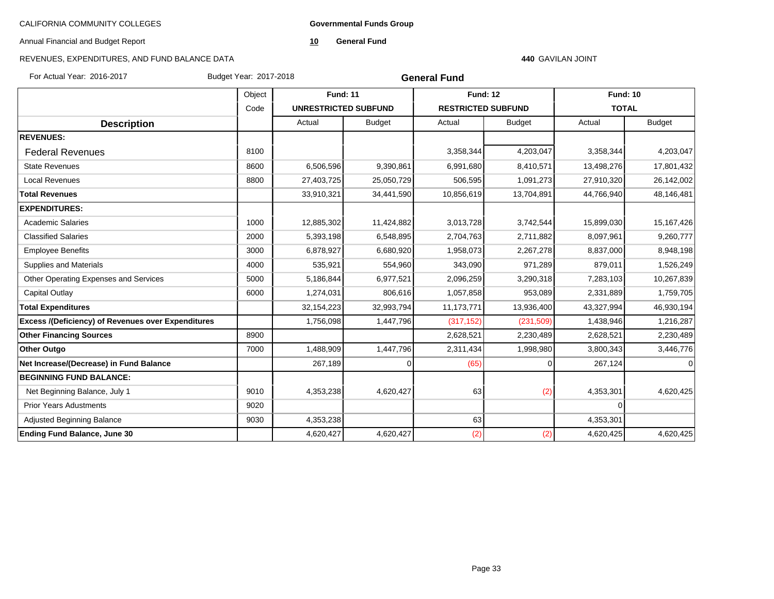**Governmental Funds Group**

Annual Financial and Budget Report

**10 General Fund**

# REVENUES, EXPENDITURES, AND FUND BALANCE DATA

#### **440** GAVILAN JOINT

For Actual Year: 2016-2017 Budget Year: 2017-2018

| <b>General Fund</b> |  |
|---------------------|--|
|---------------------|--|

|                                                           | Object |                             | <b>Fund: 11</b> |                           | <b>Fund: 12</b> | <b>Fund: 10</b> |               |
|-----------------------------------------------------------|--------|-----------------------------|-----------------|---------------------------|-----------------|-----------------|---------------|
|                                                           | Code   | <b>UNRESTRICTED SUBFUND</b> |                 | <b>RESTRICTED SUBFUND</b> |                 | <b>TOTAL</b>    |               |
| <b>Description</b>                                        |        | Actual                      | <b>Budget</b>   | Actual                    | <b>Budget</b>   | Actual          | <b>Budget</b> |
| <b>REVENUES:</b>                                          |        |                             |                 |                           |                 |                 |               |
| <b>Federal Revenues</b>                                   | 8100   |                             |                 | 3,358,344                 | 4,203,047       | 3,358,344       | 4,203,047     |
| <b>State Revenues</b>                                     | 8600   | 6,506,596                   | 9,390,861       | 6,991,680                 | 8,410,571       | 13,498,276      | 17,801,432    |
| <b>Local Revenues</b>                                     | 8800   | 27,403,725                  | 25,050,729      | 506,595                   | 1,091,273       | 27,910,320      | 26,142,002    |
| <b>Total Revenues</b>                                     |        | 33,910,321                  | 34,441,590      | 10,856,619                | 13,704,891      | 44,766,940      | 48,146,481    |
| <b>EXPENDITURES:</b>                                      |        |                             |                 |                           |                 |                 |               |
| <b>Academic Salaries</b>                                  | 1000   | 12,885,302                  | 11,424,882      | 3,013,728                 | 3,742,544       | 15,899,030      | 15, 167, 426  |
| <b>Classified Salaries</b>                                | 2000   | 5,393,198                   | 6,548,895       | 2,704,763                 | 2,711,882       | 8,097,961       | 9,260,777     |
| <b>Employee Benefits</b>                                  | 3000   | 6,878,927                   | 6,680,920       | 1,958,073                 | 2,267,278       | 8,837,000       | 8,948,198     |
| Supplies and Materials                                    | 4000   | 535,921                     | 554,960         | 343,090                   | 971,289         | 879,011         | 1,526,249     |
| Other Operating Expenses and Services                     | 5000   | 5,186,844                   | 6,977,521       | 2,096,259                 | 3,290,318       | 7,283,103       | 10,267,839    |
| Capital Outlay                                            | 6000   | 1,274,031                   | 806,616         | 1,057,858                 | 953,089         | 2,331,889       | 1,759,705     |
| <b>Total Expenditures</b>                                 |        | 32, 154, 223                | 32,993,794      | 11,173,771                | 13,936,400      | 43,327,994      | 46,930,194    |
| <b>Excess /(Deficiency) of Revenues over Expenditures</b> |        | 1,756,098                   | 1,447,796       | (317, 152)                | (231, 509)      | 1,438,946       | 1,216,287     |
| <b>Other Financing Sources</b>                            | 8900   |                             |                 | 2,628,521                 | 2,230,489       | 2,628,521       | 2,230,489     |
| <b>Other Outgo</b>                                        | 7000   | 1,488,909                   | 1,447,796       | 2,311,434                 | 1,998,980       | 3,800,343       | 3,446,776     |
| Net Increase/(Decrease) in Fund Balance                   |        | 267,189                     |                 | (65)                      | 0               | 267,124         |               |
| <b>BEGINNING FUND BALANCE:</b>                            |        |                             |                 |                           |                 |                 |               |
| Net Beginning Balance, July 1                             | 9010   | 4,353,238                   | 4,620,427       | 63                        | (2)             | 4,353,301       | 4,620,425     |
| <b>Prior Years Adustments</b>                             | 9020   |                             |                 |                           |                 | $\Omega$        |               |
| Adjusted Beginning Balance                                | 9030   | 4,353,238                   |                 | 63                        |                 | 4,353,301       |               |
| <b>Ending Fund Balance, June 30</b>                       |        | 4,620,427                   | 4,620,427       | (2)                       | (2)             | 4,620,425       | 4,620,425     |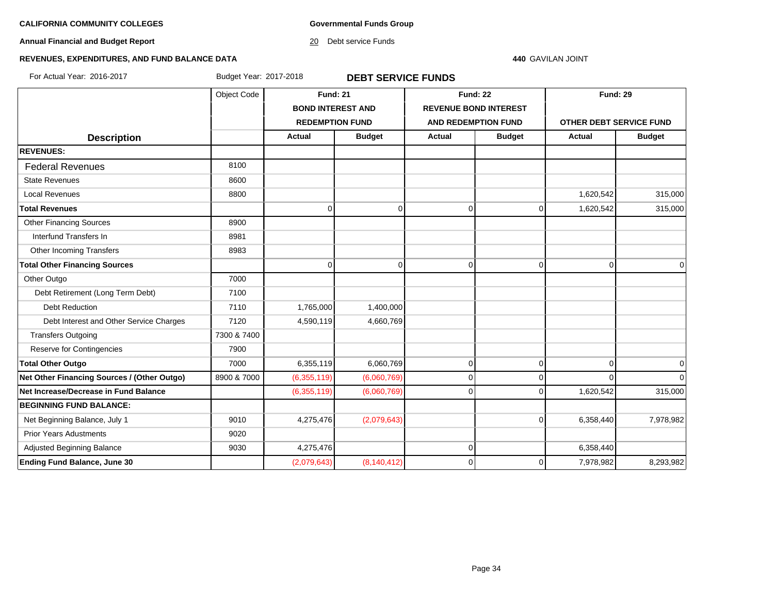**Governmental Funds Group**

**Annual Financial and Budget Report**

20 Debt service Funds

#### **440** GAVILAN JOINT

# **REVENUES, EXPENDITURES, AND FUND BALANCE DATA**

For Actual Year: 2016-2017 Budget Year: 2017-2018 **DEBT SERVICE FUNDS**

|                                             | Object Code | <b>Fund: 21</b>          |               | <b>Fund: 22</b>              |               | <b>Fund: 29</b>         |               |
|---------------------------------------------|-------------|--------------------------|---------------|------------------------------|---------------|-------------------------|---------------|
|                                             |             | <b>BOND INTEREST AND</b> |               | <b>REVENUE BOND INTEREST</b> |               |                         |               |
|                                             |             | <b>REDEMPTION FUND</b>   |               | <b>AND REDEMPTION FUND</b>   |               | OTHER DEBT SERVICE FUND |               |
| <b>Description</b>                          |             | Actual                   | <b>Budget</b> | Actual                       | <b>Budget</b> | <b>Actual</b>           | <b>Budget</b> |
| <b>REVENUES:</b>                            |             |                          |               |                              |               |                         |               |
| <b>Federal Revenues</b>                     | 8100        |                          |               |                              |               |                         |               |
| <b>State Revenues</b>                       | 8600        |                          |               |                              |               |                         |               |
| <b>Local Revenues</b>                       | 8800        |                          |               |                              |               | 1,620,542               | 315,000       |
| <b>Total Revenues</b>                       |             | 0                        | $\Omega$      | 0                            | 0             | 1,620,542               | 315,000       |
| <b>Other Financing Sources</b>              | 8900        |                          |               |                              |               |                         |               |
| Interfund Transfers In                      | 8981        |                          |               |                              |               |                         |               |
| Other Incoming Transfers                    | 8983        |                          |               |                              |               |                         |               |
| <b>Total Other Financing Sources</b>        |             | U                        | $\Omega$      | $\mathbf 0$                  | 0             | $\Omega$                | $\mathbf 0$   |
| Other Outgo                                 | 7000        |                          |               |                              |               |                         |               |
| Debt Retirement (Long Term Debt)            | 7100        |                          |               |                              |               |                         |               |
| <b>Debt Reduction</b>                       | 7110        | 1,765,000                | 1,400,000     |                              |               |                         |               |
| Debt Interest and Other Service Charges     | 7120        | 4,590,119                | 4,660,769     |                              |               |                         |               |
| <b>Transfers Outgoing</b>                   | 7300 & 7400 |                          |               |                              |               |                         |               |
| Reserve for Contingencies                   | 7900        |                          |               |                              |               |                         |               |
| <b>Total Other Outgo</b>                    | 7000        | 6,355,119                | 6,060,769     | $\mathbf 0$                  | $\mathbf 0$   | $\overline{0}$          | 0             |
| Net Other Financing Sources / (Other Outgo) | 8900 & 7000 | (6,355,119)              | (6,060,769)   | $\mathbf 0$                  | $\Omega$      | $\Omega$                |               |
| Net Increase/Decrease in Fund Balance       |             | (6,355,119)              | (6,060,769)   | $\Omega$                     | $\Omega$      | 1,620,542               | 315,000       |
| <b>BEGINNING FUND BALANCE:</b>              |             |                          |               |                              |               |                         |               |
| Net Beginning Balance, July 1               | 9010        | 4,275,476                | (2,079,643)   |                              | $\Omega$      | 6,358,440               | 7,978,982     |
| <b>Prior Years Adustments</b>               | 9020        |                          |               |                              |               |                         |               |
| <b>Adjusted Beginning Balance</b>           | 9030        | 4,275,476                |               | $\mathbf 0$                  |               | 6,358,440               |               |
| <b>Ending Fund Balance, June 30</b>         |             | (2,079,643)              | (8, 140, 412) | $\Omega$                     | $\Omega$      | 7,978,982               | 8,293,982     |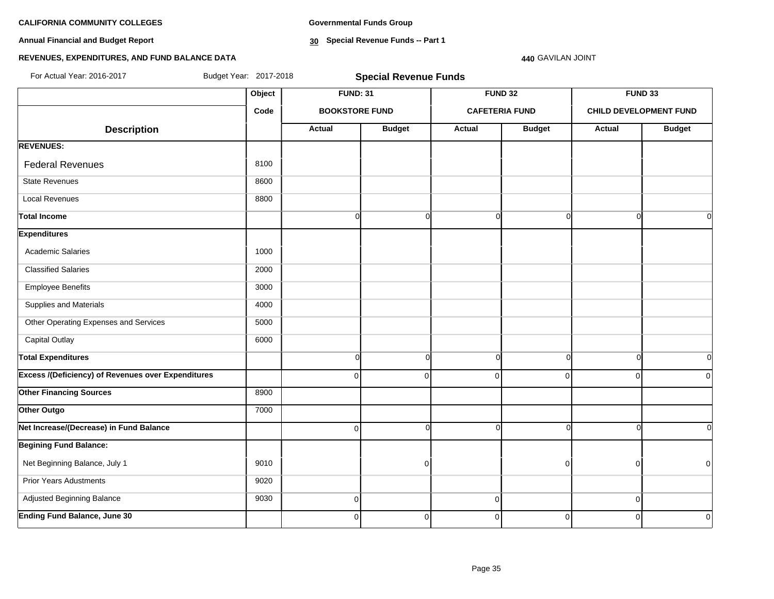**Annual Financial and Budget Report**

**Governmental Funds Group**

**30 Special Revenue Funds -- Part 1**

### **440** GAVILAN JOINT

# **REVENUES, EXPENDITURES, AND FUND BALANCE DATA**

| For Actual Year: 2016-2017                                |        | Budget Year: 2017-2018<br><b>Special Revenue Funds</b> |                       |             |                       |          |                               |  |
|-----------------------------------------------------------|--------|--------------------------------------------------------|-----------------------|-------------|-----------------------|----------|-------------------------------|--|
|                                                           | Object | <b>FUND: 31</b>                                        |                       |             | <b>FUND 32</b>        |          | <b>FUND 33</b>                |  |
|                                                           | Code   |                                                        | <b>BOOKSTORE FUND</b> |             | <b>CAFETERIA FUND</b> |          | <b>CHILD DEVELOPMENT FUND</b> |  |
| <b>Description</b>                                        |        | Actual                                                 | <b>Budget</b>         | Actual      | <b>Budget</b>         | Actual   | <b>Budget</b>                 |  |
| <b>REVENUES:</b>                                          |        |                                                        |                       |             |                       |          |                               |  |
| <b>Federal Revenues</b>                                   | 8100   |                                                        |                       |             |                       |          |                               |  |
| <b>State Revenues</b>                                     | 8600   |                                                        |                       |             |                       |          |                               |  |
| <b>Local Revenues</b>                                     | 8800   |                                                        |                       |             |                       |          |                               |  |
| <b>Total Income</b>                                       |        | $\overline{0}$                                         | $\mathbf 0$           | $\Omega$    | $\Omega$              | ∩        | $\overline{0}$                |  |
| <b>Expenditures</b>                                       |        |                                                        |                       |             |                       |          |                               |  |
| Academic Salaries                                         | 1000   |                                                        |                       |             |                       |          |                               |  |
| <b>Classified Salaries</b>                                | 2000   |                                                        |                       |             |                       |          |                               |  |
| <b>Employee Benefits</b>                                  | 3000   |                                                        |                       |             |                       |          |                               |  |
| Supplies and Materials                                    | 4000   |                                                        |                       |             |                       |          |                               |  |
| Other Operating Expenses and Services                     | 5000   |                                                        |                       |             |                       |          |                               |  |
| <b>Capital Outlay</b>                                     | 6000   |                                                        |                       |             |                       |          |                               |  |
| <b>Total Expenditures</b>                                 |        | $\overline{0}$                                         | $\mathbf 0$           | $\Omega$    | $\Omega$              | ∩        | $\overline{0}$                |  |
| <b>Excess /(Deficiency) of Revenues over Expenditures</b> |        | $\overline{0}$                                         | $\Omega$              | $\Omega$    | $\Omega$              | $\Omega$ | $\overline{0}$                |  |
| <b>Other Financing Sources</b>                            | 8900   |                                                        |                       |             |                       |          |                               |  |
| Other Outgo                                               | 7000   |                                                        |                       |             |                       |          |                               |  |
| Net Increase/(Decrease) in Fund Balance                   |        | $\overline{0}$                                         | $\Omega$              | $\Omega$    | ∩                     |          | $\overline{0}$                |  |
| <b>Begining Fund Balance:</b>                             |        |                                                        |                       |             |                       |          |                               |  |
| Net Beginning Balance, July 1                             | 9010   |                                                        | O                     |             | n                     | U        | $\overline{0}$                |  |
| <b>Prior Years Adustments</b>                             | 9020   |                                                        |                       |             |                       |          |                               |  |
| Adjusted Beginning Balance                                | 9030   | $\overline{0}$                                         |                       | $\mathbf 0$ |                       | $\Omega$ |                               |  |
| <b>Ending Fund Balance, June 30</b>                       |        | $\overline{0}$                                         | $\overline{0}$        | $\Omega$    | $\mathbf 0$           | $\Omega$ | $\Omega$                      |  |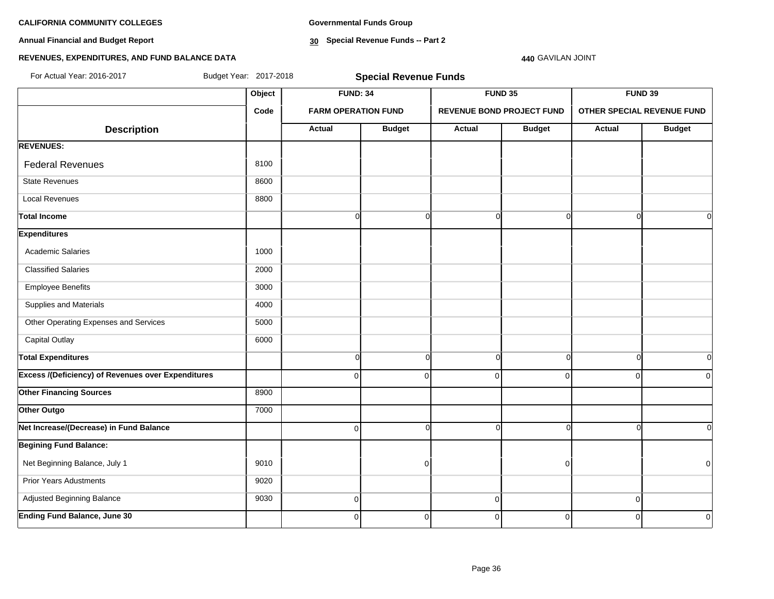**Annual Financial and Budget Report**

**Governmental Funds Group**

**30 Special Revenue Funds -- Part 2**

# **REVENUES, EXPENDITURES, AND FUND BALANCE DATA**

# **440** GAVILAN JOINT

| For Actual Year: 2016-2017                                |        | Budget Year: 2017-2018<br><b>Special Revenue Funds</b> |                            |               |                                  |               |                            |  |  |
|-----------------------------------------------------------|--------|--------------------------------------------------------|----------------------------|---------------|----------------------------------|---------------|----------------------------|--|--|
|                                                           | Object | <b>FUND: 34</b>                                        |                            |               | <b>FUND 35</b>                   |               | FUND 39                    |  |  |
|                                                           | Code   |                                                        | <b>FARM OPERATION FUND</b> |               | <b>REVENUE BOND PROJECT FUND</b> |               | OTHER SPECIAL REVENUE FUND |  |  |
| <b>Description</b>                                        |        | Actual                                                 | <b>Budget</b>              | <b>Actual</b> | <b>Budget</b>                    | <b>Actual</b> | <b>Budget</b>              |  |  |
| <b>REVENUES:</b>                                          |        |                                                        |                            |               |                                  |               |                            |  |  |
| <b>Federal Revenues</b>                                   | 8100   |                                                        |                            |               |                                  |               |                            |  |  |
| <b>State Revenues</b>                                     | 8600   |                                                        |                            |               |                                  |               |                            |  |  |
| <b>Local Revenues</b>                                     | 8800   |                                                        |                            |               |                                  |               |                            |  |  |
| <b>Total Income</b>                                       |        | $\overline{0}$                                         | $\Omega$                   | $\Omega$      | $\Omega$                         | $\Omega$      | $\Omega$                   |  |  |
| <b>Expenditures</b>                                       |        |                                                        |                            |               |                                  |               |                            |  |  |
| <b>Academic Salaries</b>                                  | 1000   |                                                        |                            |               |                                  |               |                            |  |  |
| <b>Classified Salaries</b>                                | 2000   |                                                        |                            |               |                                  |               |                            |  |  |
| <b>Employee Benefits</b>                                  | 3000   |                                                        |                            |               |                                  |               |                            |  |  |
| Supplies and Materials                                    | 4000   |                                                        |                            |               |                                  |               |                            |  |  |
| Other Operating Expenses and Services                     | 5000   |                                                        |                            |               |                                  |               |                            |  |  |
| <b>Capital Outlay</b>                                     | 6000   |                                                        |                            |               |                                  |               |                            |  |  |
| <b>Total Expenditures</b>                                 |        | $\overline{0}$                                         | $\Omega$                   | $\Omega$      | $\Omega$                         | $\Omega$      | $\Omega$                   |  |  |
| <b>Excess /(Deficiency) of Revenues over Expenditures</b> |        | $\Omega$                                               | $\Omega$                   | $\Omega$      | $\Omega$                         | $\Omega$      | $\Omega$                   |  |  |
| <b>Other Financing Sources</b>                            | 8900   |                                                        |                            |               |                                  |               |                            |  |  |
| Other Outgo                                               | 7000   |                                                        |                            |               |                                  |               |                            |  |  |
| Net Increase/(Decrease) in Fund Balance                   |        | $\overline{0}$                                         | $\Omega$                   | ∩             | O                                | $\sqrt{ }$    | $\Omega$                   |  |  |
| <b>Begining Fund Balance:</b>                             |        |                                                        |                            |               |                                  |               |                            |  |  |
| Net Beginning Balance, July 1                             | 9010   |                                                        | $\Omega$                   |               | $\Omega$                         |               | $\mathbf 0$                |  |  |
| <b>Prior Years Adustments</b>                             | 9020   |                                                        |                            |               |                                  |               |                            |  |  |
| Adjusted Beginning Balance                                | 9030   | $\overline{0}$                                         |                            | $\pmb{0}$     |                                  | $\pmb{0}$     |                            |  |  |
| <b>Ending Fund Balance, June 30</b>                       |        | $\overline{0}$                                         | $\Omega$                   | 0             | 0                                | $\mathbf 0$   | 0                          |  |  |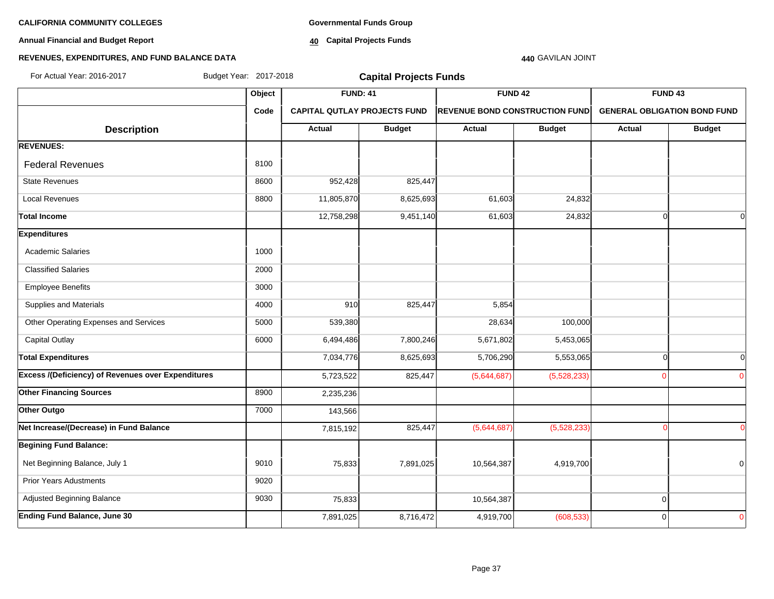**Annual Financial and Budget Report**

**Governmental Funds Group**

**40 Capital Projects Funds**

# **440** GAVILAN JOINT

# **REVENUES, EXPENDITURES, AND FUND BALANCE DATA**

| For Actual Year: 2016-2017                                | Budget Year: 2017-2018 |                                     | <b>Capital Projects Funds</b> |                                       |               |                                     |               |
|-----------------------------------------------------------|------------------------|-------------------------------------|-------------------------------|---------------------------------------|---------------|-------------------------------------|---------------|
|                                                           | Object                 | <b>FUND: 41</b>                     |                               | <b>FUND 42</b>                        |               | <b>FUND 43</b>                      |               |
|                                                           | Code                   | <b>CAPITAL QUTLAY PROJECTS FUND</b> |                               | <b>REVENUE BOND CONSTRUCTION FUND</b> |               | <b>GENERAL OBLIGATION BOND FUND</b> |               |
| <b>Description</b>                                        |                        | Actual                              | <b>Budget</b>                 | <b>Actual</b>                         | <b>Budget</b> | Actual                              | <b>Budget</b> |
| <b>REVENUES:</b>                                          |                        |                                     |                               |                                       |               |                                     |               |
| <b>Federal Revenues</b>                                   | 8100                   |                                     |                               |                                       |               |                                     |               |
| <b>State Revenues</b>                                     | 8600                   | 952,428                             | 825,447                       |                                       |               |                                     |               |
| Local Revenues                                            | 8800                   | 11,805,870                          | 8,625,693                     | 61,603                                | 24,832        |                                     |               |
| <b>Total Income</b>                                       |                        | 12,758,298                          | 9,451,140                     | 61,603                                | 24,832        | $\cap$                              | $\Omega$      |
| <b>Expenditures</b>                                       |                        |                                     |                               |                                       |               |                                     |               |
| <b>Academic Salaries</b>                                  | 1000                   |                                     |                               |                                       |               |                                     |               |
| <b>Classified Salaries</b>                                | 2000                   |                                     |                               |                                       |               |                                     |               |
| <b>Employee Benefits</b>                                  | 3000                   |                                     |                               |                                       |               |                                     |               |
| Supplies and Materials                                    | 4000                   | 910                                 | 825,447                       | 5,854                                 |               |                                     |               |
| Other Operating Expenses and Services                     | 5000                   | 539,380                             |                               | 28,634                                | 100,000       |                                     |               |
| <b>Capital Outlay</b>                                     | 6000                   | 6,494,486                           | 7,800,246                     | 5,671,802                             | 5,453,065     |                                     |               |
| <b>Total Expenditures</b>                                 |                        | 7,034,776                           | 8,625,693                     | 5,706,290                             | 5,553,065     | $\Omega$                            | 0             |
| <b>Excess /(Deficiency) of Revenues over Expenditures</b> |                        | 5,723,522                           | 825,447                       | (5,644,687)                           | (5,528,233)   |                                     | $\Omega$      |
| <b>Other Financing Sources</b>                            | 8900                   | 2,235,236                           |                               |                                       |               |                                     |               |
| Other Outgo                                               | 7000                   | 143,566                             |                               |                                       |               |                                     |               |
| Net Increase/(Decrease) in Fund Balance                   |                        | 7,815,192                           | 825,447                       | (5,644,687)                           | (5,528,233)   |                                     | $\Omega$      |
| <b>Begining Fund Balance:</b>                             |                        |                                     |                               |                                       |               |                                     |               |
| Net Beginning Balance, July 1                             | 9010                   | 75,833                              | 7,891,025                     | 10,564,387                            | 4,919,700     |                                     | 0             |
| <b>Prior Years Adustments</b>                             | 9020                   |                                     |                               |                                       |               |                                     |               |
| Adjusted Beginning Balance                                | 9030                   | 75,833                              |                               | 10,564,387                            |               | $\mathbf 0$                         |               |
| <b>Ending Fund Balance, June 30</b>                       |                        | 7,891,025                           | 8,716,472                     | 4,919,700                             | (608, 533)    | $\Omega$                            | 0             |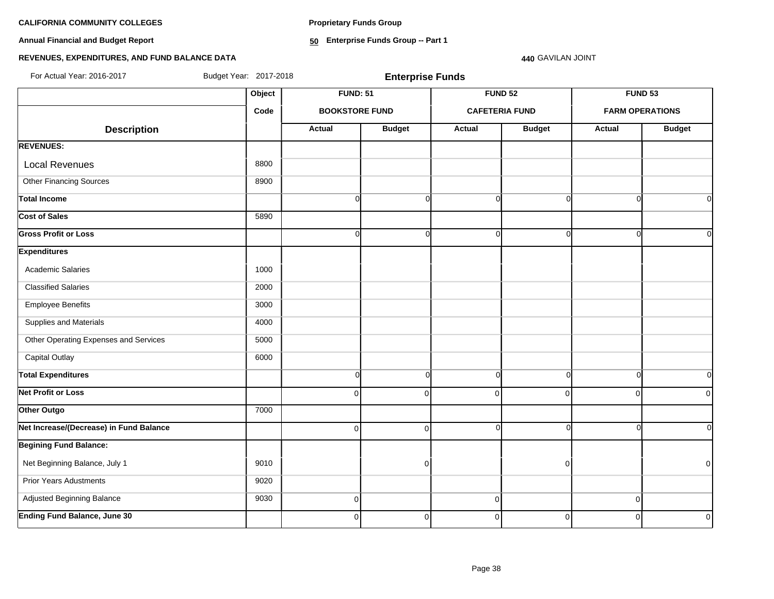**Proprietary Funds Group**

**Annual Financial and Budget Report**

**50 Enterprise Funds Group -- Part 1**

### **REVENUES, EXPENDITURES, AND FUND BALANCE DATA**

**440** GAVILAN JOINT

**Object FUND: 51 FUND 52 FUND 53 Code BOOKSTORE FUND CAFETERIA FUND FARM OPERATIONS**  $\begin{array}{|c|c|c|c|c|c|}\n \hline\n \text{Description} & & \text{Actual} & \text{Actual} & \text{Budget} & \text{Actual} & \text{Budget} & \text{Actual} & \text{Budget} \end{array}$ **REVENUES:** Local Revenues and all the state of the state of the state of the state of the state of the state of the state of the state of the state of the state of the state of the state of the state of the state of the state of the Other Financing Sources 8900 **Total Income** 0 0 0 0 0 0 **Cost of Sales** 5890 **Gross Profit or Loss** 0 0 0 0 0 0 **Expenditures** Academic Salaries 1000 Classified Salaries 2000 Employee Benefits 3000 Supplies and Materials 4000 Other Operating Expenses and Services **1000** 5000 Capital Outlay 6000 **Total Expenditures** 0 0 0 0 0 0 **Net Profit or Loss** 0 0 0 0 0 0 **Other Outgo** 7000 **Net Increase/(Decrease) in Fund Balance** 0 0 0 0 0 0 **Begining Fund Balance:** Net Beginning Balance, July 1 9010 0 0 0 Prior Years Adustments **9020**  Adjusted Beginning Balance 9030 0 0 0 **Ending Fund Balance, June 30** 0 0 0 0 0 0 For Actual Year: 2016-2017 Budget Year: 2017-2018 **Enterprise Funds**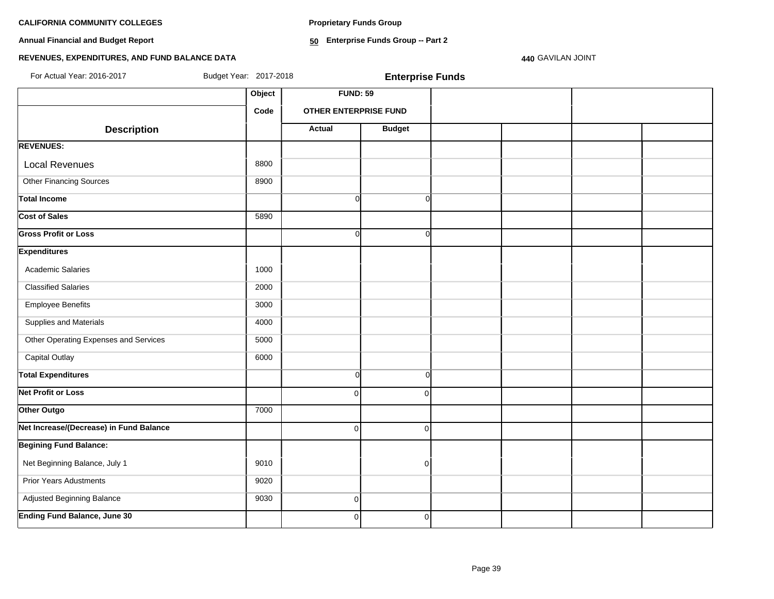**Proprietary Funds Group**

**Annual Financial and Budget Report**

**50 Enterprise Funds Group -- Part 2**

### **440** GAVILAN JOINT

# **REVENUES, EXPENDITURES, AND FUND BALANCE DATA**

For Actual Year: 2016-2017 Budget Year: 2017-2018 **Enterprise Funds**

|                                         | Object | <b>FUND: 59</b>              |               |  |  |  |  |
|-----------------------------------------|--------|------------------------------|---------------|--|--|--|--|
|                                         | Code   | <b>OTHER ENTERPRISE FUND</b> |               |  |  |  |  |
| <b>Description</b>                      |        | <b>Actual</b>                | <b>Budget</b> |  |  |  |  |
| <b>REVENUES:</b>                        |        |                              |               |  |  |  |  |
| <b>Local Revenues</b>                   | 8800   |                              |               |  |  |  |  |
| <b>Other Financing Sources</b>          | 8900   |                              |               |  |  |  |  |
| <b>Total Income</b>                     |        | $\overline{0}$               | $\Omega$      |  |  |  |  |
| <b>Cost of Sales</b>                    | 5890   |                              |               |  |  |  |  |
| <b>Gross Profit or Loss</b>             |        | $\Omega$                     | $\Omega$      |  |  |  |  |
| <b>Expenditures</b>                     |        |                              |               |  |  |  |  |
| Academic Salaries                       | 1000   |                              |               |  |  |  |  |
| <b>Classified Salaries</b>              | 2000   |                              |               |  |  |  |  |
| <b>Employee Benefits</b>                | 3000   |                              |               |  |  |  |  |
| Supplies and Materials                  | 4000   |                              |               |  |  |  |  |
| Other Operating Expenses and Services   | 5000   |                              |               |  |  |  |  |
| <b>Capital Outlay</b>                   | 6000   |                              |               |  |  |  |  |
| <b>Total Expenditures</b>               |        | $\overline{0}$               | $\Omega$      |  |  |  |  |
| <b>Net Profit or Loss</b>               |        | $\overline{0}$               | $\Omega$      |  |  |  |  |
| Other Outgo                             | 7000   |                              |               |  |  |  |  |
| Net Increase/(Decrease) in Fund Balance |        | 0                            | $\Omega$      |  |  |  |  |
| <b>Begining Fund Balance:</b>           |        |                              |               |  |  |  |  |
| Net Beginning Balance, July 1           | 9010   |                              | $\Omega$      |  |  |  |  |
| <b>Prior Years Adustments</b>           | 9020   |                              |               |  |  |  |  |
| Adjusted Beginning Balance              | 9030   | $\overline{0}$               |               |  |  |  |  |
| <b>Ending Fund Balance, June 30</b>     |        | $\Omega$                     | $\Omega$      |  |  |  |  |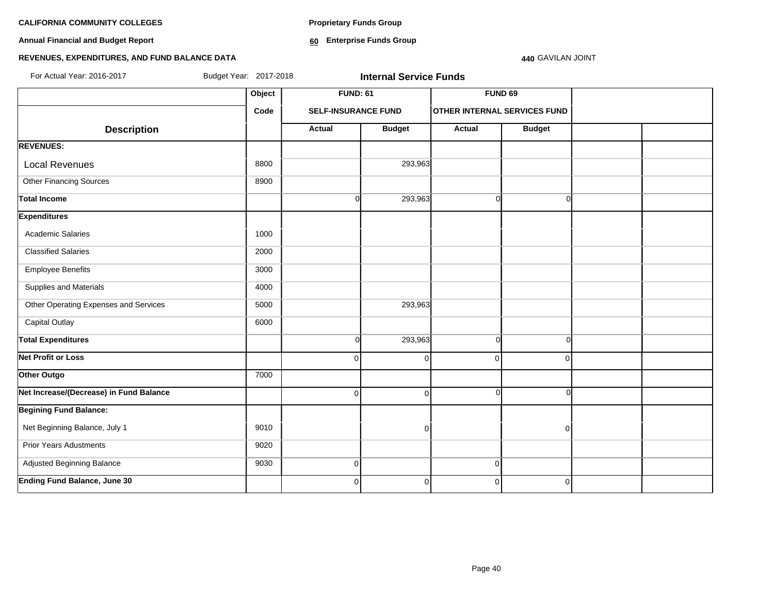**Annual Financial and Budget Report**

**Proprietary Funds Group**

**60 Enterprise Funds Group** 

#### **440** GAVILAN JOINT

# **REVENUES, EXPENDITURES, AND FUND BALANCE DATA**

| For Actual Year: 2016-2017<br>Budget Year: 2017-2018<br><b>Internal Service Funds</b> |        |                            |                 |             |                                     |  |  |
|---------------------------------------------------------------------------------------|--------|----------------------------|-----------------|-------------|-------------------------------------|--|--|
|                                                                                       | Object |                            | <b>FUND: 61</b> |             | <b>FUND 69</b>                      |  |  |
|                                                                                       | Code   | <b>SELF-INSURANCE FUND</b> |                 |             | <b>OTHER INTERNAL SERVICES FUND</b> |  |  |
| <b>Description</b>                                                                    |        | <b>Actual</b>              | <b>Budget</b>   | Actual      | <b>Budget</b>                       |  |  |
| <b>REVENUES:</b>                                                                      |        |                            |                 |             |                                     |  |  |
| <b>Local Revenues</b>                                                                 | 8800   |                            | 293,963         |             |                                     |  |  |
| <b>Other Financing Sources</b>                                                        | 8900   |                            |                 |             |                                     |  |  |
| <b>Total Income</b>                                                                   |        | $\overline{O}$             | 293,963         | $\Omega$    | $\Omega$                            |  |  |
| <b>Expenditures</b>                                                                   |        |                            |                 |             |                                     |  |  |
| <b>Academic Salaries</b>                                                              | 1000   |                            |                 |             |                                     |  |  |
| <b>Classified Salaries</b>                                                            | 2000   |                            |                 |             |                                     |  |  |
| <b>Employee Benefits</b>                                                              | 3000   |                            |                 |             |                                     |  |  |
| Supplies and Materials                                                                | 4000   |                            |                 |             |                                     |  |  |
| Other Operating Expenses and Services                                                 | 5000   |                            | 293,963         |             |                                     |  |  |
| <b>Capital Outlay</b>                                                                 | 6000   |                            |                 |             |                                     |  |  |
| <b>Total Expenditures</b>                                                             |        | $\overline{O}$             | 293,963         | $\Omega$    | $\Omega$                            |  |  |
| <b>Net Profit or Loss</b>                                                             |        | $\Omega$                   | $\overline{0}$  | O           | $\Omega$                            |  |  |
| Other Outgo                                                                           | 7000   |                            |                 |             |                                     |  |  |
| Net Increase/(Decrease) in Fund Balance                                               |        | $\Omega$                   | $\overline{0}$  | n           | $\cap$                              |  |  |
| <b>Begining Fund Balance:</b>                                                         |        |                            |                 |             |                                     |  |  |
| Net Beginning Balance, July 1                                                         | 9010   |                            | $\overline{0}$  |             | 0                                   |  |  |
| <b>Prior Years Adustments</b>                                                         | 9020   |                            |                 |             |                                     |  |  |
| Adjusted Beginning Balance                                                            | 9030   | $\vert 0 \vert$            |                 | $\mathbf 0$ |                                     |  |  |
| <b>Ending Fund Balance, June 30</b>                                                   |        | $\overline{0}$             | $\overline{0}$  | $\mathbf 0$ | $\pmb{0}$                           |  |  |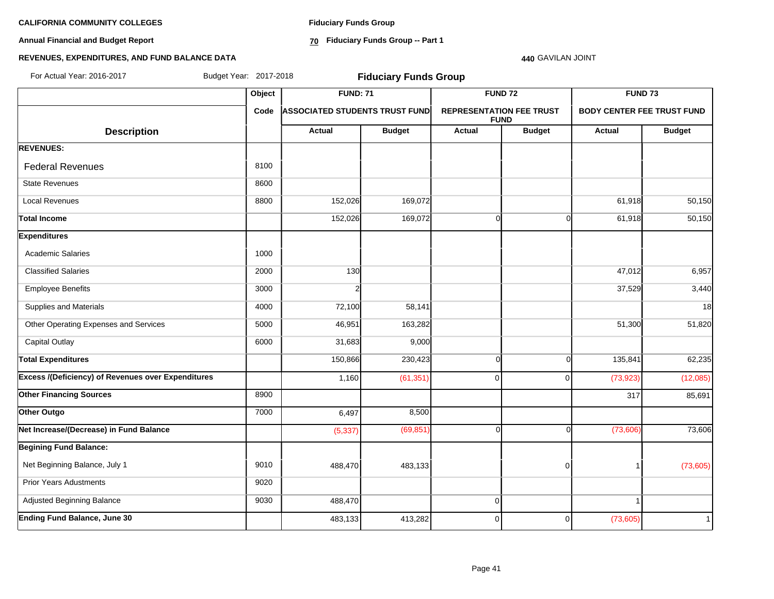**Annual Financial and Budget Report**

**Fiduciary Funds Group**

**70 Fiduciary Funds Group -- Part 1**

#### **440** GAVILAN JOINT

# **REVENUES, EXPENDITURES, AND FUND BALANCE DATA**

| For Actual Year: 2016-2017                         |        | Budget Year: 2017-2018<br><b>Fiduciary Funds Group</b> |               |                                 |                |                                   |               |  |  |
|----------------------------------------------------|--------|--------------------------------------------------------|---------------|---------------------------------|----------------|-----------------------------------|---------------|--|--|
|                                                    | Object | <b>FUND: 71</b>                                        |               |                                 | <b>FUND 72</b> | FUND <sub>73</sub>                |               |  |  |
|                                                    | Code   | <b>ASSOCIATED STUDENTS TRUST FUND</b>                  |               | <b>REPRESENTATION FEE TRUST</b> | <b>FUND</b>    | <b>BODY CENTER FEE TRUST FUND</b> |               |  |  |
| <b>Description</b>                                 |        | Actual                                                 | <b>Budget</b> | Actual                          | <b>Budget</b>  | <b>Actual</b>                     | <b>Budget</b> |  |  |
| <b>REVENUES:</b>                                   |        |                                                        |               |                                 |                |                                   |               |  |  |
| <b>Federal Revenues</b>                            | 8100   |                                                        |               |                                 |                |                                   |               |  |  |
| <b>State Revenues</b>                              | 8600   |                                                        |               |                                 |                |                                   |               |  |  |
| <b>Local Revenues</b>                              | 8800   | 152,026                                                | 169,072       |                                 |                | 61,918                            | 50,150        |  |  |
| <b>Total Income</b>                                |        | 152,026                                                | 169,072       | $\Omega$                        | $\Omega$       | 61,918                            | 50,150        |  |  |
| <b>Expenditures</b>                                |        |                                                        |               |                                 |                |                                   |               |  |  |
| <b>Academic Salaries</b>                           | 1000   |                                                        |               |                                 |                |                                   |               |  |  |
| <b>Classified Salaries</b>                         | 2000   | 130                                                    |               |                                 |                | 47,012                            | 6,957         |  |  |
| <b>Employee Benefits</b>                           | 3000   |                                                        |               |                                 |                | 37,529                            | 3,440         |  |  |
| Supplies and Materials                             | 4000   | 72,100                                                 | 58,141        |                                 |                |                                   | 18            |  |  |
| Other Operating Expenses and Services              | 5000   | 46,951                                                 | 163,282       |                                 |                | 51,300                            | 51,820        |  |  |
| <b>Capital Outlay</b>                              | 6000   | 31,683                                                 | 9,000         |                                 |                |                                   |               |  |  |
| <b>Total Expenditures</b>                          |        | 150,866                                                | 230,423       | $\Omega$                        | $\Omega$       | 135,841                           | 62,235        |  |  |
| Excess /(Deficiency) of Revenues over Expenditures |        | 1,160                                                  | (61, 351)     | $\Omega$                        | $\Omega$       | (73, 923)                         | (12,085)      |  |  |
| <b>Other Financing Sources</b>                     | 8900   |                                                        |               |                                 |                | 317                               | 85,691        |  |  |
| Other Outgo                                        | 7000   | 6,497                                                  | 8,500         |                                 |                |                                   |               |  |  |
| Net Increase/(Decrease) in Fund Balance            |        | (5, 337)                                               | (69, 851)     | ∩                               | U              | (73,606)                          | 73,606        |  |  |
| <b>Begining Fund Balance:</b>                      |        |                                                        |               |                                 |                |                                   |               |  |  |
| Net Beginning Balance, July 1                      | 9010   | 488,470                                                | 483,133       |                                 | $\Omega$       | -1                                | (73,605)      |  |  |
| <b>Prior Years Adustments</b>                      | 9020   |                                                        |               |                                 |                |                                   |               |  |  |
| Adjusted Beginning Balance                         | 9030   | 488,470                                                |               | $\Omega$                        |                | $\mathbf{1}$                      |               |  |  |
| <b>Ending Fund Balance, June 30</b>                |        | 483,133                                                | 413,282       | $\overline{0}$                  | 0              | (73,605)                          | $\mathbf{1}$  |  |  |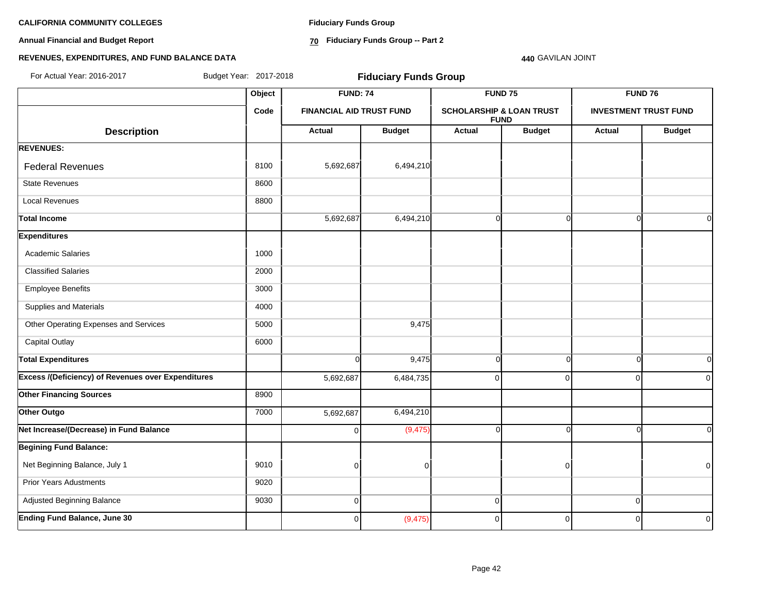**Annual Financial and Budget Report**

**Fiduciary Funds Group**

**70 Fiduciary Funds Group -- Part 2**

**440** GAVILAN JOINT

# **REVENUES, EXPENDITURES, AND FUND BALANCE DATA**

**Object FUND: 74 FUND 75 FUND 76 Code FINANCIAL AID TRUST FUND SCHOLARSHIP & LOAN TRUST FUND INVESTMENT TRUST FUND**  $\begin{array}{|c|c|c|c|c|c|}\n \hline\n \text{Description} & & \text{Actual} & \text{Actual} & \text{Budget} & \text{Budget} & \text{Budget} & \text{Actual} & \text{Budget} \end{array}$ **REVENUES:** Federal Revenues 8100  $\begin{array}{|c|c|c|c|c|c|c|c|c|} \hline \end{array}$  8100  $\begin{array}{|c|c|c|c|c|c|c|c|c|} \hline \end{array}$  5,692,687 6,494,210 State Revenues 8600 Local Revenues 8800 Total Income 5,692,687| 6,494,210| 0| 0| 0| 0 **Expenditures** Academic Salaries 1000 Classified Salaries 2000 Employee Benefits 3000 Supplies and Materials 4000 Other Operating Expenses and Services 6000 5000 9,475 Capital Outlay **6000** Total Expenditures 0| 9,475| 0| 0| 0| 0 **Excess /(Deficiency) of Revenues over Expenditures** 5,692,687 6,484,735 0 0 0 0 **Other Financing Sources** 8900 **Other Outgo** 6,494,210 **7000 12 12 12 13 14 14 14 14 14 14 14 14 14 14 14 14 15 16:494,210 Net Increase/(Decrease) in Fund Balance** 0 (9,475) 0 0 0 0 **Begining Fund Balance:** Net Beginning Balance, July 1 9010 0 0 0 0 Prior Years Adustments 9020 Adjusted Beginning Balance 9030 0 0 0 **Ending Fund Balance, June 30** 0 (9,475) 0 0 0 0 For Actual Year: 2016-2017 Budget Year: 2017-2018 **Fiduciary Funds Group**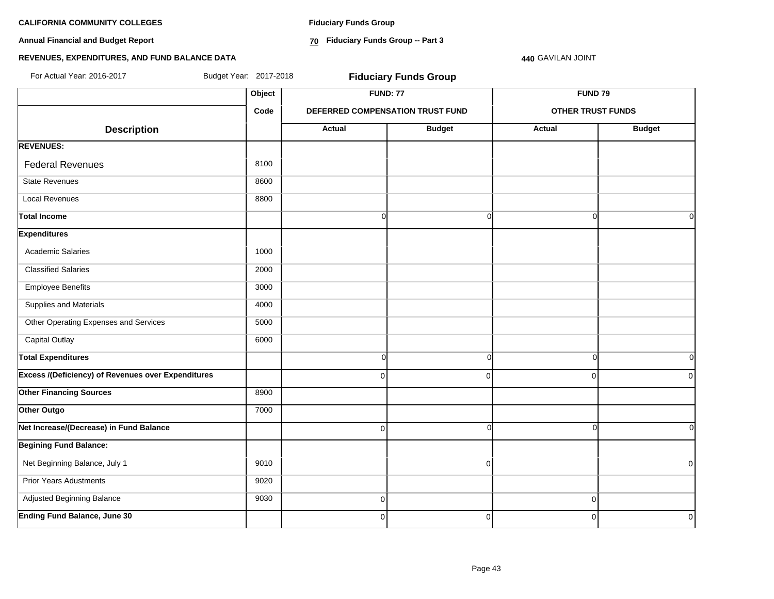**Annual Financial and Budget Report**

**Fiduciary Funds Group**

**70 Fiduciary Funds Group -- Part 3**

**440** GAVILAN JOINT

# **REVENUES, EXPENDITURES, AND FUND BALANCE DATA**

| For Actual Year: 2016-2017                                | Budget Year: 2017-2018 |                | <b>Fiduciary Funds Group</b>     |                          |               |  |
|-----------------------------------------------------------|------------------------|----------------|----------------------------------|--------------------------|---------------|--|
|                                                           | Object                 |                | <b>FUND: 77</b>                  | <b>FUND 79</b>           |               |  |
|                                                           | Code                   |                | DEFERRED COMPENSATION TRUST FUND | <b>OTHER TRUST FUNDS</b> |               |  |
| <b>Description</b>                                        |                        | <b>Actual</b>  | <b>Budget</b>                    | Actual                   | <b>Budget</b> |  |
| <b>REVENUES:</b>                                          |                        |                |                                  |                          |               |  |
| <b>Federal Revenues</b>                                   | 8100                   |                |                                  |                          |               |  |
| <b>State Revenues</b>                                     | 8600                   |                |                                  |                          |               |  |
| <b>Local Revenues</b>                                     | 8800                   |                |                                  |                          |               |  |
| <b>Total Income</b>                                       |                        | $\overline{0}$ | $\overline{0}$                   | $\Omega$                 | 0I            |  |
| <b>Expenditures</b>                                       |                        |                |                                  |                          |               |  |
| <b>Academic Salaries</b>                                  | 1000                   |                |                                  |                          |               |  |
| <b>Classified Salaries</b>                                | 2000                   |                |                                  |                          |               |  |
| <b>Employee Benefits</b>                                  | 3000                   |                |                                  |                          |               |  |
| Supplies and Materials                                    | 4000                   |                |                                  |                          |               |  |
| Other Operating Expenses and Services                     | 5000                   |                |                                  |                          |               |  |
| <b>Capital Outlay</b>                                     | 6000                   |                |                                  |                          |               |  |
| <b>Total Expenditures</b>                                 |                        | 0              | $\overline{0}$                   | $\mathbf 0$              | 0l            |  |
| <b>Excess /(Deficiency) of Revenues over Expenditures</b> |                        | $\Omega$       | $\overline{0}$                   | $\mathbf 0$              | 0             |  |
| <b>Other Financing Sources</b>                            | 8900                   |                |                                  |                          |               |  |
| Other Outgo                                               | 7000                   |                |                                  |                          |               |  |
| Net Increase/(Decrease) in Fund Balance                   |                        | 0              | $\overline{0}$                   | $\Omega$                 | οI            |  |
| <b>Begining Fund Balance:</b>                             |                        |                |                                  |                          |               |  |
| Net Beginning Balance, July 1                             | 9010                   |                | $\overline{0}$                   |                          | $\mathbf 0$   |  |
| <b>Prior Years Adustments</b>                             | 9020                   |                |                                  |                          |               |  |
| Adjusted Beginning Balance                                | 9030                   | $\overline{0}$ |                                  | $\mathbf 0$              |               |  |
| <b>Ending Fund Balance, June 30</b>                       |                        | $\overline{0}$ | $\overline{0}$                   | $\mathbf 0$              | $\mathbf 0$   |  |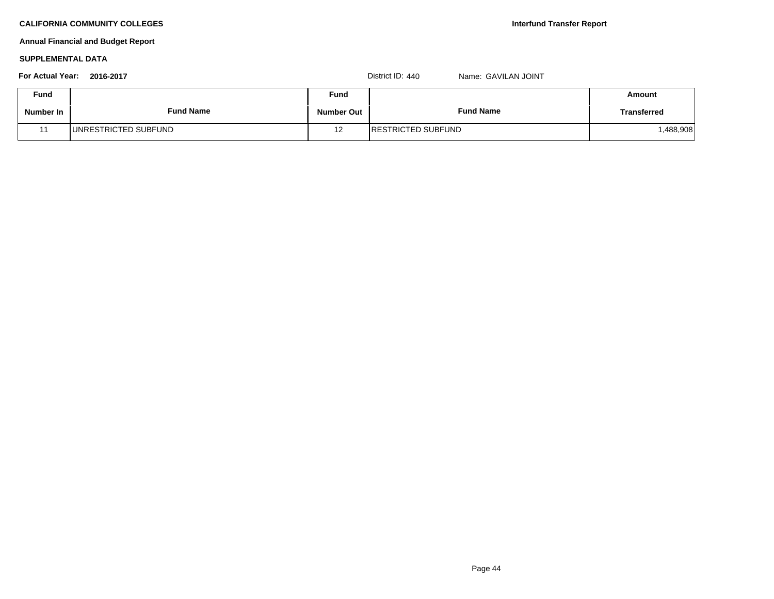# **Annual Financial and Budget Report**

### **SUPPLEMENTAL DATA**

| <b>For Actual Year:</b> | 2016-2017                    |            | District ID: 440<br>Name: GAVILAN JOINT |             |
|-------------------------|------------------------------|------------|-----------------------------------------|-------------|
| <b>Fund</b>             |                              | Fund       |                                         | Amount      |
| Number In               | <b>Fund Name</b>             | Number Out | <b>Fund Name</b>                        | Transferred |
|                         | <b>JUNRESTRICTED SUBFUND</b> | 12         | <b>IRESTRICTED SUBFUND</b>              | .488,908    |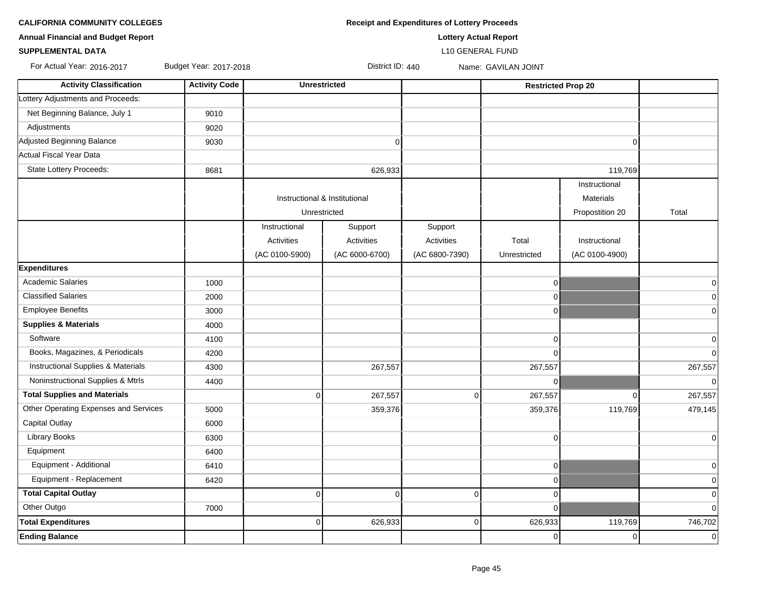| <b>CALIFORNIA COMMUNITY COLLEGES</b> | <b>Receipt and Expenditures of Lottery Proceeds</b> |
|--------------------------------------|-----------------------------------------------------|
|                                      |                                                     |

**SUPPLEMENTAL DATA** L10 GENERAL FUND

⊤

**Annual Financial and Budget Report Lottery Actual Report**

For Actual Year: 2016-2017 Budget Year: 2017-2018 District ID: 440 Name: GAVILAN JOINT

| <b>Activity Classification</b>        | <b>Activity Code</b> | <b>Unrestricted</b>                           |                   |                | <b>Restricted Prop 20</b> |                  |                |
|---------------------------------------|----------------------|-----------------------------------------------|-------------------|----------------|---------------------------|------------------|----------------|
| Lottery Adjustments and Proceeds:     |                      |                                               |                   |                |                           |                  |                |
| Net Beginning Balance, July 1         | 9010                 |                                               |                   |                |                           |                  |                |
| Adjustments                           | 9020                 |                                               |                   |                |                           |                  |                |
| Adjusted Beginning Balance            | 9030                 |                                               | $\overline{0}$    |                |                           | $\mathbf 0$      |                |
| <b>Actual Fiscal Year Data</b>        |                      |                                               |                   |                |                           |                  |                |
| State Lottery Proceeds:               | 8681                 |                                               | 626,933           |                |                           | 119,769          |                |
|                                       |                      |                                               |                   |                |                           | Instructional    |                |
|                                       |                      | Instructional & Institutional<br>Unrestricted |                   |                |                           | <b>Materials</b> |                |
|                                       |                      |                                               |                   |                |                           | Propostition 20  | Total          |
|                                       |                      | Instructional                                 | Support           | Support        |                           |                  |                |
|                                       |                      | Activities                                    | <b>Activities</b> | Activities     | Total                     | Instructional    |                |
|                                       |                      | (AC 0100-5900)                                | (AC 6000-6700)    | (AC 6800-7390) | Unrestricted              | (AC 0100-4900)   |                |
| <b>Expenditures</b>                   |                      |                                               |                   |                |                           |                  |                |
| <b>Academic Salaries</b>              | 1000                 |                                               |                   |                | $\mathsf 0$               |                  | 0              |
| <b>Classified Salaries</b>            | 2000                 |                                               |                   |                | 0                         |                  | 0              |
| <b>Employee Benefits</b>              | 3000                 |                                               |                   |                | 0                         |                  | $\mathbf 0$    |
| <b>Supplies &amp; Materials</b>       | 4000                 |                                               |                   |                |                           |                  |                |
| Software                              | 4100                 |                                               |                   |                | $\mathbf 0$               |                  | 0              |
| Books, Magazines, & Periodicals       | 4200                 |                                               |                   |                | $\Omega$                  |                  | $\mathbf 0$    |
| Instructional Supplies & Materials    | 4300                 |                                               | 267,557           |                | 267,557                   |                  | 267,557        |
| Noninstructional Supplies & Mtrls     | 4400                 |                                               |                   |                | 0                         |                  | $\mathbf 0$    |
| <b>Total Supplies and Materials</b>   |                      | $\Omega$                                      | 267,557           | $\Omega$       | 267,557                   | $\mathbf 0$      | 267,557        |
| Other Operating Expenses and Services | 5000                 |                                               | 359,376           |                | 359,376                   | 119,769          | 479,145        |
| <b>Capital Outlay</b>                 | 6000                 |                                               |                   |                |                           |                  |                |
| <b>Library Books</b>                  | 6300                 |                                               |                   |                | $\mathbf 0$               |                  | $\mathbf 0$    |
| Equipment                             | 6400                 |                                               |                   |                |                           |                  |                |
| Equipment - Additional                | 6410                 |                                               |                   |                | 0                         |                  | $\mathbf 0$    |
| Equipment - Replacement               | 6420                 |                                               |                   |                | $\mathbf 0$               |                  | $\mathbf 0$    |
| <b>Total Capital Outlay</b>           |                      | $\Omega$                                      | $\Omega$          | $\Omega$       | $\mathbf 0$               |                  | $\mathbf 0$    |
| Other Outgo                           | 7000                 |                                               |                   |                | $\Omega$                  |                  | $\overline{0}$ |
| <b>Total Expenditures</b>             |                      | 0                                             | 626,933           | 0              | 626,933                   | 119,769          | 746,702        |
| <b>Ending Balance</b>                 |                      |                                               |                   |                | 0                         | 0                | $\mathbf 0$    |
|                                       |                      |                                               |                   |                |                           |                  |                |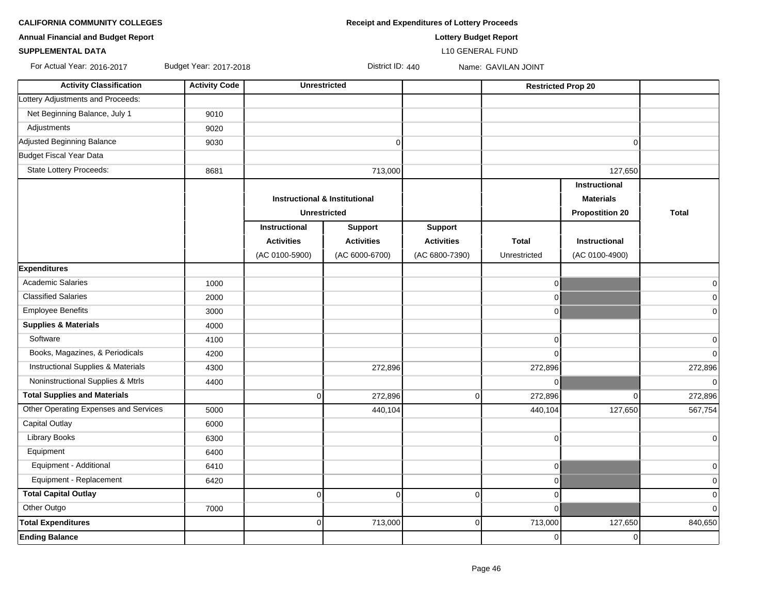**CALIFORNIA COMMUNITY COLLEGES Receipt and Expenditures of Lottery Proceeds** 

**Annual Financial and Budget Report Lottery Budget Report**

### **SUPPLEMENTAL DATA** L10 GENERAL FUND

For Actual Year: 2016-2017 Budget Year: 2017-2018 District ID: 440 Name: GAVILAN JOINT

| Net Beginning Balance, July 1<br>9010<br>Adjustments<br>9020<br>Adjusted Beginning Balance<br>9030<br>$\mathbf 0$<br>$\Omega$<br>State Lottery Proceeds:<br>127,650<br>8681<br>713,000<br>Instructional<br><b>Instructional &amp; Institutional</b><br><b>Materials</b><br><b>Unrestricted</b><br><b>Propostition 20</b><br><b>Total</b><br>Instructional<br><b>Support</b><br><b>Support</b><br><b>Activities</b><br><b>Activities</b><br><b>Total</b><br><b>Activities</b><br><b>Instructional</b><br>(AC 0100-5900)<br>(AC 6000-6700)<br>(AC 6800-7390)<br>(AC 0100-4900)<br>Unrestricted<br><b>Expenditures</b><br><b>Academic Salaries</b><br>1000<br>$\overline{0}$<br><b>Classified Salaries</b><br>2000<br>$\overline{0}$<br><b>Employee Benefits</b><br>3000<br>$\overline{0}$<br><b>Supplies &amp; Materials</b><br>4000<br>Software<br>4100<br>$\overline{0}$<br>Books, Magazines, & Periodicals<br>4200<br>$\Omega$<br>Instructional Supplies & Materials<br>4300<br>272,896<br>272,896<br>Noninstructional Supplies & Mtrls<br>$\overline{0}$<br>4400<br><b>Total Supplies and Materials</b><br>$\overline{0}$<br>272,896<br>$\overline{0}$<br>272,896<br>$\Omega$<br>Other Operating Expenses and Services<br>5000<br>127,650<br>440,104<br>440,104<br>Capital Outlay<br>6000<br><b>Library Books</b><br>6300<br>$\overline{0}$<br>Equipment<br>6400<br>Equipment - Additional<br>6410<br>$\overline{0}$<br>Equipment - Replacement<br>6420<br>$\overline{0}$<br><b>Total Capital Outlay</b><br>$\mathbf 0$<br>$\mathbf 0$<br>$\overline{0}$<br>$\overline{0}$<br>Other Outgo<br>7000<br>$\overline{0}$<br><b>Total Expenditures</b><br>713,000<br>127,650<br>$\overline{0}$<br>713,000<br>$\overline{0}$<br><b>Ending Balance</b><br>$\overline{0}$<br>$\Omega$ | <b>Activity Classification</b>    | <b>Activity Code</b> | <b>Unrestricted</b> |  | <b>Restricted Prop 20</b> |  |                |
|--------------------------------------------------------------------------------------------------------------------------------------------------------------------------------------------------------------------------------------------------------------------------------------------------------------------------------------------------------------------------------------------------------------------------------------------------------------------------------------------------------------------------------------------------------------------------------------------------------------------------------------------------------------------------------------------------------------------------------------------------------------------------------------------------------------------------------------------------------------------------------------------------------------------------------------------------------------------------------------------------------------------------------------------------------------------------------------------------------------------------------------------------------------------------------------------------------------------------------------------------------------------------------------------------------------------------------------------------------------------------------------------------------------------------------------------------------------------------------------------------------------------------------------------------------------------------------------------------------------------------------------------------------------------------------------------------------------------------------------------------------------------------------|-----------------------------------|----------------------|---------------------|--|---------------------------|--|----------------|
|                                                                                                                                                                                                                                                                                                                                                                                                                                                                                                                                                                                                                                                                                                                                                                                                                                                                                                                                                                                                                                                                                                                                                                                                                                                                                                                                                                                                                                                                                                                                                                                                                                                                                                                                                                                | Lottery Adjustments and Proceeds: |                      |                     |  |                           |  |                |
|                                                                                                                                                                                                                                                                                                                                                                                                                                                                                                                                                                                                                                                                                                                                                                                                                                                                                                                                                                                                                                                                                                                                                                                                                                                                                                                                                                                                                                                                                                                                                                                                                                                                                                                                                                                |                                   |                      |                     |  |                           |  |                |
|                                                                                                                                                                                                                                                                                                                                                                                                                                                                                                                                                                                                                                                                                                                                                                                                                                                                                                                                                                                                                                                                                                                                                                                                                                                                                                                                                                                                                                                                                                                                                                                                                                                                                                                                                                                |                                   |                      |                     |  |                           |  |                |
|                                                                                                                                                                                                                                                                                                                                                                                                                                                                                                                                                                                                                                                                                                                                                                                                                                                                                                                                                                                                                                                                                                                                                                                                                                                                                                                                                                                                                                                                                                                                                                                                                                                                                                                                                                                |                                   |                      |                     |  |                           |  |                |
|                                                                                                                                                                                                                                                                                                                                                                                                                                                                                                                                                                                                                                                                                                                                                                                                                                                                                                                                                                                                                                                                                                                                                                                                                                                                                                                                                                                                                                                                                                                                                                                                                                                                                                                                                                                | <b>Budget Fiscal Year Data</b>    |                      |                     |  |                           |  |                |
|                                                                                                                                                                                                                                                                                                                                                                                                                                                                                                                                                                                                                                                                                                                                                                                                                                                                                                                                                                                                                                                                                                                                                                                                                                                                                                                                                                                                                                                                                                                                                                                                                                                                                                                                                                                |                                   |                      |                     |  |                           |  |                |
|                                                                                                                                                                                                                                                                                                                                                                                                                                                                                                                                                                                                                                                                                                                                                                                                                                                                                                                                                                                                                                                                                                                                                                                                                                                                                                                                                                                                                                                                                                                                                                                                                                                                                                                                                                                |                                   |                      |                     |  |                           |  |                |
|                                                                                                                                                                                                                                                                                                                                                                                                                                                                                                                                                                                                                                                                                                                                                                                                                                                                                                                                                                                                                                                                                                                                                                                                                                                                                                                                                                                                                                                                                                                                                                                                                                                                                                                                                                                |                                   |                      |                     |  |                           |  |                |
|                                                                                                                                                                                                                                                                                                                                                                                                                                                                                                                                                                                                                                                                                                                                                                                                                                                                                                                                                                                                                                                                                                                                                                                                                                                                                                                                                                                                                                                                                                                                                                                                                                                                                                                                                                                |                                   |                      |                     |  |                           |  |                |
|                                                                                                                                                                                                                                                                                                                                                                                                                                                                                                                                                                                                                                                                                                                                                                                                                                                                                                                                                                                                                                                                                                                                                                                                                                                                                                                                                                                                                                                                                                                                                                                                                                                                                                                                                                                |                                   |                      |                     |  |                           |  |                |
|                                                                                                                                                                                                                                                                                                                                                                                                                                                                                                                                                                                                                                                                                                                                                                                                                                                                                                                                                                                                                                                                                                                                                                                                                                                                                                                                                                                                                                                                                                                                                                                                                                                                                                                                                                                |                                   |                      |                     |  |                           |  |                |
|                                                                                                                                                                                                                                                                                                                                                                                                                                                                                                                                                                                                                                                                                                                                                                                                                                                                                                                                                                                                                                                                                                                                                                                                                                                                                                                                                                                                                                                                                                                                                                                                                                                                                                                                                                                |                                   |                      |                     |  |                           |  |                |
|                                                                                                                                                                                                                                                                                                                                                                                                                                                                                                                                                                                                                                                                                                                                                                                                                                                                                                                                                                                                                                                                                                                                                                                                                                                                                                                                                                                                                                                                                                                                                                                                                                                                                                                                                                                |                                   |                      |                     |  |                           |  |                |
|                                                                                                                                                                                                                                                                                                                                                                                                                                                                                                                                                                                                                                                                                                                                                                                                                                                                                                                                                                                                                                                                                                                                                                                                                                                                                                                                                                                                                                                                                                                                                                                                                                                                                                                                                                                |                                   |                      |                     |  |                           |  | $\overline{0}$ |
|                                                                                                                                                                                                                                                                                                                                                                                                                                                                                                                                                                                                                                                                                                                                                                                                                                                                                                                                                                                                                                                                                                                                                                                                                                                                                                                                                                                                                                                                                                                                                                                                                                                                                                                                                                                |                                   |                      |                     |  |                           |  | $\overline{0}$ |
|                                                                                                                                                                                                                                                                                                                                                                                                                                                                                                                                                                                                                                                                                                                                                                                                                                                                                                                                                                                                                                                                                                                                                                                                                                                                                                                                                                                                                                                                                                                                                                                                                                                                                                                                                                                |                                   |                      |                     |  |                           |  | $\mathbf 0$    |
|                                                                                                                                                                                                                                                                                                                                                                                                                                                                                                                                                                                                                                                                                                                                                                                                                                                                                                                                                                                                                                                                                                                                                                                                                                                                                                                                                                                                                                                                                                                                                                                                                                                                                                                                                                                |                                   |                      |                     |  |                           |  |                |
|                                                                                                                                                                                                                                                                                                                                                                                                                                                                                                                                                                                                                                                                                                                                                                                                                                                                                                                                                                                                                                                                                                                                                                                                                                                                                                                                                                                                                                                                                                                                                                                                                                                                                                                                                                                |                                   |                      |                     |  |                           |  | $\overline{0}$ |
|                                                                                                                                                                                                                                                                                                                                                                                                                                                                                                                                                                                                                                                                                                                                                                                                                                                                                                                                                                                                                                                                                                                                                                                                                                                                                                                                                                                                                                                                                                                                                                                                                                                                                                                                                                                |                                   |                      |                     |  |                           |  | $\Omega$       |
|                                                                                                                                                                                                                                                                                                                                                                                                                                                                                                                                                                                                                                                                                                                                                                                                                                                                                                                                                                                                                                                                                                                                                                                                                                                                                                                                                                                                                                                                                                                                                                                                                                                                                                                                                                                |                                   |                      |                     |  |                           |  | 272,896        |
|                                                                                                                                                                                                                                                                                                                                                                                                                                                                                                                                                                                                                                                                                                                                                                                                                                                                                                                                                                                                                                                                                                                                                                                                                                                                                                                                                                                                                                                                                                                                                                                                                                                                                                                                                                                |                                   |                      |                     |  |                           |  | $\mathbf 0$    |
|                                                                                                                                                                                                                                                                                                                                                                                                                                                                                                                                                                                                                                                                                                                                                                                                                                                                                                                                                                                                                                                                                                                                                                                                                                                                                                                                                                                                                                                                                                                                                                                                                                                                                                                                                                                |                                   |                      |                     |  |                           |  | 272,896        |
|                                                                                                                                                                                                                                                                                                                                                                                                                                                                                                                                                                                                                                                                                                                                                                                                                                                                                                                                                                                                                                                                                                                                                                                                                                                                                                                                                                                                                                                                                                                                                                                                                                                                                                                                                                                |                                   |                      |                     |  |                           |  | 567,754        |
|                                                                                                                                                                                                                                                                                                                                                                                                                                                                                                                                                                                                                                                                                                                                                                                                                                                                                                                                                                                                                                                                                                                                                                                                                                                                                                                                                                                                                                                                                                                                                                                                                                                                                                                                                                                |                                   |                      |                     |  |                           |  |                |
|                                                                                                                                                                                                                                                                                                                                                                                                                                                                                                                                                                                                                                                                                                                                                                                                                                                                                                                                                                                                                                                                                                                                                                                                                                                                                                                                                                                                                                                                                                                                                                                                                                                                                                                                                                                |                                   |                      |                     |  |                           |  | $\overline{0}$ |
|                                                                                                                                                                                                                                                                                                                                                                                                                                                                                                                                                                                                                                                                                                                                                                                                                                                                                                                                                                                                                                                                                                                                                                                                                                                                                                                                                                                                                                                                                                                                                                                                                                                                                                                                                                                |                                   |                      |                     |  |                           |  |                |
|                                                                                                                                                                                                                                                                                                                                                                                                                                                                                                                                                                                                                                                                                                                                                                                                                                                                                                                                                                                                                                                                                                                                                                                                                                                                                                                                                                                                                                                                                                                                                                                                                                                                                                                                                                                |                                   |                      |                     |  |                           |  | $\Omega$       |
|                                                                                                                                                                                                                                                                                                                                                                                                                                                                                                                                                                                                                                                                                                                                                                                                                                                                                                                                                                                                                                                                                                                                                                                                                                                                                                                                                                                                                                                                                                                                                                                                                                                                                                                                                                                |                                   |                      |                     |  |                           |  | $\mathbf 0$    |
|                                                                                                                                                                                                                                                                                                                                                                                                                                                                                                                                                                                                                                                                                                                                                                                                                                                                                                                                                                                                                                                                                                                                                                                                                                                                                                                                                                                                                                                                                                                                                                                                                                                                                                                                                                                |                                   |                      |                     |  |                           |  | $\Omega$       |
|                                                                                                                                                                                                                                                                                                                                                                                                                                                                                                                                                                                                                                                                                                                                                                                                                                                                                                                                                                                                                                                                                                                                                                                                                                                                                                                                                                                                                                                                                                                                                                                                                                                                                                                                                                                |                                   |                      |                     |  |                           |  | $\Omega$       |
|                                                                                                                                                                                                                                                                                                                                                                                                                                                                                                                                                                                                                                                                                                                                                                                                                                                                                                                                                                                                                                                                                                                                                                                                                                                                                                                                                                                                                                                                                                                                                                                                                                                                                                                                                                                |                                   |                      |                     |  |                           |  | 840,650        |
|                                                                                                                                                                                                                                                                                                                                                                                                                                                                                                                                                                                                                                                                                                                                                                                                                                                                                                                                                                                                                                                                                                                                                                                                                                                                                                                                                                                                                                                                                                                                                                                                                                                                                                                                                                                |                                   |                      |                     |  |                           |  |                |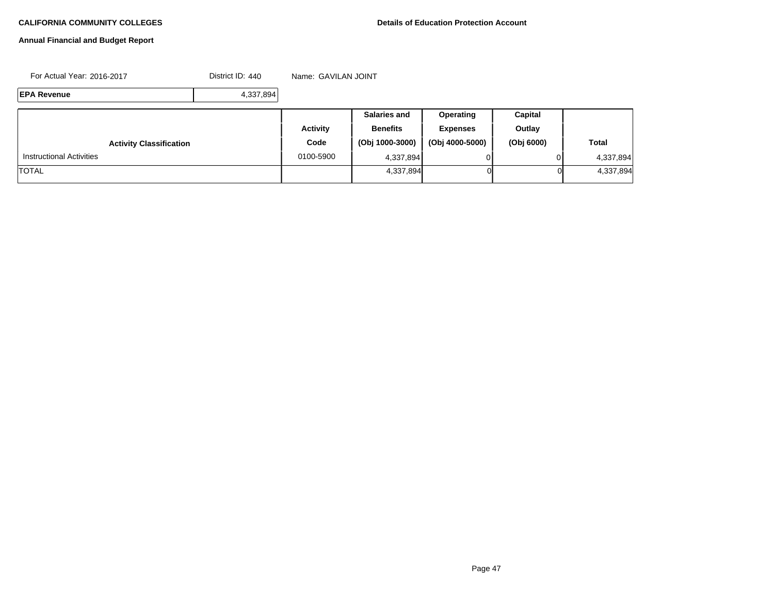# **Annual Financial and Budget Report**

For Actual Year: 2016-2017 **District ID: 440** Name: GAVILAN JOINT

**EPA Revenue** 4,337,894

|                                 |           | <b>Salaries and</b> | Operating       | Capital    |              |
|---------------------------------|-----------|---------------------|-----------------|------------|--------------|
|                                 | Activity  | <b>Benefits</b>     | <b>Expenses</b> | Outlay     |              |
| <b>Activity Classification</b>  | Code      | (Obj 1000-3000)     | (Obj 4000-5000) | (Obj 6000) | <b>Total</b> |
| <b>Instructional Activities</b> | 0100-5900 | 4,337,894           |                 |            | 4,337,894    |
| <b>TOTAL</b>                    |           | 4,337,894           |                 | 01         | 4,337,894    |